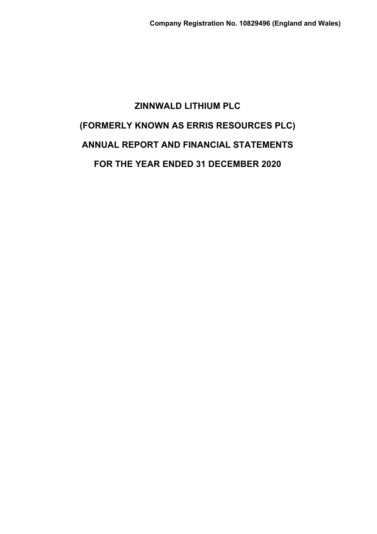# **ZINNWALD LITHIUM PLC (FORMERLY KNOWN AS ERRIS RESOURCES PLC) ANNUAL REPORT AND FINANCIAL STATEMENTS FOR THE YEAR ENDED 31 DECEMBER 2020**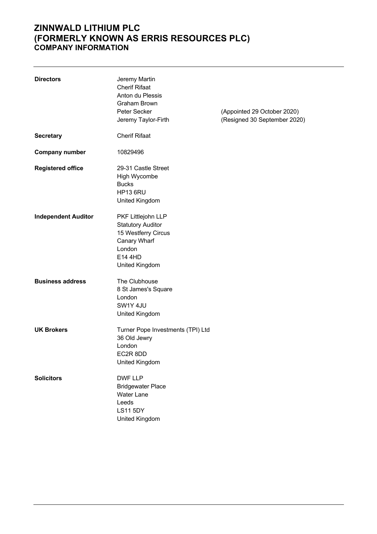### **ZINNWALD LITHIUM PLC (FORMERLY KNOWN AS ERRIS RESOURCES PLC) COMPANY INFORMATION**

| <b>Directors</b>           | Jeremy Martin<br><b>Cherif Rifaat</b><br>Anton du Plessis<br>Graham Brown<br>Peter Secker<br>Jeremy Taylor-Firth             | (Appointed 29 October 2020)<br>(Resigned 30 September 2020) |
|----------------------------|------------------------------------------------------------------------------------------------------------------------------|-------------------------------------------------------------|
| <b>Secretary</b>           | <b>Cherif Rifaat</b>                                                                                                         |                                                             |
| <b>Company number</b>      | 10829496                                                                                                                     |                                                             |
| <b>Registered office</b>   | 29-31 Castle Street<br>High Wycombe<br><b>Bucks</b><br><b>HP13 6RU</b><br>United Kingdom                                     |                                                             |
| <b>Independent Auditor</b> | PKF Littlejohn LLP<br><b>Statutory Auditor</b><br>15 Westferry Circus<br>Canary Wharf<br>London<br>E14 4HD<br>United Kingdom |                                                             |
| <b>Business address</b>    | The Clubhouse<br>8 St James's Square<br>London<br>SW1Y 4JU<br>United Kingdom                                                 |                                                             |
| <b>UK Brokers</b>          | Turner Pope Investments (TPI) Ltd<br>36 Old Jewry<br>London<br>EC2R 8DD<br>United Kingdom                                    |                                                             |
| <b>Solicitors</b>          | <b>DWF LLP</b><br><b>Bridgewater Place</b><br><b>Water Lane</b><br>Leeds<br><b>LS11 5DY</b><br>United Kingdom                |                                                             |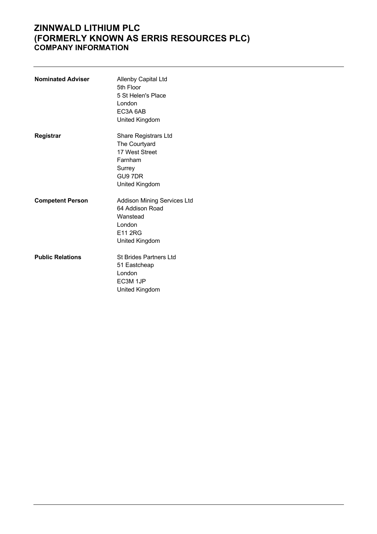### **ZINNWALD LITHIUM PLC (FORMERLY KNOWN AS ERRIS RESOURCES PLC) COMPANY INFORMATION**

| <b>Nominated Adviser</b> | Allenby Capital Ltd<br>5th Floor<br>5 St Helen's Place<br>London<br>EC <sub>3</sub> A <sub>6</sub> A <sub>B</sub><br>United Kingdom |
|--------------------------|-------------------------------------------------------------------------------------------------------------------------------------|
| Registrar                | Share Registrars Ltd<br>The Courtyard<br>17 West Street<br>Farnham<br>Surrey<br>GU9 7DR<br>United Kingdom                           |
| <b>Competent Person</b>  | Addison Mining Services Ltd<br>64 Addison Road<br>Wanstead<br>London<br><b>E11 2RG</b><br>United Kingdom                            |
| <b>Public Relations</b>  | <b>St Brides Partners Ltd</b><br>51 Eastcheap<br>London<br>EC3M 1JP<br>United Kingdom                                               |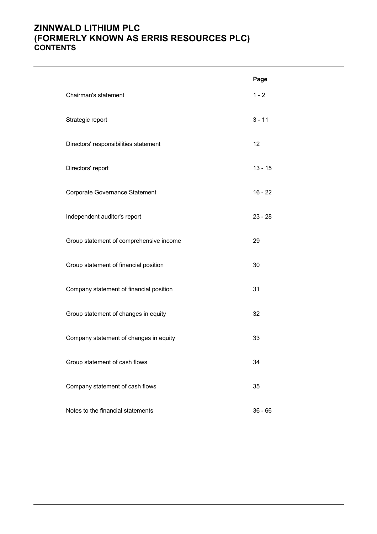## **ZINNWALD LITHIUM PLC (FORMERLY KNOWN AS ERRIS RESOURCES PLC) CONTENTS**

|                                         | Page      |
|-----------------------------------------|-----------|
| Chairman's statement                    | $1 - 2$   |
| Strategic report                        | $3 - 11$  |
| Directors' responsibilities statement   | 12        |
| Directors' report                       | $13 - 15$ |
| Corporate Governance Statement          | $16 - 22$ |
| Independent auditor's report            | $23 - 28$ |
| Group statement of comprehensive income | 29        |
| Group statement of financial position   | 30        |
| Company statement of financial position | 31        |
| Group statement of changes in equity    | 32        |
| Company statement of changes in equity  | 33        |
| Group statement of cash flows           | 34        |
| Company statement of cash flows         | 35        |
| Notes to the financial statements       | $36 - 66$ |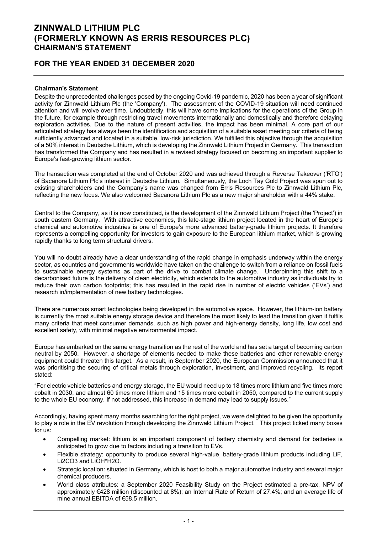### **ZINNWALD LITHIUM PLC (FORMERLY KNOWN AS ERRIS RESOURCES PLC) CHAIRMAN'S STATEMENT**

### **FOR THE YEAR ENDED 31 DECEMBER 2020**

#### **Chairman's Statement**

Despite the unprecedented challenges posed by the ongoing Covid-19 pandemic, 2020 has been a year of significant activity for Zinnwald Lithium Plc (the 'Company'). The assessment of the COVID-19 situation will need continued attention and will evolve over time. Undoubtedly, this will have some implications for the operations of the Group in the future, for example through restricting travel movements internationally and domestically and therefore delaying exploration activities. Due to the nature of present activities, the impact has been minimal. A core part of our articulated strategy has always been the identification and acquisition of a suitable asset meeting our criteria of being sufficiently advanced and located in a suitable, low-risk jurisdiction. We fulfilled this objective through the acquisition of a 50% interest in Deutsche Lithium, which is developing the Zinnwald Lithium Project in Germany. This transaction has transformed the Company and has resulted in a revised strategy focused on becoming an important supplier to Europe's fast-growing lithium sector.

The transaction was completed at the end of October 2020 and was achieved through a Reverse Takeover ('RTO') of Bacanora Lithium Plc's interest in Deutsche Lithium. Simultaneously, the Loch Tay Gold Project was spun out to existing shareholders and the Company's name was changed from Erris Resources Plc to Zinnwald Lithium Plc, reflecting the new focus. We also welcomed Bacanora Lithium Plc as a new major shareholder with a 44% stake.

Central to the Company, as it is now constituted, is the development of the Zinnwald Lithium Project (the 'Project') in south eastern Germany. With attractive economics, this late-stage lithium project located in the heart of Europe's chemical and automotive industries is one of Europe's more advanced battery-grade lithium projects. It therefore represents a compelling opportunity for investors to gain exposure to the European lithium market, which is growing rapidly thanks to long term structural drivers.

You will no doubt already have a clear understanding of the rapid change in emphasis underway within the energy sector, as countries and governments worldwide have taken on the challenge to switch from a reliance on fossil fuels to sustainable energy systems as part of the drive to combat climate change. Underpinning this shift to a decarbonised future is the delivery of clean electricity, which extends to the automotive industry as individuals try to reduce their own carbon footprints; this has resulted in the rapid rise in number of electric vehicles ('EVs') and research in/implementation of new battery technologies.

There are numerous smart technologies being developed in the automotive space. However, the lithium-ion battery is currently the most suitable energy storage device and therefore the most likely to lead the transition given it fulfils many criteria that meet consumer demands, such as high power and high-energy density, long life, low cost and excellent safety, with minimal negative environmental impact.

Europe has embarked on the same energy transition as the rest of the world and has set a target of becoming carbon neutral by 2050. However, a shortage of elements needed to make these batteries and other renewable energy equipment could threaten this target. As a result, in September 2020, the European Commission announced that it was prioritising the securing of critical metals through exploration, investment, and improved recycling. Its report stated:

"For electric vehicle batteries and energy storage, the EU would need up to 18 times more lithium and five times more cobalt in 2030, and almost 60 times more lithium and 15 times more cobalt in 2050, compared to the current supply to the whole EU economy. If not addressed, this increase in demand may lead to supply issues."

Accordingly, having spent many months searching for the right project, we were delighted to be given the opportunity to play a role in the EV revolution through developing the Zinnwald Lithium Project. This project ticked many boxes for us:

- Compelling market: lithium is an important component of battery chemistry and demand for batteries is anticipated to grow due to factors including a transition to EVs.
- Flexible strategy: opportunity to produce several high-value, battery-grade lithium products including LiF, Li2CO3 and LiOH\*H2O.
- Strategic location: situated in Germany, which is host to both a major automotive industry and several major chemical producers.
- World class attributes: a September 2020 Feasibility Study on the Project estimated a pre-tax, NPV of approximately €428 million (discounted at 8%); an Internal Rate of Return of 27.4%; and an average life of mine annual EBITDA of €58.5 million.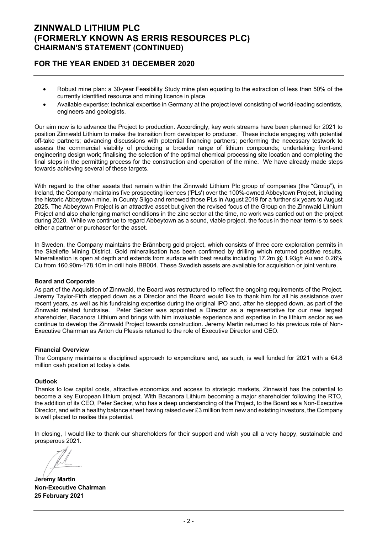### **ZINNWALD LITHIUM PLC (FORMERLY KNOWN AS ERRIS RESOURCES PLC) CHAIRMAN'S STATEMENT (CONTINUED)**

### **FOR THE YEAR ENDED 31 DECEMBER 2020**

- Robust mine plan: a 30-year Feasibility Study mine plan equating to the extraction of less than 50% of the currently identified resource and mining licence in place.
- Available expertise: technical expertise in Germany at the project level consisting of world-leading scientists, engineers and geologists.

Our aim now is to advance the Project to production. Accordingly, key work streams have been planned for 2021 to position Zinnwald Lithium to make the transition from developer to producer. These include engaging with potential off-take partners; advancing discussions with potential financing partners; performing the necessary testwork to assess the commercial viability of producing a broader range of lithium compounds; undertaking front-end engineering design work; finalising the selection of the optimal chemical processing site location and completing the final steps in the permitting process for the construction and operation of the mine. We have already made steps towards achieving several of these targets.

With regard to the other assets that remain within the Zinnwald Lithium Plc group of companies (the "Group"), in Ireland, the Company maintains five prospecting licences ('PLs') over the 100%-owned Abbeytown Project, including the historic Abbeytown mine, in County Sligo and renewed those PLs in August 2019 for a further six years to August 2025. The Abbeytown Project is an attractive asset but given the revised focus of the Group on the Zinnwald Lithium Project and also challenging market conditions in the zinc sector at the time, no work was carried out on the project during 2020. While we continue to regard Abbeytown as a sound, viable project, the focus in the near term is to seek either a partner or purchaser for the asset.

In Sweden, the Company maintains the Brännberg gold project, which consists of three core exploration permits in the Skellefte Mining District. Gold mineralisation has been confirmed by drilling which returned positive results. Mineralisation is open at depth and extends from surface with best results including 17.2m @ 1.93g/t Au and 0.26% Cu from 160.90m-178.10m in drill hole BB004. These Swedish assets are available for acquisition or joint venture.

#### **Board and Corporate**

As part of the Acquisition of Zinnwald, the Board was restructured to reflect the ongoing requirements of the Project. Jeremy Taylor-Firth stepped down as a Director and the Board would like to thank him for all his assistance over recent years, as well as his fundraising expertise during the original IPO and, after he stepped down, as part of the Zinnwald related fundraise. Peter Secker was appointed a Director as a representative for our new largest shareholder, Bacanora Lithium and brings with him invaluable experience and expertise in the lithium sector as we continue to develop the Zinnwald Project towards construction. Jeremy Martin returned to his previous role of Non-Executive Chairman as Anton du Plessis retuned to the role of Executive Director and CEO.

#### **Financial Overview**

The Company maintains a disciplined approach to expenditure and, as such, is well funded for 2021 with a €4.8 million cash position at today's date.

#### **Outlook**

Thanks to low capital costs, attractive economics and access to strategic markets, Zinnwald has the potential to become a key European lithium project. With Bacanora Lithium becoming a major shareholder following the RTO, the addition of its CEO, Peter Secker, who has a deep understanding of the Project, to the Board as a Non-Executive Director, and with a healthy balance sheet having raised over £3 million from new and existing investors, the Company is well placed to realise this potential.

In closing, I would like to thank our shareholders for their support and wish you all a very happy, sustainable and prosperous 2021.

Jeremy Martin **Non-Executive Chairman 25 February 2021**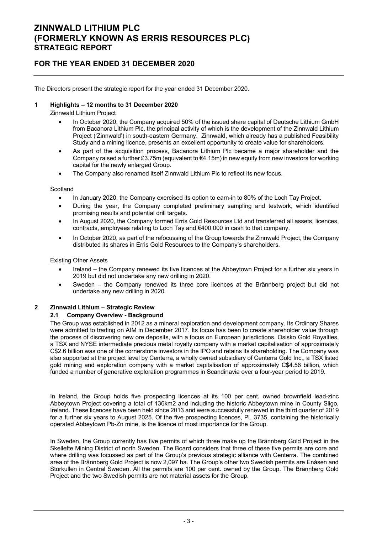### **FOR THE YEAR ENDED 31 DECEMBER 2020**

The Directors present the strategic report for the year ended 31 December 2020.

#### **1 Highlights – 12 months to 31 December 2020**

Zinnwald Lithium Project

- In October 2020, the Company acquired 50% of the issued share capital of Deutsche Lithium GmbH from Bacanora Lithium Plc, the principal activity of which is the development of the Zinnwald Lithium Project ('Zinnwald') in south-eastern Germany. Zinnwald, which already has a published Feasibility Study and a mining licence, presents an excellent opportunity to create value for shareholders.
- As part of the acquisition process, Bacanora Lithium Plc became a major shareholder and the Company raised a further £3.75m (equivalent to €4.15m) in new equity from new investors for working capital for the newly enlarged Group.
- The Company also renamed itself Zinnwald Lithium Plc to reflect its new focus.

#### **Scotland**

- In January 2020, the Company exercised its option to earn-in to 80% of the Loch Tay Project.
- During the year, the Company completed preliminary sampling and testwork, which identified promising results and potential drill targets.
- In August 2020, the Company formed Erris Gold Resources Ltd and transferred all assets, licences, contracts, employees relating to Loch Tay and €400,000 in cash to that company.
- In October 2020, as part of the refocussing of the Group towards the Zinnwald Project, the Company distributed its shares in Erris Gold Resources to the Company's shareholders.

#### Existing Other Assets

- Ireland the Company renewed its five licences at the Abbeytown Project for a further six years in 2019 but did not undertake any new drilling in 2020.
- Sweden the Company renewed its three core licences at the Brännberg project but did not undertake any new drilling in 2020.

#### **2 Zinnwald Lithium – Strategic Review**

#### **2.1 Company Overview - Background**

The Group was established in 2012 as a mineral exploration and development company. Its Ordinary Shares were admitted to trading on AIM in December 2017. Its focus has been to create shareholder value through the process of discovering new ore deposits, with a focus on European jurisdictions. Osisko Gold Royalties, a TSX and NYSE intermediate precious metal royalty company with a market capitalisation of approximately C\$2.6 billion was one of the cornerstone investors in the IPO and retains its shareholding. The Company was also supported at the project level by Centerra, a wholly owned subsidiary of Centerra Gold Inc., a TSX listed gold mining and exploration company with a market capitalisation of approximately C\$4.56 billion, which funded a number of generative exploration programmes in Scandinavia over a four-year period to 2019.

In Ireland, the Group holds five prospecting licences at its 100 per cent. owned brownfield lead-zinc Abbeytown Project covering a total of 136km2 and including the historic Abbeytown mine in County Sligo, Ireland. These licences have been held since 2013 and were successfully renewed in the third quarter of 2019 for a further six years to August 2025. Of the five prospecting licences, PL 3735, containing the historically operated Abbeytown Pb-Zn mine, is the licence of most importance for the Group.

In Sweden, the Group currently has five permits of which three make up the Brännberg Gold Project in the Skellefte Mining District of north Sweden. The Board considers that three of these five permits are core and where drilling was focussed as part of the Group's previous strategic alliance with Centerra. The combined area of the Brännberg Gold Project is now 2,097 ha. The Group's other two Swedish permits are Enåsen and Storkullen in Central Sweden. All the permits are 100 per cent. owned by the Group. The Brännberg Gold Project and the two Swedish permits are not material assets for the Group.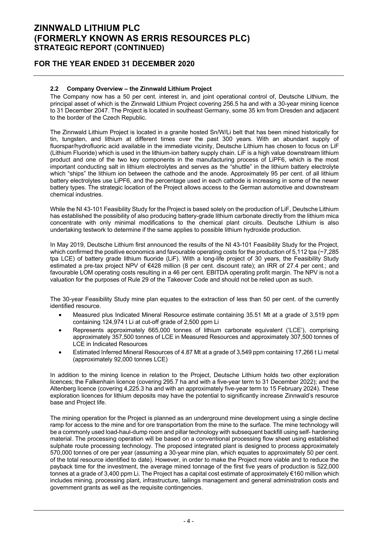### **FOR THE YEAR ENDED 31 DECEMBER 2020**

#### **2.2 Company Overview – the Zinnwald Lithium Project**

The Company now has a 50 per cent. interest in, and joint operational control of, Deutsche Lithium, the principal asset of which is the Zinnwald Lithium Project covering 256.5 ha and with a 30-year mining licence to 31 December 2047. The Project is located in southeast Germany, some 35 km from Dresden and adjacent to the border of the Czech Republic.

The Zinnwald Lithium Project is located in a granite hosted Sn/W/Li belt that has been mined historically for tin, tungsten, and lithium at different times over the past 300 years. With an abundant supply of fluorspar/hydrofluoric acid available in the immediate vicinity, Deutsche Lithium has chosen to focus on LiF (Lithium Fluoride) which is used in the lithium-ion battery supply chain. LiF is a high value downstream lithium product and one of the two key components in the manufacturing process of LiPF6, which is the most important conducting salt in lithium electrolytes and serves as the "shuttle" in the lithium battery electrolyte which "ships" the lithium ion between the cathode and the anode. Approximately 95 per cent. of all lithium battery electrolytes use LiPF6, and the percentage used in each cathode is increasing in some of the newer battery types. The strategic location of the Project allows access to the German automotive and downstream chemical industries.

While the NI 43-101 Feasibility Study for the Project is based solely on the production of LiF, Deutsche Lithium has established the possibility of also producing battery-grade lithium carbonate directly from the lithium mica concentrate with only minimal modifications to the chemical plant circuits. Deutsche Lithium is also undertaking testwork to determine if the same applies to possible lithium hydroxide production.

In May 2019, Deutsche Lithium first announced the results of the NI 43-101 Feasibility Study for the Project, which confirmed the positive economics and favourable operating costs for the production of 5,112 tpa (~7,285 tpa LCE) of battery grade lithium fluoride (LiF). With a long-life project of 30 years, the Feasibility Study estimated a pre-tax project NPV of €428 million (8 per cent. discount rate); an IRR of 27.4 per cent.; and favourable LOM operating costs resulting in a 46 per cent. EBITDA operating profit margin. The NPV is not a valuation for the purposes of Rule 29 of the Takeover Code and should not be relied upon as such.

The 30-year Feasibility Study mine plan equates to the extraction of less than 50 per cent. of the currently identified resource.

- Measured plus Indicated Mineral Resource estimate containing 35.51 Mt at a grade of 3,519 ppm containing 124,974 t Li at cut-off grade of 2,500 ppm Li
- Represents approximately 665,000 tonnes of lithium carbonate equivalent ('LCE'), comprising approximately 357,500 tonnes of LCE in Measured Resources and approximately 307,500 tonnes of LCE in Indicated Resources
- Estimated Inferred Mineral Resources of 4.87 Mt at a grade of 3,549 ppm containing 17,266 t Li metal (approximately 92,000 tonnes LCE)

In addition to the mining licence in relation to the Project, Deutsche Lithium holds two other exploration licences; the Falkenhain licence (covering 295.7 ha and with a five-year term to 31 December 2022); and the Altenberg licence (covering 4,225.3 ha and with an approximately five-year term to 15 February 2024). These exploration licences for lithium deposits may have the potential to significantly increase Zinnwald's resource base and Project life.

The mining operation for the Project is planned as an underground mine development using a single decline ramp for access to the mine and for ore transportation from the mine to the surface. The mine technology will be a commonly used load-haul-dump room and pillar technology with subsequent backfill using self- hardening material. The processing operation will be based on a conventional processing flow sheet using established sulphate route processing technology. The proposed integrated plant is designed to process approximately 570,000 tonnes of ore per year (assuming a 30-year mine plan, which equates to approximately 50 per cent. of the total resource identified to date). However, in order to make the Project more viable and to reduce the payback time for the investment, the average mined tonnage of the first five years of production is 522,000 tonnes at a grade of 3,400 ppm Li. The Project has a capital cost estimate of approximately €160 million which includes mining, processing plant, infrastructure, tailings management and general administration costs and government grants as well as the requisite contingencies.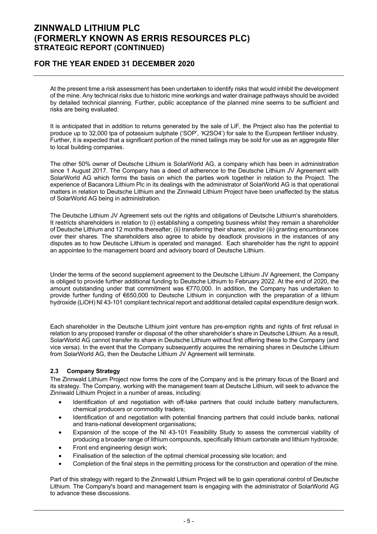### **FOR THE YEAR ENDED 31 DECEMBER 2020**

At the present time a risk assessment has been undertaken to identify risks that would inhibit the development of the mine. Any technical risks due to historic mine workings and water drainage pathways should be avoided by detailed technical planning. Further, public acceptance of the planned mine seems to be sufficient and risks are being evaluated.

It is anticipated that in addition to returns generated by the sale of LiF, the Project also has the potential to produce up to 32,000 tpa of potassium sulphate ('SOP', 'K2SO4') for sale to the European fertiliser industry. Further, it is expected that a significant portion of the mined tailings may be sold for use as an aggregate filler to local building companies.

The other 50% owner of Deutsche Lithium is SolarWorld AG, a company which has been in administration since 1 August 2017. The Company has a deed of adherence to the Deutsche Lithium JV Agreement with SolarWorld AG which forms the basis on which the parties work together in relation to the Project. The experience of Bacanora Lithium Plc in its dealings with the administrator of SolarWorld AG is that operational matters in relation to Deutsche Lithium and the Zinnwald Lithium Project have been unaffected by the status of SolarWorld AG being in administration.

The Deutsche Lithium JV Agreement sets out the rights and obligations of Deutsche Lithium's shareholders. It restricts shareholders in relation to (i) establishing a competing business whilst they remain a shareholder of Deutsche Lithium and 12 months thereafter; (ii) transferring their shares; and/or (iii) granting encumbrances over their shares. The shareholders also agree to abide by deadlock provisions in the instances of any disputes as to how Deutsche Lithium is operated and managed. Each shareholder has the right to appoint an appointee to the management board and advisory board of Deutsche Lithium.

Under the terms of the second supplement agreement to the Deutsche Lithium JV Agreement, the Company is obliged to provide further additional funding to Deutsche Lithium to February 2022. At the end of 2020, the amount outstanding under that commitment was €770,000. In addition, the Company has undertaken to provide further funding of €650,000 to Deutsche Lithium in conjunction with the preparation of a lithium hydroxide (LiOH) NI 43-101 compliant technical report and additional detailed capital expenditure design work.

Each shareholder in the Deutsche Lithium joint venture has pre-emption rights and rights of first refusal in relation to any proposed transfer or disposal of the other shareholder's share in Deutsche Lithium. As a result, SolarWorld AG cannot transfer its share in Deutsche Lithium without first offering these to the Company (and vice versa). In the event that the Company subsequently acquires the remaining shares in Deutsche Lithium from SolarWorld AG, then the Deutsche Lithium JV Agreement will terminate.

#### **2.3 Company Strategy**

The Zinnwald Lithium Project now forms the core of the Company and is the primary focus of the Board and its strategy. The Company, working with the management team at Deutsche Lithium, will seek to advance the Zinnwald Lithium Project in a number of areas, including:

- Identification of and negotiation with off-take partners that could include battery manufacturers, chemical producers or commodity traders;
- Identification of and negotiation with potential financing partners that could include banks, national and trans-national development organisations;
- Expansion of the scope of the NI 43-101 Feasibility Study to assess the commercial viability of producing a broader range of lithium compounds, specifically lithium carbonate and lithium hydroxide;
- Front end engineering design work;
- Finalisation of the selection of the optimal chemical processing site location; and
- Completion of the final steps in the permitting process for the construction and operation of the mine.

Part of this strategy with regard to the Zinnwald Lithium Project will be to gain operational control of Deutsche Lithium. The Company's board and management team is engaging with the administrator of SolarWorld AG to advance these discussions.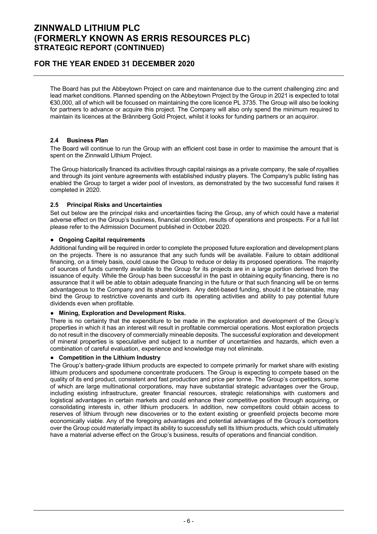### **FOR THE YEAR ENDED 31 DECEMBER 2020**

The Board has put the Abbeytown Project on care and maintenance due to the current challenging zinc and lead market conditions. Planned spending on the Abbeytown Project by the Group in 2021 is expected to total €30,000, all of which will be focussed on maintaining the core licence PL 3735. The Group will also be looking for partners to advance or acquire this project. The Company will also only spend the minimum required to maintain its licences at the Brännberg Gold Project, whilst it looks for funding partners or an acquiror.

#### **2.4 Business Plan**

The Board will continue to run the Group with an efficient cost base in order to maximise the amount that is spent on the Zinnwald Lithium Project.

The Group historically financed its activities through capital raisings as a private company, the sale of royalties and through its joint venture agreements with established industry players. The Company's public listing has enabled the Group to target a wider pool of investors, as demonstrated by the two successful fund raises it completed in 2020.

#### **2.5 Principal Risks and Uncertainties**

Set out below are the principal risks and uncertainties facing the Group, any of which could have a material adverse effect on the Group's business, financial condition, results of operations and prospects. For a full list please refer to the Admission Document published in October 2020.

#### **● Ongoing Capital requirements**

Additional funding will be required in order to complete the proposed future exploration and development plans on the projects. There is no assurance that any such funds will be available. Failure to obtain additional financing, on a timely basis, could cause the Group to reduce or delay its proposed operations. The majority of sources of funds currently available to the Group for its projects are in a large portion derived from the issuance of equity. While the Group has been successful in the past in obtaining equity financing, there is no assurance that it will be able to obtain adequate financing in the future or that such financing will be on terms advantageous to the Company and its shareholders. Any debt-based funding, should it be obtainable, may bind the Group to restrictive covenants and curb its operating activities and ability to pay potential future dividends even when profitable.

#### **● Mining, Exploration and Development Risks.**

There is no certainty that the expenditure to be made in the exploration and development of the Group's properties in which it has an interest will result in profitable commercial operations. Most exploration projects do not result in the discovery of commercially mineable deposits. The successful exploration and development of mineral properties is speculative and subject to a number of uncertainties and hazards, which even a combination of careful evaluation, experience and knowledge may not eliminate.

#### **● Competition in the Lithium Industry**

The Group's battery-grade lithium products are expected to compete primarily for market share with existing lithium producers and spodumene concentrate producers. The Group is expecting to compete based on the quality of its end product, consistent and fast production and price per tonne. The Group's competitors, some of which are large multinational corporations, may have substantial strategic advantages over the Group, including existing infrastructure, greater financial resources, strategic relationships with customers and logistical advantages in certain markets and could enhance their competitive position through acquiring, or consolidating interests in, other lithium producers. In addition, new competitors could obtain access to reserves of lithium through new discoveries or to the extent existing or greenfield projects become more economically viable. Any of the foregoing advantages and potential advantages of the Group's competitors over the Group could materially impact its ability to successfully sell its lithium products, which could ultimately have a material adverse effect on the Group's business, results of operations and financial condition.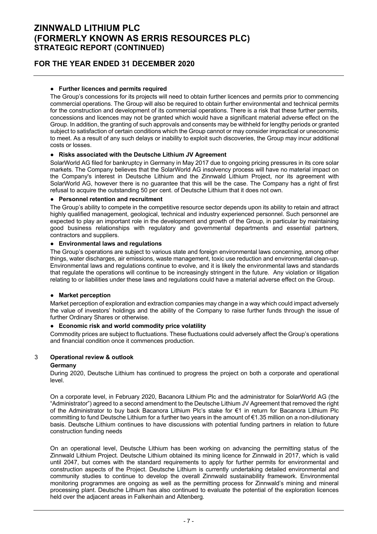### **FOR THE YEAR ENDED 31 DECEMBER 2020**

#### **● Further licences and permits required**

The Group's concessions for its projects will need to obtain further licences and permits prior to commencing commercial operations. The Group will also be required to obtain further environmental and technical permits for the construction and development of its commercial operations. There is a risk that these further permits, concessions and licences may not be granted which would have a significant material adverse effect on the Group. In addition, the granting of such approvals and consents may be withheld for lengthy periods or granted subject to satisfaction of certain conditions which the Group cannot or may consider impractical or uneconomic to meet. As a result of any such delays or inability to exploit such discoveries, the Group may incur additional costs or losses.

#### **● Risks associated with the Deutsche Lithium JV Agreement**

SolarWorld AG filed for bankruptcy in Germany in May 2017 due to ongoing pricing pressures in its core solar markets. The Company believes that the SolarWorld AG insolvency process will have no material impact on the Company's interest in Deutsche Lithium and the Zinnwald Lithium Project, nor its agreement with SolarWorld AG, however there is no guarantee that this will be the case. The Company has a right of first refusal to acquire the outstanding 50 per cent. of Deutsche Lithium that it does not own.

#### **● Personnel retention and recruitment**

The Group's ability to compete in the competitive resource sector depends upon its ability to retain and attract highly qualified management, geological, technical and industry experienced personnel. Such personnel are expected to play an important role in the development and growth of the Group, in particular by maintaining good business relationships with regulatory and governmental departments and essential partners, contractors and suppliers.

#### **● Environmental laws and regulations**

The Group's operations are subject to various state and foreign environmental laws concerning, among other things, water discharges, air emissions, waste management, toxic use reduction and environmental clean-up. Environmental laws and regulations continue to evolve, and it is likely the environmental laws and standards that regulate the operations will continue to be increasingly stringent in the future. Any violation or litigation relating to or liabilities under these laws and regulations could have a material adverse effect on the Group.

#### **● Market perception**

Market perception of exploration and extraction companies may change in a way which could impact adversely the value of investors' holdings and the ability of the Company to raise further funds through the issue of further Ordinary Shares or otherwise.

#### **● Economic risk and world commodity price volatility**

Commodity prices are subject to fluctuations. These fluctuations could adversely affect the Group's operations and financial condition once it commences production.

#### 3 **Operational review & outlook**

#### **Germany**

During 2020, Deutsche Lithium has continued to progress the project on both a corporate and operational level.

On a corporate level, in February 2020, Bacanora Lithium Plc and the administrator for SolarWorld AG (the "Administrator") agreed to a second amendment to the Deutsche Lithium JV Agreement that removed the right of the Administrator to buy back Bacanora Lithium Plc's stake for €1 in return for Bacanora Lithium Plc committing to fund Deutsche Lithium for a further two years in the amount of €1.35 million on a non-dilutionary basis. Deutsche Lithium continues to have discussions with potential funding partners in relation to future construction funding needs

On an operational level, Deutsche Lithium has been working on advancing the permitting status of the Zinnwald Lithium Project. Deutsche Lithium obtained its mining licence for Zinnwald in 2017, which is valid until 2047, but comes with the standard requirements to apply for further permits for environmental and construction aspects of the Project. Deutsche Lithium is currently undertaking detailed environmental and community studies to continue to develop the overall Zinnwald sustainability framework. Environmental monitoring programmes are ongoing as well as the permitting process for Zinnwald's mining and mineral processing plant. Deutsche Lithium has also continued to evaluate the potential of the exploration licences held over the adjacent areas in Falkenhain and Altenberg.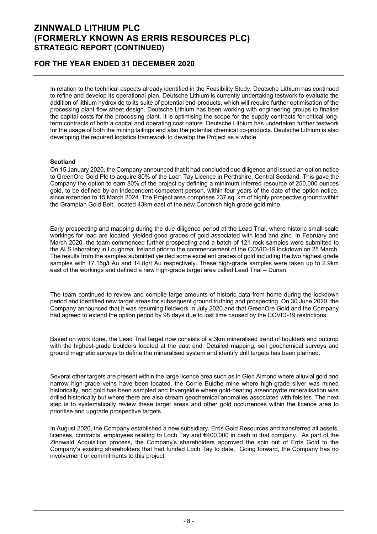### **FOR THE YEAR ENDED 31 DECEMBER 2020**

In relation to the technical aspects already identified in the Feasibility Study, Deutsche Lithium has continued to refine and develop its operational plan. Deutsche Lithium is currently undertaking testwork to evaluate the addition of lithium hydroxide to its suite of potential end-products, which will require further optimisation of the processing plant flow sheet design. Deutsche Lithium has been working with engineering groups to finalise the capital costs for the processing plant. It is optimising the scope for the supply contracts for critical longterm contracts of both a capital and operating cost nature. Deutsche Lithium has undertaken further testwork for the usage of both the mining tailings and also the potential chemical co-products. Deutsche Lithium is also developing the required logistics framework to develop the Project as a whole.

#### **Scotland**

On 15 January 2020, the Company announced that it had concluded due diligence and issued an option notice to GreenOre Gold Plc to acquire 80% of the Loch Tay Licence in Perthshire, Central Scotland. This gave the Company the option to earn 80% of the project by defining a minimum inferred resource of 250,000 ounces gold, to be defined by an independent competent person, within four years of the date of the option notice, since extended to 15 March 2024. The Project area comprises 237 sq. km of highly prospective ground within the Grampian Gold Belt, located 43km east of the new Cononish high-grade gold mine.

Early prospecting and mapping during the due diligence period at the Lead Trial, where historic small-scale workings for lead are located, yielded good grades of gold associated with lead and zinc. In February and March 2020, the team commenced further prospecting and a batch of 121 rock samples were submitted to the ALS laboratory in Loughrea, Ireland prior to the commencement of the COVID-19 lockdown on 25 March. The results from the samples submitted yielded some excellent grades of gold including the two highest grade samples with 17.15g/t Au and 14.8g/t Au respectively. These high-grade samples were taken up to 2.9km east of the workings and defined a new high-grade target area called Lead Trial – Dunan.

The team continued to review and compile large amounts of historic data from home during the lockdown period and identified new target areas for subsequent ground truthing and prospecting. On 30 June 2020, the Company announced that it was resuming fieldwork in July 2020 and that GreenOre Gold and the Company had agreed to extend the option period by 98 days due to lost time caused by the COVID-19 restrictions.

Based on work done, the Lead Trial target now consists of a 3km mineralised trend of boulders and outcrop with the highest-grade boulders located at the east end. Detailed mapping, soil geochemical surveys and ground magnetic surveys to define the mineralised system and identify drill targets has been planned.

Several other targets are present within the large licence area such as in Glen Almond where alluvial gold and narrow high-grade veins have been located, the Corrie Buidhe mine where high-grade silver was mined historically, and gold has been sampled and Invergeldie where gold-bearing arsenopyrite mineralisation was drilled historically but where there are also stream geochemical anomalies associated with felsites. The next step is to systematically review these target areas and other gold occurrences within the licence area to prioritise and upgrade prospective targets.

In August 2020, the Company established a new subsidiary, Erris Gold Resources and transferred all assets, licenses, contracts, employees relating to Loch Tay and €400,000 in cash to that company. As part of the Zinnwald Acquisition process, the Company's shareholders approved the spin out of Erris Gold to the Company's existing shareholders that had funded Loch Tay to date. Going forward, the Company has no involvement or commitments to this project.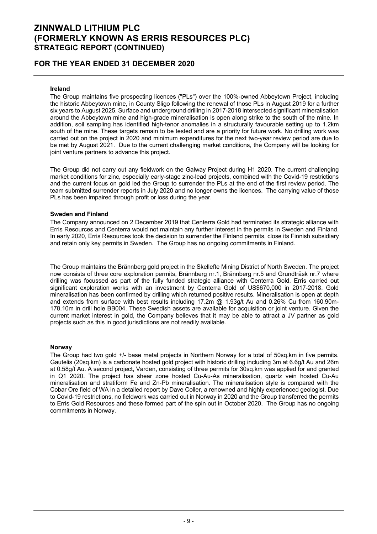### **FOR THE YEAR ENDED 31 DECEMBER 2020**

#### **Ireland**

The Group maintains five prospecting licences ("PLs") over the 100%-owned Abbeytown Project, including the historic Abbeytown mine, in County Sligo following the renewal of those PLs in August 2019 for a further six years to August 2025. Surface and underground drilling in 2017-2018 intersected significant mineralisation around the Abbeytown mine and high-grade mineralisation is open along strike to the south of the mine. In addition, soil sampling has identified high-tenor anomalies in a structurally favourable setting up to 1.2km south of the mine. These targets remain to be tested and are a priority for future work. No drilling work was carried out on the project in 2020 and minimum expenditures for the next two-year review period are due to be met by August 2021. Due to the current challenging market conditions, the Company will be looking for joint venture partners to advance this project.

The Group did not carry out any fieldwork on the Galway Project during H1 2020. The current challenging market conditions for zinc, especially early-stage zinc-lead projects, combined with the Covid-19 restrictions and the current focus on gold led the Group to surrender the PLs at the end of the first review period. The team submitted surrender reports in July 2020 and no longer owns the licences. The carrying value of those PLs has been impaired through profit or loss during the year.

#### **Sweden and Finland**

The Company announced on 2 December 2019 that Centerra Gold had terminated its strategic alliance with Erris Resources and Centerra would not maintain any further interest in the permits in Sweden and Finland. In early 2020, Erris Resources took the decision to surrender the Finland permits, close its Finnish subsidiary and retain only key permits in Sweden. The Group has no ongoing commitments in Finland.

The Group maintains the Brännberg gold project in the Skellefte Mining District of North Sweden. The project now consists of three core exploration permits, Brännberg nr.1, Brännberg nr.5 and Grundträsk nr.7 where drilling was focussed as part of the fully funded strategic alliance with Centerra Gold. Erris carried out significant exploration works with an investment by Centerra Gold of US\$670,000 in 2017-2018. Gold mineralisation has been confirmed by drilling which returned positive results. Mineralisation is open at depth and extends from surface with best results including 17.2m @ 1.93g/t Au and 0.26% Cu from 160.90m-178.10m in drill hole BB004. These Swedish assets are available for acquisition or joint venture. Given the current market interest in gold, the Company believes that it may be able to attract a JV partner as gold projects such as this in good jurisdictions are not readily available.

#### **Norway**

The Group had two gold +/- base metal projects in Northern Norway for a total of 50sq.km in five permits. Gautelis (20sq.km) is a carbonate hosted gold project with historic drilling including 3m at 6.6g/t Au and 26m at 0.58g/t Au. A second project, Varden, consisting of three permits for 30sq.km was applied for and granted in Q1 2020. The project has shear zone hosted Cu-Au-As mineralisation, quartz vein hosted Cu-Au mineralisation and stratiform Fe and Zn-Pb mineralisation. The mineralisation style is compared with the Cobar Ore field of WA in a detailed report by Dave Coller, a renowned and highly experienced geologist. Due to Covid-19 restrictions, no fieldwork was carried out in Norway in 2020 and the Group transferred the permits to Erris Gold Resources and these formed part of the spin out in October 2020. The Group has no ongoing commitments in Norway.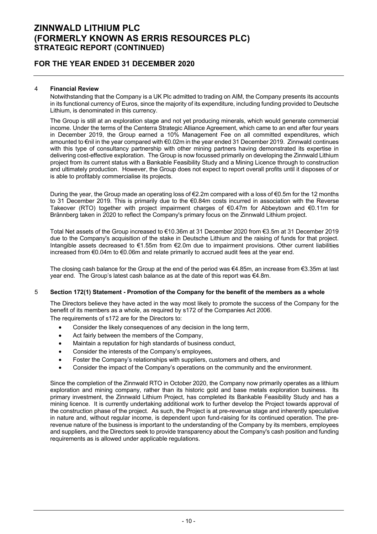### **FOR THE YEAR ENDED 31 DECEMBER 2020**

#### 4 **Financial Review**

Notwithstanding that the Company is a UK Plc admitted to trading on AIM, the Company presents its accounts in its functional currency of Euros, since the majority of its expenditure, including funding provided to Deutsche Lithium, is denominated in this currency.

The Group is still at an exploration stage and not yet producing minerals, which would generate commercial income. Under the terms of the Centerra Strategic Alliance Agreement, which came to an end after four years in December 2019, the Group earned a 10% Management Fee on all committed expenditures, which amounted to €nil in the year compared with €0.02m in the year ended 31 December 2019. Zinnwald continues with this type of consultancy partnership with other mining partners having demonstrated its expertise in delivering cost-effective exploration. The Group is now focussed primarily on developing the Zinnwald Lithium project from its current status with a Bankable Feasibility Study and a Mining Licence through to construction and ultimately production. However, the Group does not expect to report overall profits until it disposes of or is able to profitably commercialise its projects.

During the year, the Group made an operating loss of €2.2m compared with a loss of €0.5m for the 12 months to 31 December 2019. This is primarily due to the €0.84m costs incurred in association with the Reverse Takeover (RTO) together with project impairment charges of €0.47m for Abbeytown and €0.11m for Brännberg taken in 2020 to reflect the Company's primary focus on the Zinnwald Lithium project.

Total Net assets of the Group increased to €10.36m at 31 December 2020 from €3.5m at 31 December 2019 due to the Company's acquisition of the stake in Deutsche Lithium and the raising of funds for that project. Intangible assets decreased to €1.55m from €2.0m due to impairment provisions. Other current liabilities increased from €0.04m to €0.06m and relate primarily to accrued audit fees at the year end.

The closing cash balance for the Group at the end of the period was €4.85m, an increase from €3.35m at last year end. The Group's latest cash balance as at the date of this report was €4.8m.

#### 5 **Section 172(1) Statement - Promotion of the Company for the benefit of the members as a whole**

The Directors believe they have acted in the way most likely to promote the success of the Company for the benefit of its members as a whole, as required by s172 of the Companies Act 2006.

The requirements of s172 are for the Directors to:

- Consider the likely consequences of any decision in the long term,
- Act fairly between the members of the Company,
- Maintain a reputation for high standards of business conduct,
- Consider the interests of the Company's employees,
- Foster the Company's relationships with suppliers, customers and others, and
- Consider the impact of the Company's operations on the community and the environment.

Since the completion of the Zinnwald RTO in October 2020, the Company now primarily operates as a lithium exploration and mining company, rather than its historic gold and base metals exploration business. Its primary investment, the Zinnwald Lithium Project, has completed its Bankable Feasibility Study and has a mining licence. It is currently undertaking additional work to further develop the Project towards approval of the construction phase of the project. As such, the Project is at pre-revenue stage and inherently speculative in nature and, without regular income, is dependent upon fund-raising for its continued operation. The prerevenue nature of the business is important to the understanding of the Company by its members, employees and suppliers, and the Directors seek to provide transparency about the Company's cash position and funding requirements as is allowed under applicable regulations.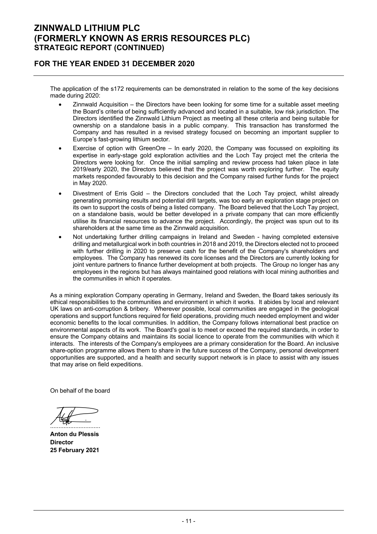### **FOR THE YEAR ENDED 31 DECEMBER 2020**

The application of the s172 requirements can be demonstrated in relation to the some of the key decisions made during 2020:

- Zinnwald Acquisition the Directors have been looking for some time for a suitable asset meeting the Board's criteria of being sufficiently advanced and located in a suitable, low risk jurisdiction. The Directors identified the Zinnwald Lithium Project as meeting all these criteria and being suitable for ownership on a standalone basis in a public company. This transaction has transformed the Company and has resulted in a revised strategy focused on becoming an important supplier to Europe's fast-growing lithium sector.
- Exercise of option with GreenOre In early 2020, the Company was focussed on exploiting its expertise in early-stage gold exploration activities and the Loch Tay project met the criteria the Directors were looking for. Once the initial sampling and review process had taken place in late 2019/early 2020, the Directors believed that the project was worth exploring further. The equity markets responded favourably to this decision and the Company raised further funds for the project in May 2020.
- Divestment of Erris Gold the Directors concluded that the Loch Tay project, whilst already generating promising results and potential drill targets, was too early an exploration stage project on its own to support the costs of being a listed company. The Board believed that the Loch Tay project, on a standalone basis, would be better developed in a private company that can more efficiently utilise its financial resources to advance the project. Accordingly, the project was spun out to its shareholders at the same time as the Zinnwald acquisition.
- Not undertaking further drilling campaigns in Ireland and Sweden having completed extensive drilling and metallurgical work in both countries in 2018 and 2019, the Directors elected not to proceed with further drilling in 2020 to preserve cash for the benefit of the Company's shareholders and employees. The Company has renewed its core licenses and the Directors are currently looking for joint venture partners to finance further development at both projects. The Group no longer has any employees in the regions but has always maintained good relations with local mining authorities and the communities in which it operates.

As a mining exploration Company operating in Germany, Ireland and Sweden, the Board takes seriously its ethical responsibilities to the communities and environment in which it works. It abides by local and relevant UK laws on anti-corruption & bribery. Wherever possible, local communities are engaged in the geological operations and support functions required for field operations, providing much needed employment and wider economic benefits to the local communities. In addition, the Company follows international best practice on environmental aspects of its work. The Board's goal is to meet or exceed the required standards, in order to ensure the Company obtains and maintains its social licence to operate from the communities with which it interacts. The interests of the Company's employees are a primary consideration for the Board. An inclusive share-option programme allows them to share in the future success of the Company, personal development opportunities are supported, and a health and security support network is in place to assist with any issues that may arise on field expeditions.

On behalf of the board

..............................

**Anton du Plessis Director 25 February 2021**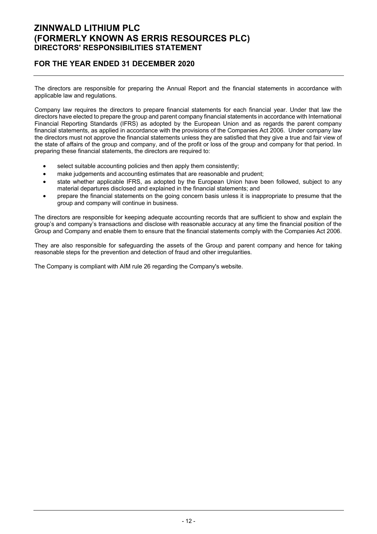### **ZINNWALD LITHIUM PLC (FORMERLY KNOWN AS ERRIS RESOURCES PLC) DIRECTORS' RESPONSIBILITIES STATEMENT**

### **FOR THE YEAR ENDED 31 DECEMBER 2020**

The directors are responsible for preparing the Annual Report and the financial statements in accordance with applicable law and regulations.

Company law requires the directors to prepare financial statements for each financial year. Under that law the directors have elected to prepare the group and parent company financial statements in accordance with International Financial Reporting Standards (IFRS) as adopted by the European Union and as regards the parent company financial statements, as applied in accordance with the provisions of the Companies Act 2006. Under company law the directors must not approve the financial statements unless they are satisfied that they give a true and fair view of the state of affairs of the group and company, and of the profit or loss of the group and company for that period. In preparing these financial statements, the directors are required to:

- select suitable accounting policies and then apply them consistently;
- make judgements and accounting estimates that are reasonable and prudent;
- state whether applicable IFRS, as adopted by the European Union have been followed, subject to any material departures disclosed and explained in the financial statements; and
- prepare the financial statements on the going concern basis unless it is inappropriate to presume that the group and company will continue in business.

The directors are responsible for keeping adequate accounting records that are sufficient to show and explain the group's and company's transactions and disclose with reasonable accuracy at any time the financial position of the Group and Company and enable them to ensure that the financial statements comply with the Companies Act 2006.

They are also responsible for safeguarding the assets of the Group and parent company and hence for taking reasonable steps for the prevention and detection of fraud and other irregularities.

The Company is compliant with AIM rule 26 regarding the Company's website.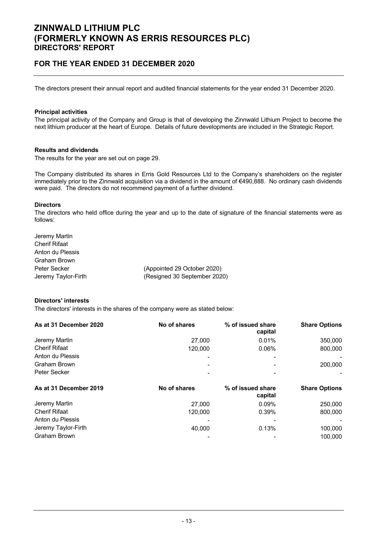### **ZINNWALD LITHIUM PLC (FORMERLY KNOWN AS ERRIS RESOURCES PLC) DIRECTORS' REPORT**

### **FOR THE YEAR ENDED 31 DECEMBER 2020**

The directors present their annual report and audited financial statements for the year ended 31 December 2020.

#### **Principal activities**

The principal activity of the Company and Group is that of developing the Zinnwald Lithium Project to become the next lithium producer at the heart of Europe. Details of future developments are included in the Strategic Report.

#### **Results and dividends**

The results for the year are set out on page 29.

The Company distributed its shares in Erris Gold Resources Ltd to the Company's shareholders on the register immediately prior to the Zinnwald acquisition via a dividend in the amount of €490,888. No ordinary cash dividends were paid. The directors do not recommend payment of a further dividend.

#### **Directors**

The directors who held office during the year and up to the date of signature of the financial statements were as follows:

| Jeremy Martin        |                              |
|----------------------|------------------------------|
| <b>Cherif Rifaat</b> |                              |
| Anton du Plessis     |                              |
| Graham Brown         |                              |
| Peter Secker         | (Appointed 29 October 2020)  |
| Jeremy Taylor-Firth  | (Resigned 30 September 2020) |

#### **Directors' interests**

The directors' interests in the shares of the company were as stated below:

| As at 31 December 2020 | No of shares             | % of issued share<br>capital | <b>Share Options</b> |
|------------------------|--------------------------|------------------------------|----------------------|
| Jeremy Martin          | 27,000                   | 0.01%                        | 350,000              |
| <b>Cherif Rifaat</b>   | 120,000                  | $0.06\%$                     | 800,000              |
| Anton du Plessis       | $\overline{\phantom{0}}$ | -                            |                      |
| Graham Brown           | $\overline{\phantom{0}}$ | -                            | 200,000              |
| Peter Secker           | -                        | -                            |                      |

| As at 31 December 2019 | No of shares | % of issued share<br>capital | <b>Share Options</b> |
|------------------------|--------------|------------------------------|----------------------|
| Jeremy Martin          | 27,000       | $0.09\%$                     | 250,000              |
| <b>Cherif Rifaat</b>   | 120,000      | 0.39%                        | 800,000              |
| Anton du Plessis       | -            | -                            |                      |
| Jeremy Taylor-Firth    | 40,000       | 0.13%                        | 100,000              |
| Graham Brown           | ۰            |                              | 100,000              |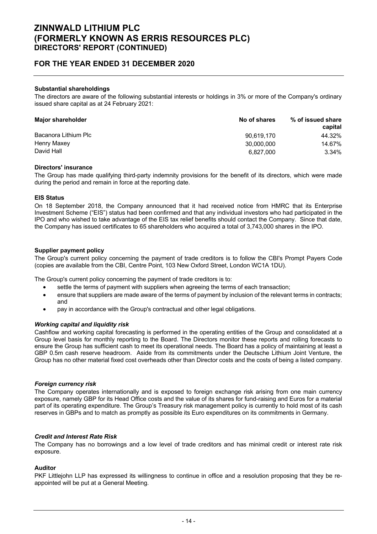### **FOR THE YEAR ENDED 31 DECEMBER 2020**

#### **Substantial shareholdings**

The directors are aware of the following substantial interests or holdings in 3% or more of the Company's ordinary issued share capital as at 24 February 2021:

| Major shareholder    | No of shares | % of issued share<br>capital |
|----------------------|--------------|------------------------------|
| Bacanora Lithium Plc | 90.619.170   | 44.32%                       |
| Henry Maxey          | 30.000.000   | 14.67%                       |
| David Hall           | 6.827.000    | 3.34%                        |

#### **Directors' insurance**

The Group has made qualifying third-party indemnity provisions for the benefit of its directors, which were made during the period and remain in force at the reporting date.

#### **EIS Status**

On 18 September 2018, the Company announced that it had received notice from HMRC that its Enterprise Investment Scheme ("EIS") status had been confirmed and that any individual investors who had participated in the IPO and who wished to take advantage of the EIS tax relief benefits should contact the Company. Since that date, the Company has issued certificates to 65 shareholders who acquired a total of 3,743,000 shares in the IPO.

#### **Supplier payment policy**

The Group's current policy concerning the payment of trade creditors is to follow the CBI's Prompt Payers Code (copies are available from the CBI, Centre Point, 103 New Oxford Street, London WC1A 1DU).

The Group's current policy concerning the payment of trade creditors is to:

- settle the terms of payment with suppliers when agreeing the terms of each transaction;
- ensure that suppliers are made aware of the terms of payment by inclusion of the relevant terms in contracts; and
- pay in accordance with the Group's contractual and other legal obligations.

#### *Working capital and liquidity risk*

Cashflow and working capital forecasting is performed in the operating entities of the Group and consolidated at a Group level basis for monthly reporting to the Board. The Directors monitor these reports and rolling forecasts to ensure the Group has sufficient cash to meet its operational needs. The Board has a policy of maintaining at least a GBP 0.5m cash reserve headroom. Aside from its commitments under the Deutsche Lithium Joint Venture, the Group has no other material fixed cost overheads other than Director costs and the costs of being a listed company.

#### *Foreign currency risk*

The Company operates internationally and is exposed to foreign exchange risk arising from one main currency exposure, namely GBP for its Head Office costs and the value of its shares for fund-raising and Euros for a material part of its operating expenditure. The Group's Treasury risk management policy is currently to hold most of its cash reserves in GBPs and to match as promptly as possible its Euro expenditures on its commitments in Germany.

#### *Credit and Interest Rate Risk*

The Company has no borrowings and a low level of trade creditors and has minimal credit or interest rate risk exposure.

#### **Auditor**

PKF Littlejohn LLP has expressed its willingness to continue in office and a resolution proposing that they be reappointed will be put at a General Meeting.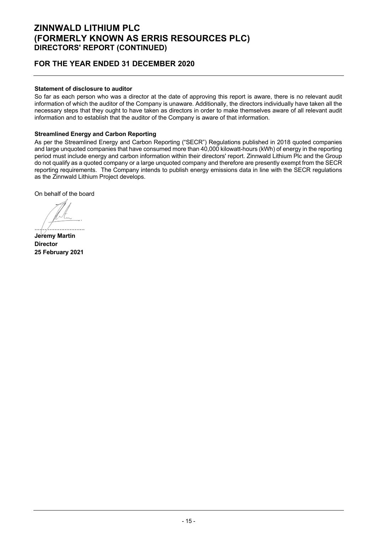### **FOR THE YEAR ENDED 31 DECEMBER 2020**

#### **Statement of disclosure to auditor**

So far as each person who was a director at the date of approving this report is aware, there is no relevant audit information of which the auditor of the Company is unaware. Additionally, the directors individually have taken all the necessary steps that they ought to have taken as directors in order to make themselves aware of all relevant audit information and to establish that the auditor of the Company is aware of that information.

#### **Streamlined Energy and Carbon Reporting**

As per the Streamlined Energy and Carbon Reporting ("SECR") Regulations published in 2018 quoted companies and large unquoted companies that have consumed more than 40,000 kilowatt-hours (kWh) of energy in the reporting period must include energy and carbon information within their directors' report. Zinnwald Lithium Plc and the Group do not qualify as a quoted company or a large unquoted company and therefore are presently exempt from the SECR reporting requirements. The Company intends to publish energy emissions data in line with the SECR regulations as the Zinnwald Lithium Project develops.

On behalf of the board

...../..*./*......................

**Jeremy Martin Director 25 February 2021**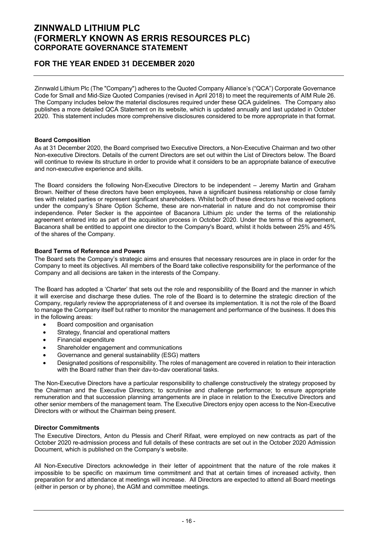### **FOR THE YEAR ENDED 31 DECEMBER 2020**

Zinnwald Lithium Plc (The "Company") adheres to the Quoted Company Alliance's ("QCA") Corporate Governance Code for Small and Mid-Size Quoted Companies (revised in April 2018) to meet the requirements of AIM Rule 26. The Company includes below the material disclosures required under these QCA guidelines. The Company also publishes a more detailed QCA Statement on its website, which is updated annually and last updated in October 2020. This statement includes more comprehensive disclosures considered to be more appropriate in that format.

#### **Board Composition**

As at 31 December 2020, the Board comprised two Executive Directors, a Non-Executive Chairman and two other Non-executive Directors. Details of the current Directors are set out within the List of Directors below. The Board will continue to review its structure in order to provide what it considers to be an appropriate balance of executive and non-executive experience and skills.

The Board considers the following Non-Executive Directors to be independent – Jeremy Martin and Graham Brown. Neither of these directors have been employees, have a significant business relationship or close family ties with related parties or represent significant shareholders. Whilst both of these directors have received options under the company's Share Option Scheme, these are non-material in nature and do not compromise their independence. Peter Secker is the appointee of Bacanora Lithium plc under the terms of the relationship agreement entered into as part of the acquisition process in October 2020. Under the terms of this agreement, Bacanora shall be entitled to appoint one director to the Company's Board, whilst it holds between 25% and 45% of the shares of the Company.

#### **Board Terms of Reference and Powers**

The Board sets the Company's strategic aims and ensures that necessary resources are in place in order for the Company to meet its objectives. All members of the Board take collective responsibility for the performance of the Company and all decisions are taken in the interests of the Company.

The Board has adopted a 'Charter' that sets out the role and responsibility of the Board and the manner in which it will exercise and discharge these duties. The role of the Board is to determine the strategic direction of the Company, regularly review the appropriateness of it and oversee its implementation. It is not the role of the Board to manage the Company itself but rather to monitor the management and performance of the business. It does this in the following areas:

- Board composition and organisation
- Strategy, financial and operational matters
- Financial expenditure
- Shareholder engagement and communications
- Governance and general sustainability (ESG) matters
- Designated positions of responsibility. The roles of management are covered in relation to their interaction with the Board rather than their day-to-day operational tasks.

The Non-Executive Directors have a particular responsibility to challenge constructively the strategy proposed by the Chairman and the Executive Directors; to scrutinise and challenge performance; to ensure appropriate remuneration and that succession planning arrangements are in place in relation to the Executive Directors and other senior members of the management team. The Executive Directors enjoy open access to the Non-Executive Directors with or without the Chairman being present.

#### **Director Commitments**

The Executive Directors, Anton du Plessis and Cherif Rifaat, were employed on new contracts as part of the October 2020 re-admission process and full details of these contracts are set out in the October 2020 Admission Document, which is published on the Company's website.

All Non-Executive Directors acknowledge in their letter of appointment that the nature of the role makes it impossible to be specific on maximum time commitment and that at certain times of increased activity, then preparation for and attendance at meetings will increase. All Directors are expected to attend all Board meetings (either in person or by phone), the AGM and committee meetings.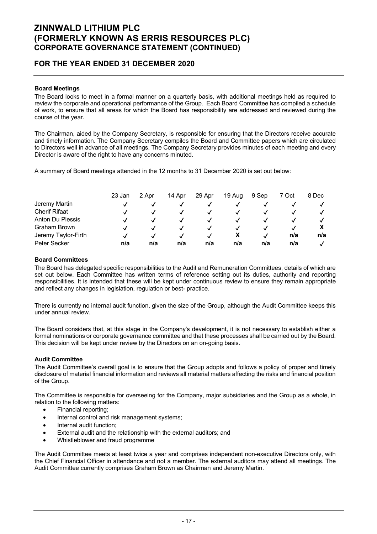### **FOR THE YEAR ENDED 31 DECEMBER 2020**

#### **Board Meetings**

The Board looks to meet in a formal manner on a quarterly basis, with additional meetings held as required to review the corporate and operational performance of the Group. Each Board Committee has compiled a schedule of work, to ensure that all areas for which the Board has responsibility are addressed and reviewed during the course of the year.

The Chairman, aided by the Company Secretary, is responsible for ensuring that the Directors receive accurate and timely information. The Company Secretary compiles the Board and Committee papers which are circulated to Directors well in advance of all meetings. The Company Secretary provides minutes of each meeting and every Director is aware of the right to have any concerns minuted.

A summary of Board meetings attended in the 12 months to 31 December 2020 is set out below:

|                         | 23 Jan | 2 Apr   | 14 Apr           | 29 Apr | 19 Aug | 9 Sep            | 7 Oct | 8 Dec |
|-------------------------|--------|---------|------------------|--------|--------|------------------|-------|-------|
| Jeremy Martin           |        | ✔       | √                |        |        |                  |       |       |
| <b>Cherif Rifaat</b>    |        | √       | ✓                |        |        |                  | √     |       |
| <b>Anton Du Plessis</b> |        | √       | √                |        |        | ✓                | √     |       |
| Graham Brown            |        | √       | $\boldsymbol{J}$ |        |        | $\boldsymbol{J}$ | √     | X     |
| Jeremy Taylor-Firth     |        | $\cdot$ | $\mathcal{L}$    |        | x      | $\mathcal{F}$    | n/a   | n/a   |
| Peter Secker            | n/a    | n/a     | n/a              | n/a    | n/a    | n/a              | n/a   |       |

#### **Board Committees**

The Board has delegated specific responsibilities to the Audit and Remuneration Committees, details of which are set out below. Each Committee has written terms of reference setting out its duties, authority and reporting responsibilities. It is intended that these will be kept under continuous review to ensure they remain appropriate and reflect any changes in legislation, regulation or best- practice.

There is currently no internal audit function, given the size of the Group, although the Audit Committee keeps this under annual review.

The Board considers that, at this stage in the Company's development, it is not necessary to establish either a formal nominations or corporate governance committee and that these processes shall be carried out by the Board. This decision will be kept under review by the Directors on an on-going basis.

#### **Audit Committee**

The Audit Committee's overall goal is to ensure that the Group adopts and follows a policy of proper and timely disclosure of material financial information and reviews all material matters affecting the risks and financial position of the Group.

The Committee is responsible for overseeing for the Company, major subsidiaries and the Group as a whole, in relation to the following matters:

- Financial reporting;
- Internal control and risk management systems;
- Internal audit function;
- External audit and the relationship with the external auditors; and
- Whistleblower and fraud programme

The Audit Committee meets at least twice a year and comprises independent non-executive Directors only, with the Chief Financial Officer in attendance and not a member. The external auditors may attend all meetings. The Audit Committee currently comprises Graham Brown as Chairman and Jeremy Martin.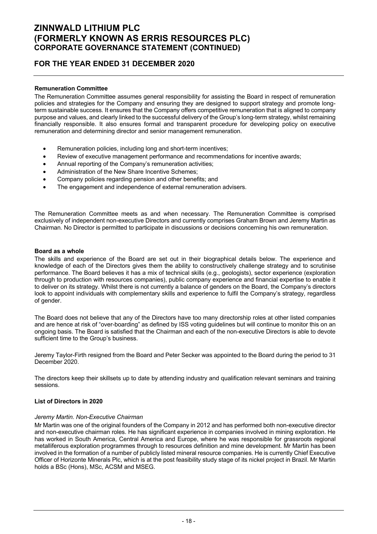### **FOR THE YEAR ENDED 31 DECEMBER 2020**

#### **Remuneration Committee**

The Remuneration Committee assumes general responsibility for assisting the Board in respect of remuneration policies and strategies for the Company and ensuring they are designed to support strategy and promote longterm sustainable success. It ensures that the Company offers competitive remuneration that is aligned to company purpose and values, and clearly linked to the successful delivery of the Group's long-term strategy, whilst remaining financially responsible. It also ensures formal and transparent procedure for developing policy on executive remuneration and determining director and senior management remuneration.

- Remuneration policies, including long and short-term incentives;
- Review of executive management performance and recommendations for incentive awards;
- Annual reporting of the Company's remuneration activities;
- Administration of the New Share Incentive Schemes:
- Company policies regarding pension and other benefits; and
- The engagement and independence of external remuneration advisers.

The Remuneration Committee meets as and when necessary. The Remuneration Committee is comprised exclusively of independent non-executive Directors and currently comprises Graham Brown and Jeremy Martin as Chairman. No Director is permitted to participate in discussions or decisions concerning his own remuneration.

#### **Board as a whole**

The skills and experience of the Board are set out in their biographical details below. The experience and knowledge of each of the Directors gives them the ability to constructively challenge strategy and to scrutinise performance. The Board believes it has a mix of technical skills (e.g., geologists), sector experience (exploration through to production with resources companies), public company experience and financial expertise to enable it to deliver on its strategy. Whilst there is not currently a balance of genders on the Board, the Company's directors look to appoint individuals with complementary skills and experience to fulfil the Company's strategy, regardless of gender.

The Board does not believe that any of the Directors have too many directorship roles at other listed companies and are hence at risk of "over-boarding" as defined by ISS voting guidelines but will continue to monitor this on an ongoing basis. The Board is satisfied that the Chairman and each of the non-executive Directors is able to devote sufficient time to the Group's business.

Jeremy Taylor-Firth resigned from the Board and Peter Secker was appointed to the Board during the period to 31 December 2020.

The directors keep their skillsets up to date by attending industry and qualification relevant seminars and training sessions.

#### **List of Directors in 2020**

#### *Jeremy Martin. Non-Executive Chairman*

Mr Martin was one of the original founders of the Company in 2012 and has performed both non-executive director and non-executive chairman roles. He has significant experience in companies involved in mining exploration. He has worked in South America, Central America and Europe, where he was responsible for grassroots regional metalliferous exploration programmes through to resources definition and mine development. Mr Martin has been involved in the formation of a number of publicly listed mineral resource companies. He is currently Chief Executive Officer of Horizonte Minerals Plc, which is at the post feasibility study stage of its nickel project in Brazil. Mr Martin holds a BSc (Hons), MSc, ACSM and MSEG.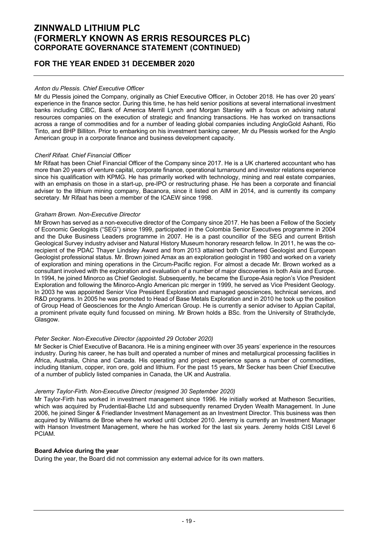### **FOR THE YEAR ENDED 31 DECEMBER 2020**

#### *Anton du Plessis. Chief Executive Officer*

Mr du Plessis joined the Company, originally as Chief Executive Officer, in October 2018. He has over 20 years' experience in the finance sector. During this time, he has held senior positions at several international investment banks including CIBC, Bank of America Merrill Lynch and Morgan Stanley with a focus on advising natural resources companies on the execution of strategic and financing transactions. He has worked on transactions across a range of commodities and for a number of leading global companies including AngloGold Ashanti, Rio Tinto, and BHP Billiton. Prior to embarking on his investment banking career, Mr du Plessis worked for the Anglo American group in a corporate finance and business development capacity.

#### *Cherif Rifaat. Chief Financial Officer*

Mr Rifaat has been Chief Financial Officer of the Company since 2017. He is a UK chartered accountant who has more than 20 years of venture capital, corporate finance, operational turnaround and investor relations experience since his qualification with KPMG. He has primarily worked with technology, mining and real estate companies, with an emphasis on those in a start-up, pre-IPO or restructuring phase. He has been a corporate and financial adviser to the lithium mining company, Bacanora, since it listed on AIM in 2014, and is currently its company secretary. Mr Rifaat has been a member of the ICAEW since 1998.

#### *Graham Brown. Non-Executive Director*

Mr Brown has served as a non-executive director of the Company since 2017. He has been a Fellow of the Society of Economic Geologists ("SEG") since 1999, participated in the Colombia Senior Executives programme in 2004 and the Duke Business Leaders programme in 2007. He is a past councillor of the SEG and current British Geological Survey industry adviser and Natural History Museum honorary research fellow. In 2011, he was the corecipient of the PDAC Thayer Lindsley Award and from 2013 attained both Chartered Geologist and European Geologist professional status. Mr. Brown joined Amax as an exploration geologist in 1980 and worked on a variety of exploration and mining operations in the Circum-Pacific region. For almost a decade Mr. Brown worked as a consultant involved with the exploration and evaluation of a number of major discoveries in both Asia and Europe. In 1994, he joined Minorco as Chief Geologist. Subsequently, he became the Europe-Asia region's Vice President Exploration and following the Minorco-Anglo American plc merger in 1999, he served as Vice President Geology. In 2003 he was appointed Senior Vice President Exploration and managed geosciences, technical services, and R&D programs. In 2005 he was promoted to Head of Base Metals Exploration and in 2010 he took up the position of Group Head of Geosciences for the Anglo American Group. He is currently a senior adviser to Appian Capital, a prominent private equity fund focussed on mining. Mr Brown holds a BSc. from the University of Strathclyde, Glasgow.

#### *Peter Secker. Non-Executive Director (appointed 29 October 2020)*

Mr Secker is Chief Executive of Bacanora. He is a mining engineer with over 35 years' experience in the resources industry. During his career, he has built and operated a number of mines and metallurgical processing facilities in Africa, Australia, China and Canada. His operating and project experience spans a number of commodities, including titanium, copper, iron ore, gold and lithium. For the past 15 years, Mr Secker has been Chief Executive of a number of publicly listed companies in Canada, the UK and Australia.

#### *Jeremy Taylor-Firth. Non-Executive Director (resigned 30 September 2020)*

Mr Taylor-Firth has worked in investment management since 1996. He initially worked at Matheson Securities, which was acquired by Prudential-Bache Ltd and subsequently renamed Dryden Wealth Management. In June 2006, he joined Singer & Friedlander Investment Management as an Investment Director. This business was then acquired by Williams de Broe where he worked until October 2010. Jeremy is currently an Investment Manager with Hanson Investment Management, where he has worked for the last six years. Jeremy holds CISI Level 6 PCIAM.

#### **Board Advice during the year**

During the year, the Board did not commission any external advice for its own matters.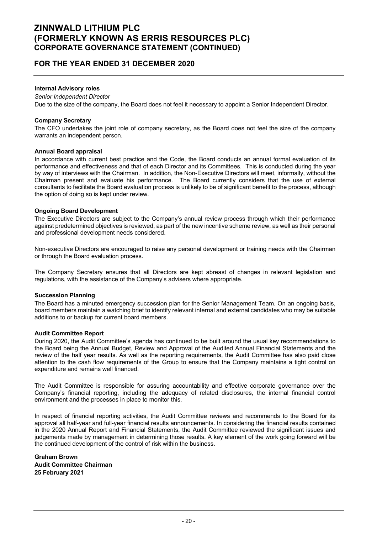### **FOR THE YEAR ENDED 31 DECEMBER 2020**

#### **Internal Advisory roles**

*Senior Independent Director*

Due to the size of the company, the Board does not feel it necessary to appoint a Senior Independent Director.

#### **Company Secretary**

The CFO undertakes the joint role of company secretary, as the Board does not feel the size of the company warrants an independent person.

#### **Annual Board appraisal**

In accordance with current best practice and the Code, the Board conducts an annual formal evaluation of its performance and effectiveness and that of each Director and its Committees. This is conducted during the year by way of interviews with the Chairman. In addition, the Non-Executive Directors will meet, informally, without the Chairman present and evaluate his performance. The Board currently considers that the use of external consultants to facilitate the Board evaluation process is unlikely to be of significant benefit to the process, although the option of doing so is kept under review.

#### **Ongoing Board Development**

The Executive Directors are subject to the Company's annual review process through which their performance against predetermined objectives is reviewed, as part of the new incentive scheme review, as well as their personal and professional development needs considered.

Non-executive Directors are encouraged to raise any personal development or training needs with the Chairman or through the Board evaluation process.

The Company Secretary ensures that all Directors are kept abreast of changes in relevant legislation and regulations, with the assistance of the Company's advisers where appropriate.

#### **Succession Planning**

The Board has a minuted emergency succession plan for the Senior Management Team. On an ongoing basis, board members maintain a watching brief to identify relevant internal and external candidates who may be suitable additions to or backup for current board members.

#### **Audit Committee Report**

During 2020, the Audit Committee's agenda has continued to be built around the usual key recommendations to the Board being the Annual Budget, Review and Approval of the Audited Annual Financial Statements and the review of the half year results. As well as the reporting requirements, the Audit Committee has also paid close attention to the cash flow requirements of the Group to ensure that the Company maintains a tight control on expenditure and remains well financed.

The Audit Committee is responsible for assuring accountability and effective corporate governance over the Company's financial reporting, including the adequacy of related disclosures, the internal financial control environment and the processes in place to monitor this.

In respect of financial reporting activities, the Audit Committee reviews and recommends to the Board for its approval all half-year and full-year financial results announcements. In considering the financial results contained in the 2020 Annual Report and Financial Statements, the Audit Committee reviewed the significant issues and judgements made by management in determining those results. A key element of the work going forward will be the continued development of the control of risk within the business.

**Graham Brown Audit Committee Chairman 25 February 2021**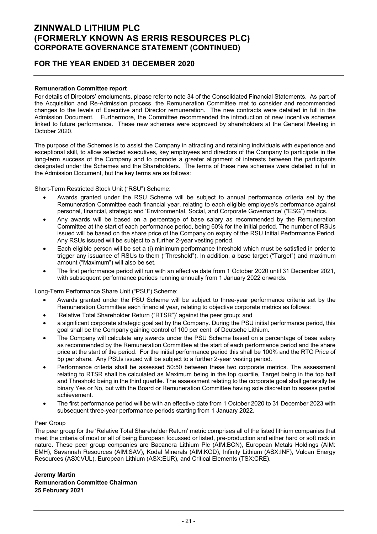### **FOR THE YEAR ENDED 31 DECEMBER 2020**

#### **Remuneration Committee report**

For details of Directors' emoluments, please refer to note 34 of the Consolidated Financial Statements. As part of the Acquisition and Re-Admission process, the Remuneration Committee met to consider and recommended changes to the levels of Executive and Director remuneration. The new contracts were detailed in full in the Admission Document. Furthermore, the Committee recommended the introduction of new incentive schemes linked to future performance. These new schemes were approved by shareholders at the General Meeting in October 2020.

The purpose of the Schemes is to assist the Company in attracting and retaining individuals with experience and exceptional skill, to allow selected executives, key employees and directors of the Company to participate in the long-term success of the Company and to promote a greater alignment of interests between the participants designated under the Schemes and the Shareholders. The terms of these new schemes were detailed in full in the Admission Document, but the key terms are as follows:

Short-Term Restricted Stock Unit ("RSU") Scheme:

- Awards granted under the RSU Scheme will be subject to annual performance criteria set by the Remuneration Committee each financial year, relating to each eligible employee's performance against personal, financial, strategic and 'Environmental, Social, and Corporate Governance' ("ESG") metrics.
- Any awards will be based on a percentage of base salary as recommended by the Remuneration Committee at the start of each performance period, being 60% for the initial period. The number of RSUs issued will be based on the share price of the Company on expiry of the RSU Initial Performance Period. Any RSUs issued will be subject to a further 2-year vesting period.
- Each eligible person will be set a (i) minimum performance threshold which must be satisfied in order to trigger any issuance of RSUs to them ("Threshold"). In addition, a base target ("Target") and maximum amount ("Maximum") will also be set.
- The first performance period will run with an effective date from 1 October 2020 until 31 December 2021, with subsequent performance periods running annually from 1 January 2022 onwards.

Long-Term Performance Share Unit ("PSU") Scheme:

- Awards granted under the PSU Scheme will be subject to three-year performance criteria set by the Remuneration Committee each financial year, relating to objective corporate metrics as follows:
- 'Relative Total Shareholder Return ("RTSR")' against the peer group; and
- a significant corporate strategic goal set by the Company. During the PSU initial performance period, this goal shall be the Company gaining control of 100 per cent. of Deutsche Lithium.
- The Company will calculate any awards under the PSU Scheme based on a percentage of base salary as recommended by the Remuneration Committee at the start of each performance period and the share price at the start of the period. For the initial performance period this shall be 100% and the RTO Price of 5p per share. Any PSUs issued will be subject to a further 2-year vesting period.
- Performance criteria shall be assessed 50:50 between these two corporate metrics. The assessment relating to RTSR shall be calculated as Maximum being in the top quartile, Target being in the top half and Threshold being in the third quartile. The assessment relating to the corporate goal shall generally be binary Yes or No, but with the Board or Remuneration Committee having sole discretion to assess partial achievement.
- The first performance period will be with an effective date from 1 October 2020 to 31 December 2023 with subsequent three-year performance periods starting from 1 January 2022.

#### Peer Group

The peer group for the 'Relative Total Shareholder Return' metric comprises all of the listed lithium companies that meet the criteria of most or all of being European focussed or listed, pre-production and either hard or soft rock in nature. These peer group companies are Bacanora Lithium Plc (AIM:BCN), European Metals Holdings (AIM: EMH), Savannah Resources (AIM:SAV), Kodal Minerals (AIM:KOD), Infinity Lithium (ASX:INF), Vulcan Energy Resources (ASX:VUL), European Lithium (ASX:EUR), and Critical Elements (TSX:CRE).

#### **Jeremy Martin Remuneration Committee Chairman 25 February 2021**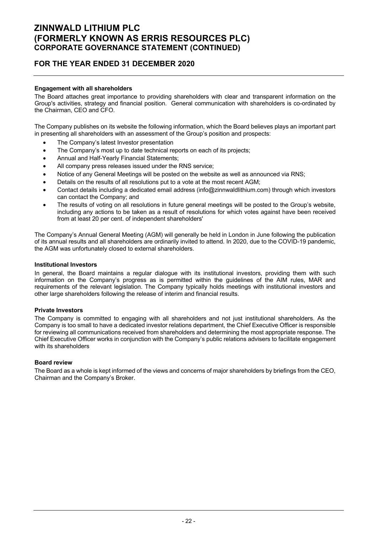### **FOR THE YEAR ENDED 31 DECEMBER 2020**

#### **Engagement with all shareholders**

The Board attaches great importance to providing shareholders with clear and transparent information on the Group's activities, strategy and financial position. General communication with shareholders is co-ordinated by the Chairman, CEO and CFO.

The Company publishes on its website the following information, which the Board believes plays an important part in presenting all shareholders with an assessment of the Group's position and prospects:

- The Company's latest Investor presentation
- The Company's most up to date technical reports on each of its projects;
- Annual and Half-Yearly Financial Statements;
- All company press releases issued under the RNS service;
- Notice of any General Meetings will be posted on the website as well as announced via RNS;
- Details on the results of all resolutions put to a vote at the most recent AGM;
- Contact details including a dedicated email address (info@zinnwaldlithium.com) through which investors can contact the Company; and
- The results of voting on all resolutions in future general meetings will be posted to the Group's website, including any actions to be taken as a result of resolutions for which votes against have been received from at least 20 per cent. of independent shareholders'

The Company's Annual General Meeting (AGM) will generally be held in London in June following the publication of its annual results and all shareholders are ordinarily invited to attend. In 2020, due to the COVID-19 pandemic, the AGM was unfortunately closed to external shareholders.

#### **Institutional Investors**

In general, the Board maintains a regular dialogue with its institutional investors, providing them with such information on the Company's progress as is permitted within the guidelines of the AIM rules, MAR and requirements of the relevant legislation. The Company typically holds meetings with institutional investors and other large shareholders following the release of interim and financial results.

#### **Private Investors**

The Company is committed to engaging with all shareholders and not just institutional shareholders. As the Company is too small to have a dedicated investor relations department, the Chief Executive Officer is responsible for reviewing all communications received from shareholders and determining the most appropriate response. The Chief Executive Officer works in conjunction with the Company's public relations advisers to facilitate engagement with its shareholders

#### **Board review**

The Board as a whole is kept informed of the views and concerns of major shareholders by briefings from the CEO, Chairman and the Company's Broker.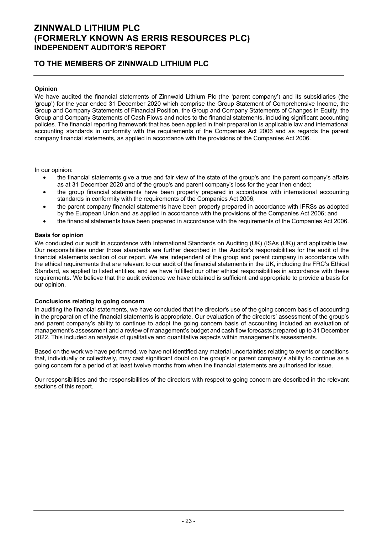### **TO THE MEMBERS OF ZINNWALD LITHIUM PLC**

#### **Opinion**

We have audited the financial statements of Zinnwald Lithium Plc (the 'parent company') and its subsidiaries (the 'group') for the year ended 31 December 2020 which comprise the Group Statement of Comprehensive Income, the Group and Company Statements of Financial Position, the Group and Company Statements of Changes in Equity, the Group and Company Statements of Cash Flows and notes to the financial statements, including significant accounting policies. The financial reporting framework that has been applied in their preparation is applicable law and international accounting standards in conformity with the requirements of the Companies Act 2006 and as regards the parent company financial statements, as applied in accordance with the provisions of the Companies Act 2006.

In our opinion:

- the financial statements give a true and fair view of the state of the group's and the parent company's affairs as at 31 December 2020 and of the group's and parent company's loss for the year then ended;
- the group financial statements have been properly prepared in accordance with international accounting standards in conformity with the requirements of the Companies Act 2006;
- the parent company financial statements have been properly prepared in accordance with IFRSs as adopted by the European Union and as applied in accordance with the provisions of the Companies Act 2006; and
- the financial statements have been prepared in accordance with the requirements of the Companies Act 2006.

#### **Basis for opinion**

We conducted our audit in accordance with International Standards on Auditing (UK) (ISAs (UK)) and applicable law. Our responsibilities under those standards are further described in the Auditor's responsibilities for the audit of the financial statements section of our report. We are independent of the group and parent company in accordance with the ethical requirements that are relevant to our audit of the financial statements in the UK, including the FRC's Ethical Standard, as applied to listed entities, and we have fulfilled our other ethical responsibilities in accordance with these requirements. We believe that the audit evidence we have obtained is sufficient and appropriate to provide a basis for our opinion.

#### **Conclusions relating to going concern**

In auditing the financial statements, we have concluded that the director's use of the going concern basis of accounting in the preparation of the financial statements is appropriate. Our evaluation of the directors' assessment of the group's and parent company's ability to continue to adopt the going concern basis of accounting included an evaluation of management's assessment and a review of management's budget and cash flow forecasts prepared up to 31 December 2022. This included an analysis of qualitative and quantitative aspects within management's assessments.

Based on the work we have performed, we have not identified any material uncertainties relating to events or conditions that, individually or collectively, may cast significant doubt on the group's or parent company's ability to continue as a going concern for a period of at least twelve months from when the financial statements are authorised for issue.

Our responsibilities and the responsibilities of the directors with respect to going concern are described in the relevant sections of this report.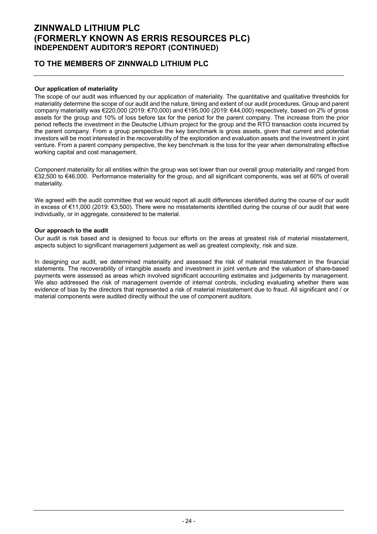### **TO THE MEMBERS OF ZINNWALD LITHIUM PLC**

#### **Our application of materiality**

The scope of our audit was influenced by our application of materiality. The quantitative and qualitative thresholds for materiality determine the scope of our audit and the nature, timing and extent of our audit procedures. Group and parent company materiality was €220,000 (2019: €70,000) and €195,000 (2019: €44,000) respectively, based on 2% of gross assets for the group and 10% of loss before tax for the period for the parent company. The increase from the prior period reflects the investment in the Deutsche Lithium project for the group and the RTO transaction costs incurred by the parent company. From a group perspective the key benchmark is gross assets, given that current and potential investors will be most interested in the recoverability of the exploration and evaluation assets and the investment in joint venture. From a parent company perspective, the key benchmark is the loss for the year when demonstrating effective working capital and cost management.

Component materiality for all entities within the group was set lower than our overall group materiality and ranged from €32,500 to €46,000. Performance materiality for the group, and all significant components, was set at 60% of overall materiality.

We agreed with the audit committee that we would report all audit differences identified during the course of our audit in excess of €11,000 (2019: €3,500). There were no misstatements identified during the course of our audit that were individually, or in aggregate, considered to be material.

#### **Our approach to the audit**

Our audit is risk based and is designed to focus our efforts on the areas at greatest risk of material misstatement, aspects subject to significant management judgement as well as greatest complexity, risk and size.

In designing our audit, we determined materiality and assessed the risk of material misstatement in the financial statements. The recoverability of intangible assets and investment in joint venture and the valuation of share-based payments were assessed as areas which involved significant accounting estimates and judgements by management. We also addressed the risk of management override of internal controls, including evaluating whether there was evidence of bias by the directors that represented a risk of material misstatement due to fraud. All significant and / or material components were audited directly without the use of component auditors.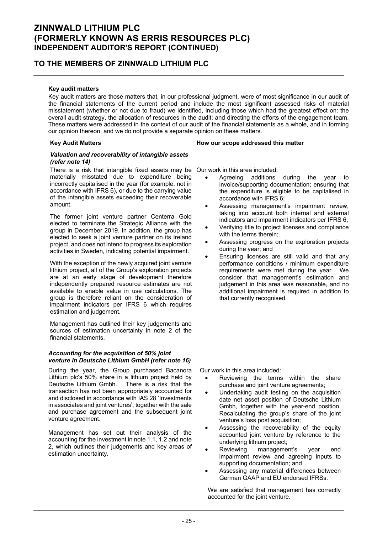### **TO THE MEMBERS OF ZINNWALD LITHIUM PLC**

#### **Key audit matters**

Key audit matters are those matters that, in our professional judgment, were of most significance in our audit of the financial statements of the current period and include the most significant assessed risks of material misstatement (whether or not due to fraud) we identified, including those which had the greatest effect on: the overall audit strategy, the allocation of resources in the audit; and directing the efforts of the engagement team. These matters were addressed in the context of our audit of the financial statements as a whole, and in forming our opinion thereon, and we do not provide a separate opinion on these matters.

### **Key Audit Matters How our scope addressed this matter**

#### *Valuation and recoverability of intangible assets (refer note 14)*

There is a risk that intangible fixed assets may be Our work in this area included: materially misstated due to expenditure being incorrectly capitalised in the year (for example, not in accordance with IFRS 6), or due to the carrying value of the intangible assets exceeding their recoverable amount.

The former joint venture partner Centerra Gold elected to terminate the Strategic Alliance with the group in December 2019. In addition, the group has elected to seek a joint venture partner on its Ireland project, and does not intend to progress its exploration activities in Sweden, indicating potential impairment.

With the exception of the newly acquired joint venture lithium project, all of the Group's exploration projects are at an early stage of development therefore independently prepared resource estimates are not available to enable value in use calculations. The group is therefore reliant on the consideration of impairment indicators per IFRS 6 which requires estimation and judgement.

Management has outlined their key judgements and sources of estimation uncertainty in note 2 of the financial statements.

#### *Accounting for the acquisition of 50% joint venture in Deutsche Lithium GmbH (refer note 16)*

During the year, the Group purchased Bacanora Lithium plc's 50% share in a lithium project held by Deutsche Lithium Gmbh. There is a risk that the transaction has not been appropriately accounted for and disclosed in accordance with IAS 28 'Investments in associates and joint ventures', together with the sale and purchase agreement and the subsequent joint venture agreement.

Management has set out their analysis of the accounting for the investment in note 1.1, 1.2 and note 2, which outlines their judgements and key areas of estimation uncertainty.

- Agreeing additions during the year to invoice/supporting documentation; ensuring that the expenditure is eligible to be capitalised in accordance with IFRS 6;
- Assessing management's impairment review, taking into account both internal and external indicators and impairment indicators per IFRS 6;
- Verifying title to project licenses and compliance with the terms therein:
- Assessing progress on the exploration projects during the year; and
- Ensuring licenses are still valid and that any performance conditions / minimum expenditure requirements were met during the year. We consider that management's estimation and judgement in this area was reasonable, and no additional impairment is required in addition to that currently recognised.

Our work in this area included:

- Reviewing the terms within the share purchase and joint venture agreements;
- Undertaking audit testing on the acquisition date net asset position of Deutsche Lithium Gmbh, together with the year-end position. Recalculating the group's share of the joint venture's loss post acquisition;
- Assessing the recoverability of the equity accounted joint venture by reference to the underlying lithium project;
- Reviewing management's year end impairment review and agreeing inputs to supporting documentation; and
- Assessing any material differences between German GAAP and EU endorsed IFRSs.

We are satisfied that management has correctly accounted for the joint venture.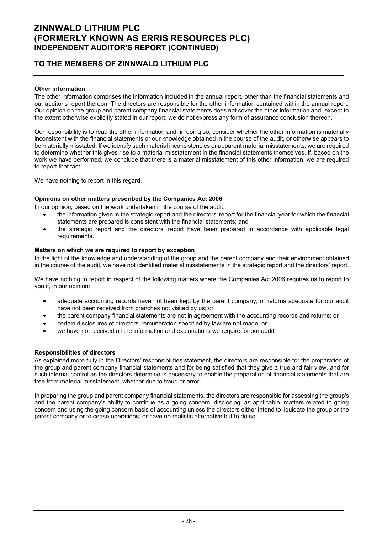### **TO THE MEMBERS OF ZINNWALD LITHIUM PLC**

#### **Other information**

The other information comprises the information included in the annual report, other than the financial statements and our auditor's report thereon. The directors are responsible for the other information contained within the annual report. Our opinion on the group and parent company financial statements does not cover the other information and, except to the extent otherwise explicitly stated in our report, we do not express any form of assurance conclusion thereon.

Our responsibility is to read the other information and, in doing so, consider whether the other information is materially inconsistent with the financial statements or our knowledge obtained in the course of the audit, or otherwise appears to be materially misstated. If we identify such material inconsistencies or apparent material misstatements, we are required to determine whether this gives rise to a material misstatement in the financial statements themselves. If, based on the work we have performed, we conclude that there is a material misstatement of this other information, we are required to report that fact.

We have nothing to report in this regard.

#### **Opinions on other matters prescribed by the Companies Act 2006**

In our opinion, based on the work undertaken in the course of the audit:

- the information given in the strategic report and the directors' report for the financial year for which the financial statements are prepared is consistent with the financial statements; and
- the strategic report and the directors' report have been prepared in accordance with applicable legal requirements.

#### **Matters on which we are required to report by exception**

In the light of the knowledge and understanding of the group and the parent company and their environment obtained in the course of the audit, we have not identified material misstatements in the strategic report and the directors' report.

We have nothing to report in respect of the following matters where the Companies Act 2006 requires us to report to you if, in our opinion:

- adequate accounting records have not been kept by the parent company, or returns adequate for our audit have not been received from branches not visited by us; or
- the parent company financial statements are not in agreement with the accounting records and returns; or
- certain disclosures of directors' remuneration specified by law are not made; or
- we have not received all the information and explanations we require for our audit.

#### **Responsibilities of directors**

As explained more fully in the Directors' responsibilities statement, the directors are responsible for the preparation of the group and parent company financial statements and for being satisfied that they give a true and fair view, and for such internal control as the directors determine is necessary to enable the preparation of financial statements that are free from material misstatement, whether due to fraud or error.

In preparing the group and parent company financial statements, the directors are responsible for assessing the group's and the parent company's ability to continue as a going concern, disclosing, as applicable, matters related to going concern and using the going concern basis of accounting unless the directors either intend to liquidate the group or the parent company or to cease operations, or have no realistic alternative but to do so.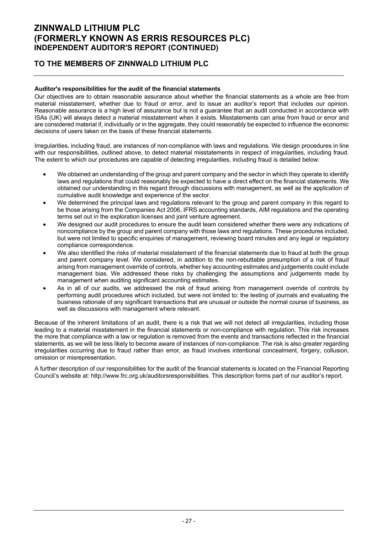### **TO THE MEMBERS OF ZINNWALD LITHIUM PLC**

#### **Auditor's responsibilities for the audit of the financial statements**

Our objectives are to obtain reasonable assurance about whether the financial statements as a whole are free from material misstatement, whether due to fraud or error, and to issue an auditor's report that includes our opinion. Reasonable assurance is a high level of assurance but is not a guarantee that an audit conducted in accordance with ISAs (UK) will always detect a material misstatement when it exists. Misstatements can arise from fraud or error and are considered material if, individually or in the aggregate, they could reasonably be expected to influence the economic decisions of users taken on the basis of these financial statements.

Irregularities, including fraud, are instances of non-compliance with laws and regulations. We design procedures in line with our responsibilities, outlined above, to detect material misstatements in respect of irregularities, including fraud. The extent to which our procedures are capable of detecting irregularities, including fraud is detailed below:

- We obtained an understanding of the group and parent company and the sector in which they operate to identify laws and regulations that could reasonably be expected to have a direct effect on the financial statements. We obtained our understanding in this regard through discussions with management, as well as the application of cumulative audit knowledge and experience of the sector.
- We determined the principal laws and regulations relevant to the group and parent company in this regard to be those arising from the Companies Act 2006, IFRS accounting standards, AIM regulations and the operating terms set out in the exploration licenses and joint venture agreement.
- We designed our audit procedures to ensure the audit team considered whether there were any indications of noncompliance by the group and parent company with those laws and regulations. These procedures included, but were not limited to specific enquiries of management, reviewing board minutes and any legal or regulatory compliance correspondence.
- We also identified the risks of material misstatement of the financial statements due to fraud at both the group and parent company level. We considered, in addition to the non-rebuttable presumption of a risk of fraud arising from management override of controls, whether key accounting estimates and judgements could include management bias. We addressed these risks by challenging the assumptions and judgements made by management when auditing significant accounting estimates.
- As in all of our audits, we addressed the risk of fraud arising from management override of controls by performing audit procedures which included, but were not limited to: the testing of journals and evaluating the business rationale of any significant transactions that are unusual or outside the normal course of business, as well as discussions with management where relevant.

Because of the inherent limitations of an audit, there is a risk that we will not detect all irregularities, including those leading to a material misstatement in the financial statements or non-compliance with regulation. This risk increases the more that compliance with a law or regulation is removed from the events and transactions reflected in the financial statements, as we will be less likely to become aware of instances of non-compliance. The risk is also greater regarding irregularities occurring due to fraud rather than error, as fraud involves intentional concealment, forgery, collusion, omission or misrepresentation.

A further description of our responsibilities for the audit of the financial statements is located on the Financial Reporting Council's website at: http://www.frc.org.uk/auditorsresponsibilities. This description forms part of our auditor's report.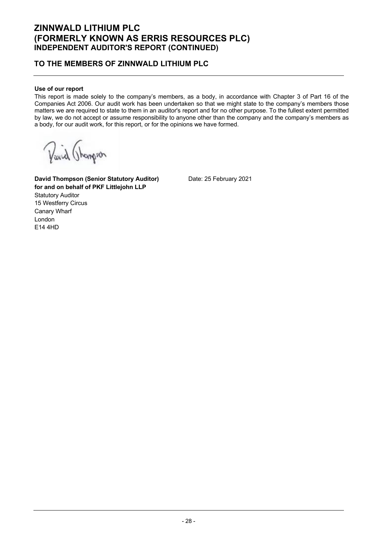### **TO THE MEMBERS OF ZINNWALD LITHIUM PLC**

#### **Use of our report**

This report is made solely to the company's members, as a body, in accordance with Chapter 3 of Part 16 of the Companies Act 2006. Our audit work has been undertaken so that we might state to the company's members those matters we are required to state to them in an auditor's report and for no other purpose. To the fullest extent permitted by law, we do not accept or assume responsibility to anyone other than the company and the company's members as a body, for our audit work, for this report, or for the opinions we have formed.

Varid Shanpson

**David Thompson (Senior Statutory Auditor)** Date: 25 February 2021 **for and on behalf of PKF Littlejohn LLP** Statutory Auditor 15 Westferry Circus Canary Wharf London E14 4HD

- 28 -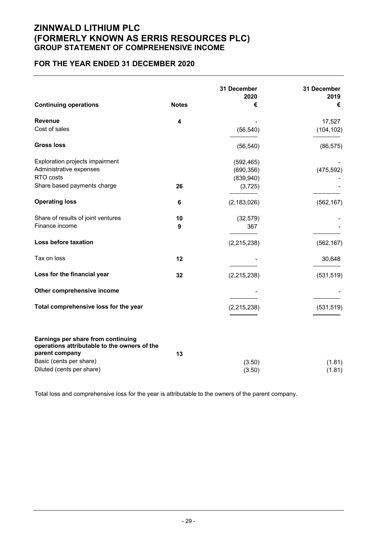### **ZINNWALD LITHIUM PLC (FORMERLY KNOWN AS ERRIS RESOURCES PLC) GROUP STATEMENT OF COMPREHENSIVE INCOME**

### **FOR THE YEAR ENDED 31 DECEMBER 2020**

|                                                                                                      |                | 31 December<br>2020   | 31 December<br>2019 |
|------------------------------------------------------------------------------------------------------|----------------|-----------------------|---------------------|
| <b>Continuing operations</b>                                                                         | <b>Notes</b>   | €                     | €                   |
| <b>Revenue</b>                                                                                       | 4              |                       | 17,527              |
| Cost of sales                                                                                        |                | (56, 540)             | (104, 102)          |
| <b>Gross loss</b>                                                                                    |                | (56, 540)             | (86, 575)           |
| Exploration projects impairment                                                                      |                | (592, 465)            |                     |
| Administrative expenses                                                                              |                | (690, 356)            | (475, 592)          |
| RTO costs<br>Share based payments charge                                                             | 26             | (839, 940)<br>(3,725) |                     |
| <b>Operating loss</b>                                                                                | $6\phantom{1}$ | (2, 183, 026)         | (562, 167)          |
| Share of results of joint ventures                                                                   | 10             | (32, 579)             |                     |
| Finance income                                                                                       | 9              | 367                   |                     |
| Loss before taxation                                                                                 |                | (2,215,238)           | (562, 167)          |
| Tax on loss                                                                                          | 12             |                       | 30,648              |
| Loss for the financial year                                                                          | 32             | (2,215,238)           | (531, 519)          |
| Other comprehensive income                                                                           |                |                       |                     |
| Total comprehensive loss for the year                                                                |                | (2,215,238)           | (531, 519)          |
| Earnings per share from continuing<br>operations attributable to the owners of the<br>parent company | 13             |                       |                     |
| Basic (cents per share)<br>Diluted (cents per share)                                                 |                | (3.50)                | (1.81)              |
|                                                                                                      |                | (3.50)                | (1.81)              |

Total loss and comprehensive loss for the year is attributable to the owners of the parent company.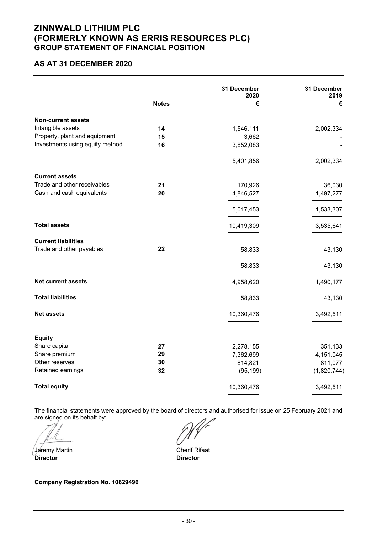### **ZINNWALD LITHIUM PLC (FORMERLY KNOWN AS ERRIS RESOURCES PLC) GROUP STATEMENT OF FINANCIAL POSITION**

### **AS AT 31 DECEMBER 2020**

|                                 |              | 31 December<br>2020 | 31 December<br>2019 |
|---------------------------------|--------------|---------------------|---------------------|
|                                 | <b>Notes</b> | €                   | €                   |
| <b>Non-current assets</b>       |              |                     |                     |
| Intangible assets               | 14           | 1,546,111           | 2,002,334           |
| Property, plant and equipment   | 15           | 3,662               |                     |
| Investments using equity method | 16           | 3,852,083           |                     |
|                                 |              | 5,401,856           | 2,002,334           |
| <b>Current assets</b>           |              |                     |                     |
| Trade and other receivables     | 21           | 170,926             | 36,030              |
| Cash and cash equivalents       | 20           | 4,846,527           | 1,497,277           |
|                                 |              | 5,017,453           | 1,533,307           |
| <b>Total assets</b>             |              | 10,419,309          | 3,535,641           |
| <b>Current liabilities</b>      |              |                     |                     |
| Trade and other payables        | 22           | 58,833              | 43,130              |
|                                 |              | 58,833              | 43,130              |
| <b>Net current assets</b>       |              | 4,958,620           | 1,490,177           |
| <b>Total liabilities</b>        |              | 58,833              | 43,130              |
| <b>Net assets</b>               |              | 10,360,476          | 3,492,511           |
| <b>Equity</b>                   |              |                     |                     |
| Share capital                   | 27           | 2,278,155           | 351,133             |
| Share premium                   | 29           | 7,362,699           | 4,151,045           |
| Other reserves                  | 30           | 814,821             | 811,077             |
| Retained earnings               | 32           | (95, 199)           | (1,820,744)         |
| <b>Total equity</b>             |              | 10,360,476          | 3,492,511           |

The financial statements were approved by the board of directors and authorised for issue on 25 February 2021 and are signed on its behalf by:

Jeremy Martin Cherif Rifaat **Director Director**

**Company Registration No. 10829496**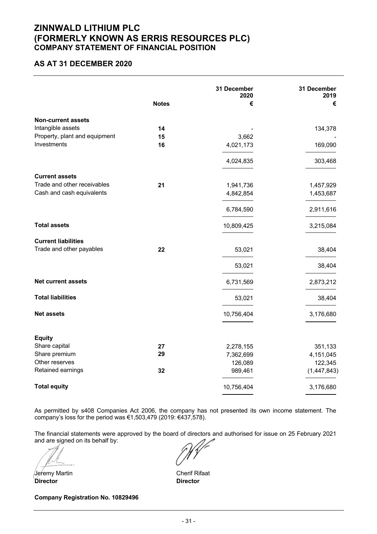### **ZINNWALD LITHIUM PLC (FORMERLY KNOWN AS ERRIS RESOURCES PLC) COMPANY STATEMENT OF FINANCIAL POSITION**

### **AS AT 31 DECEMBER 2020**

|                                |              | 31 December<br>2020 | 31 December<br>2019 |
|--------------------------------|--------------|---------------------|---------------------|
|                                | <b>Notes</b> | €                   | €                   |
| <b>Non-current assets</b>      |              |                     |                     |
| Intangible assets              | 14           |                     | 134,378             |
| Property, plant and equipment  | 15           | 3,662               |                     |
| Investments                    | 16           | 4,021,173           | 169,090             |
|                                |              | 4,024,835           | 303,468             |
| <b>Current assets</b>          |              |                     |                     |
| Trade and other receivables    | 21           | 1,941,736           | 1,457,929           |
| Cash and cash equivalents      |              | 4,842,854           | 1,453,687           |
|                                |              | 6,784,590           | 2,911,616           |
| <b>Total assets</b>            |              | 10,809,425          | 3,215,084           |
| <b>Current liabilities</b>     |              |                     |                     |
| Trade and other payables       | 22           | 53,021              | 38,404              |
|                                |              | 53,021              | 38,404              |
| <b>Net current assets</b>      |              | 6,731,569           | 2,873,212           |
| <b>Total liabilities</b>       |              | 53,021              | 38,404              |
| <b>Net assets</b>              |              | 10,756,404          | 3,176,680           |
|                                |              |                     |                     |
| <b>Equity</b><br>Share capital | 27           | 2,278,155           | 351,133             |
| Share premium                  | 29           | 7,362,699           | 4,151,045           |
| Other reserves                 |              | 126,089             | 122,345             |
| Retained earnings              | 32           | 989,461             | (1, 447, 843)       |
| <b>Total equity</b>            |              | 10,756,404          | 3,176,680           |

As permitted by s408 Companies Act 2006, the company has not presented its own income statement. The company's loss for the period was €1,503,479 (2019: €437,578).

The financial statements were approved by the board of directors and authorised for issue on 25 February 2021 and are signed on its behalf by:

Jeremy Martin Cherif Rifaat **Director Director**

**Company Registration No. 10829496**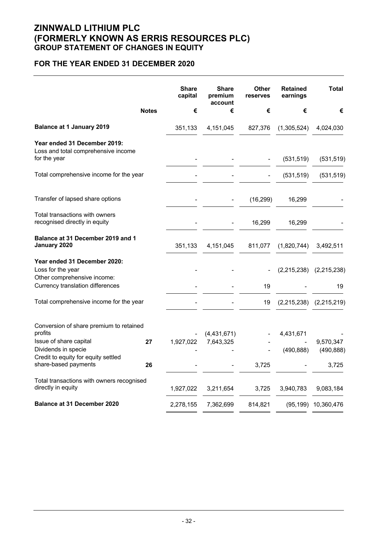### **ZINNWALD LITHIUM PLC (FORMERLY KNOWN AS ERRIS RESOURCES PLC) GROUP STATEMENT OF CHANGES IN EQUITY**

|                                                                                                           | <b>Share</b><br>capital | <b>Share</b><br>premium<br>account | <b>Other</b><br>reserves | <b>Retained</b><br>earnings | <b>Total</b>                |
|-----------------------------------------------------------------------------------------------------------|-------------------------|------------------------------------|--------------------------|-----------------------------|-----------------------------|
| <b>Notes</b>                                                                                              | €                       | €                                  | €                        | €                           | €                           |
| <b>Balance at 1 January 2019</b>                                                                          | 351,133                 | 4,151,045                          | 827,376                  | (1,305,524)                 | 4,024,030                   |
| Year ended 31 December 2019:<br>Loss and total comprehensive income<br>for the year                       |                         |                                    |                          | (531, 519)                  | (531, 519)                  |
| Total comprehensive income for the year                                                                   |                         |                                    |                          | (531, 519)                  | (531, 519)                  |
| Transfer of lapsed share options                                                                          |                         |                                    | (16, 299)                | 16,299                      |                             |
| Total transactions with owners<br>recognised directly in equity                                           |                         |                                    | 16,299                   | 16,299                      |                             |
| Balance at 31 December 2019 and 1<br>January 2020                                                         | 351,133                 | 4,151,045                          | 811,077                  | (1,820,744)                 | 3,492,511                   |
| Year ended 31 December 2020:<br>Loss for the year<br>Other comprehensive income:                          |                         |                                    |                          | (2,215,238)                 | (2,215,238)                 |
| Currency translation differences                                                                          |                         |                                    | 19                       |                             | 19                          |
| Total comprehensive income for the year                                                                   |                         |                                    | 19                       |                             | $(2,215,238)$ $(2,215,219)$ |
| Conversion of share premium to retained<br>profits<br>Issue of share capital<br>27<br>Dividends in specie | 1,927,022               | (4,431,671)<br>7,643,325           |                          | 4,431,671<br>(490, 888)     | 9,570,347<br>(490, 888)     |
| Credit to equity for equity settled<br>share-based payments<br>26                                         |                         |                                    | 3,725                    |                             | 3,725                       |
| Total transactions with owners recognised<br>directly in equity                                           | 1,927,022               | 3,211,654                          | 3,725                    | 3,940,783                   | 9,083,184                   |
| <b>Balance at 31 December 2020</b>                                                                        | 2,278,155               | 7,362,699                          | 814,821                  |                             | (95,199) 10,360,476         |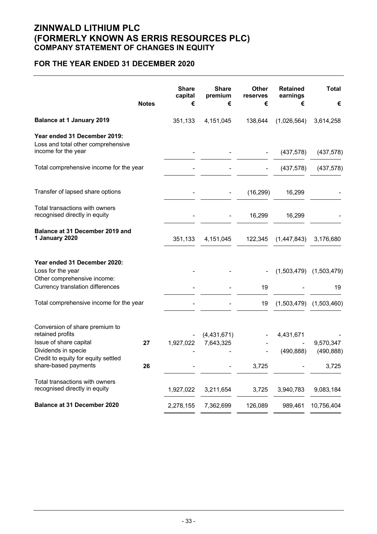### **ZINNWALD LITHIUM PLC (FORMERLY KNOWN AS ERRIS RESOURCES PLC) COMPANY STATEMENT OF CHANGES IN EQUITY**

|                                                                                                                                            | <b>Notes</b> | <b>Share</b><br>capital<br>€ | <b>Share</b><br>premium<br>€ | <b>Other</b><br>reserves<br>€ | <b>Retained</b><br>earnings<br>€ | <b>Total</b><br>€           |
|--------------------------------------------------------------------------------------------------------------------------------------------|--------------|------------------------------|------------------------------|-------------------------------|----------------------------------|-----------------------------|
| <b>Balance at 1 January 2019</b>                                                                                                           |              | 351,133                      | 4,151,045                    | 138,644                       | (1,026,564)                      | 3,614,258                   |
| Year ended 31 December 2019:<br>Loss and total other comprehensive<br>income for the year                                                  |              |                              |                              |                               | (437, 578)                       | (437, 578)                  |
| Total comprehensive income for the year                                                                                                    |              |                              |                              |                               | (437, 578)                       | (437, 578)                  |
| Transfer of lapsed share options                                                                                                           |              |                              |                              | (16, 299)                     | 16,299                           |                             |
| Total transactions with owners<br>recognised directly in equity                                                                            |              |                              |                              | 16,299                        | 16,299                           |                             |
| Balance at 31 December 2019 and<br>1 January 2020                                                                                          |              | 351,133                      | 4, 151, 045                  | 122,345                       | (1,447,843)                      | 3,176,680                   |
| Year ended 31 December 2020:<br>Loss for the year<br>Other comprehensive income:                                                           |              |                              |                              |                               | (1,503,479)                      | (1,503,479)                 |
| Currency translation differences                                                                                                           |              |                              |                              | 19                            |                                  | 19                          |
| Total comprehensive income for the year                                                                                                    |              |                              |                              | 19                            |                                  | $(1,503,479)$ $(1,503,460)$ |
| Conversion of share premium to<br>retained profits<br>Issue of share capital<br>Dividends in specie<br>Credit to equity for equity settled | 27           | 1,927,022                    | (4,431,671)<br>7,643,325     |                               | 4,431,671<br>(490, 888)          | 9,570,347<br>(490, 888)     |
| share-based payments                                                                                                                       | 26           |                              |                              | 3,725                         |                                  | 3,725                       |
| Total transactions with owners<br>recognised directly in equity                                                                            |              | 1,927,022                    | 3,211,654                    | 3,725                         | 3,940,783                        | 9,083,184                   |
| Balance at 31 December 2020                                                                                                                |              | 2,278,155                    | 7,362,699                    | 126,089                       | 989,461                          | 10,756,404                  |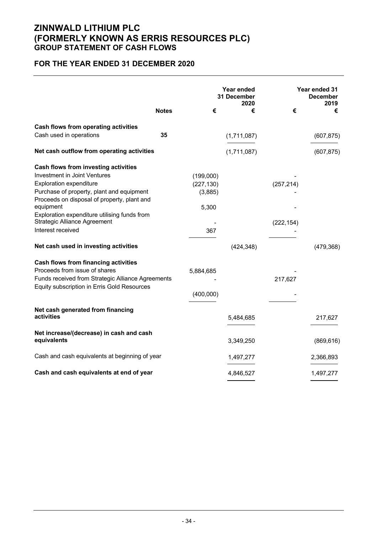### **ZINNWALD LITHIUM PLC (FORMERLY KNOWN AS ERRIS RESOURCES PLC) GROUP STATEMENT OF CASH FLOWS**

|                                                                                                  | <b>Notes</b> | €          | Year ended<br>31 December<br>2020<br>€ | €          | Year ended 31<br><b>December</b><br>2019<br>€ |
|--------------------------------------------------------------------------------------------------|--------------|------------|----------------------------------------|------------|-----------------------------------------------|
|                                                                                                  |              |            |                                        |            |                                               |
| <b>Cash flows from operating activities</b>                                                      |              |            |                                        |            |                                               |
| Cash used in operations                                                                          | 35           |            | (1,711,087)                            |            | (607, 875)                                    |
| Net cash outflow from operating activities                                                       |              |            | (1,711,087)                            |            | (607, 875)                                    |
| <b>Cash flows from investing activities</b>                                                      |              |            |                                        |            |                                               |
| <b>Investment in Joint Ventures</b>                                                              |              | (199,000)  |                                        |            |                                               |
| <b>Exploration expenditure</b>                                                                   |              | (227, 130) |                                        | (257, 214) |                                               |
| Purchase of property, plant and equipment                                                        |              | (3,885)    |                                        |            |                                               |
| Proceeds on disposal of property, plant and<br>equipment                                         |              | 5,300      |                                        |            |                                               |
| Exploration expenditure utilising funds from<br><b>Strategic Alliance Agreement</b>              |              |            |                                        | (222, 154) |                                               |
| Interest received                                                                                |              | 367        |                                        |            |                                               |
| Net cash used in investing activities                                                            |              |            | (424, 348)                             |            | (479, 368)                                    |
| <b>Cash flows from financing activities</b>                                                      |              |            |                                        |            |                                               |
| Proceeds from issue of shares                                                                    |              | 5,884,685  |                                        |            |                                               |
| Funds received from Strategic Alliance Agreements<br>Equity subscription in Erris Gold Resources |              |            |                                        | 217,627    |                                               |
|                                                                                                  |              | (400,000)  |                                        |            |                                               |
| Net cash generated from financing<br>activities                                                  |              |            | 5,484,685                              |            | 217,627                                       |
| Net increase/(decrease) in cash and cash<br>equivalents                                          |              |            | 3,349,250                              |            | (869, 616)                                    |
| Cash and cash equivalents at beginning of year                                                   |              |            | 1,497,277                              |            | 2,366,893                                     |
| Cash and cash equivalents at end of year                                                         |              |            | 4,846,527                              |            | 1,497,277                                     |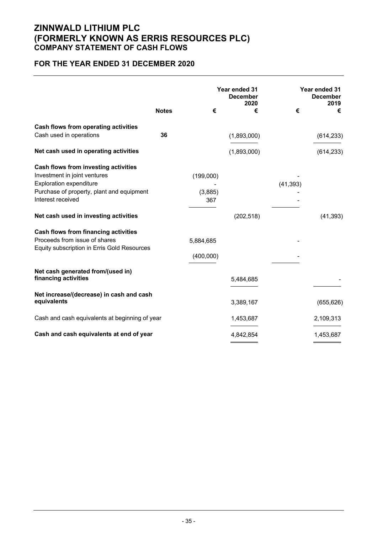### **ZINNWALD LITHIUM PLC (FORMERLY KNOWN AS ERRIS RESOURCES PLC) COMPANY STATEMENT OF CASH FLOWS**

|                                                                                                                                                                                                                                                                                                                                                         |              |                                                       | Year ended 31<br><b>December</b><br>2020 |           | <b>Year ended 31</b><br><b>December</b><br>2019 |
|---------------------------------------------------------------------------------------------------------------------------------------------------------------------------------------------------------------------------------------------------------------------------------------------------------------------------------------------------------|--------------|-------------------------------------------------------|------------------------------------------|-----------|-------------------------------------------------|
|                                                                                                                                                                                                                                                                                                                                                         | <b>Notes</b> | €                                                     | €                                        | €         | €                                               |
| <b>Cash flows from operating activities</b><br>Cash used in operations                                                                                                                                                                                                                                                                                  | 36           |                                                       | (1,893,000)                              |           | (614, 233)                                      |
| Net cash used in operating activities                                                                                                                                                                                                                                                                                                                   |              |                                                       | (1,893,000)                              |           | (614, 233)                                      |
| <b>Cash flows from investing activities</b><br>Investment in joint ventures<br><b>Exploration expenditure</b><br>Purchase of property, plant and equipment<br>Interest received<br>Net cash used in investing activities<br><b>Cash flows from financing activities</b><br>Proceeds from issue of shares<br>Equity subscription in Erris Gold Resources |              | (199,000)<br>(3,885)<br>367<br>5,884,685<br>(400,000) | (202, 518)                               | (41, 393) | (41, 393)                                       |
| Net cash generated from/(used in)<br>financing activities                                                                                                                                                                                                                                                                                               |              |                                                       | 5,484,685                                |           |                                                 |
| Net increase/(decrease) in cash and cash<br>equivalents                                                                                                                                                                                                                                                                                                 |              |                                                       | 3,389,167                                |           | (655, 626)                                      |
| Cash and cash equivalents at beginning of year                                                                                                                                                                                                                                                                                                          |              |                                                       | 1,453,687                                |           | 2,109,313                                       |
| Cash and cash equivalents at end of year                                                                                                                                                                                                                                                                                                                |              |                                                       | 4,842,854                                |           | 1,453,687                                       |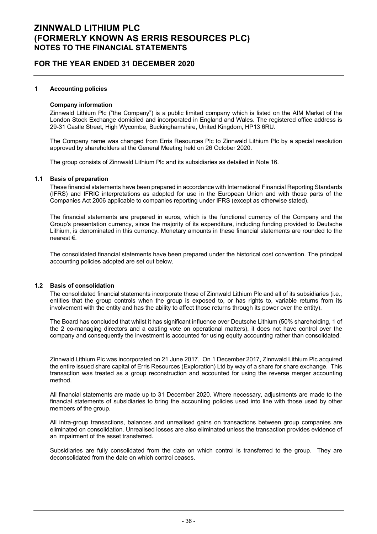### **FOR THE YEAR ENDED 31 DECEMBER 2020**

#### **1 Accounting policies**

#### **Company information**

Zinnwald Lithium Plc ("the Company") is a public limited company which is listed on the AIM Market of the London Stock Exchange domiciled and incorporated in England and Wales. The registered office address is 29-31 Castle Street, High Wycombe, Buckinghamshire, United Kingdom, HP13 6RU.

The Company name was changed from Erris Resources Plc to Zinnwald Lithium Plc by a special resolution approved by shareholders at the General Meeting held on 26 October 2020.

The group consists of Zinnwald Lithium Plc and its subsidiaries as detailed in Note 16.

#### **1.1 Basis of preparation**

These financial statements have been prepared in accordance with International Financial Reporting Standards (IFRS) and IFRIC interpretations as adopted for use in the European Union and with those parts of the Companies Act 2006 applicable to companies reporting under IFRS (except as otherwise stated).

The financial statements are prepared in euros, which is the functional currency of the Company and the Group's presentation currency, since the majority of its expenditure, including funding provided to Deutsche Lithium, is denominated in this currency. Monetary amounts in these financial statements are rounded to the nearest €.

The consolidated financial statements have been prepared under the historical cost convention. The principal accounting policies adopted are set out below.

#### **1.2 Basis of consolidation**

The consolidated financial statements incorporate those of Zinnwald Lithium Plc and all of its subsidiaries (i.e., entities that the group controls when the group is exposed to, or has rights to, variable returns from its involvement with the entity and has the ability to affect those returns through its power over the entity).

The Board has concluded that whilst it has significant influence over Deutsche Lithium (50% shareholding, 1 of the 2 co-managing directors and a casting vote on operational matters), it does not have control over the company and consequently the investment is accounted for using equity accounting rather than consolidated.

Zinnwald Lithium Plc was incorporated on 21 June 2017. On 1 December 2017, Zinnwald Lithium Plc acquired the entire issued share capital of Erris Resources (Exploration) Ltd by way of a share for share exchange. This transaction was treated as a group reconstruction and accounted for using the reverse merger accounting method.

All financial statements are made up to 31 December 2020. Where necessary, adjustments are made to the financial statements of subsidiaries to bring the accounting policies used into line with those used by other members of the group.

All intra-group transactions, balances and unrealised gains on transactions between group companies are eliminated on consolidation. Unrealised losses are also eliminated unless the transaction provides evidence of an impairment of the asset transferred.

Subsidiaries are fully consolidated from the date on which control is transferred to the group. They are deconsolidated from the date on which control ceases.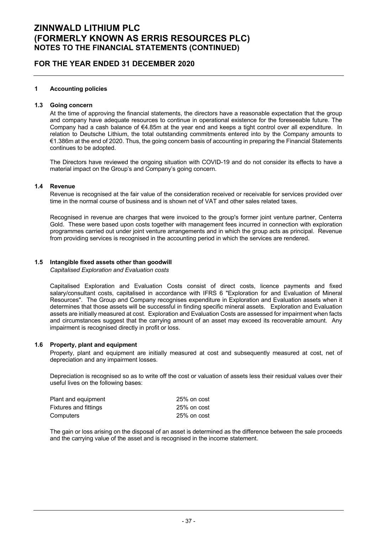### **FOR THE YEAR ENDED 31 DECEMBER 2020**

#### **1 Accounting policies**

#### **1.3 Going concern**

At the time of approving the financial statements, the directors have a reasonable expectation that the group and company have adequate resources to continue in operational existence for the foreseeable future. The Company had a cash balance of €4.85m at the year end and keeps a tight control over all expenditure. In relation to Deutsche Lithium, the total outstanding commitments entered into by the Company amounts to €1.386m at the end of 2020. Thus, the going concern basis of accounting in preparing the Financial Statements continues to be adopted.

The Directors have reviewed the ongoing situation with COVID-19 and do not consider its effects to have a material impact on the Group's and Company's going concern.

#### **1.4 Revenue**

Revenue is recognised at the fair value of the consideration received or receivable for services provided over time in the normal course of business and is shown net of VAT and other sales related taxes.

Recognised in revenue are charges that were invoiced to the group's former joint venture partner, Centerra Gold. These were based upon costs together with management fees incurred in connection with exploration programmes carried out under joint venture arrangements and in which the group acts as principal. Revenue from providing services is recognised in the accounting period in which the services are rendered.

#### **1.5 Intangible fixed assets other than goodwill**

*Capitalised Exploration and Evaluation costs*

Capitalised Exploration and Evaluation Costs consist of direct costs, licence payments and fixed salary/consultant costs, capitalised in accordance with IFRS 6 "Exploration for and Evaluation of Mineral Resources". The Group and Company recognises expenditure in Exploration and Evaluation assets when it determines that those assets will be successful in finding specific mineral assets. Exploration and Evaluation assets are initially measured at cost. Exploration and Evaluation Costs are assessed for impairment when facts and circumstances suggest that the carrying amount of an asset may exceed its recoverable amount. Any impairment is recognised directly in profit or loss.

#### **1.6 Property, plant and equipment**

Property, plant and equipment are initially measured at cost and subsequently measured at cost, net of depreciation and any impairment losses.

Depreciation is recognised so as to write off the cost or valuation of assets less their residual values over their useful lives on the following bases:

| Plant and equipment   | 25% on cost |
|-----------------------|-------------|
| Fixtures and fittings | 25% on cost |
| Computers             | 25% on cost |

The gain or loss arising on the disposal of an asset is determined as the difference between the sale proceeds and the carrying value of the asset and is recognised in the income statement.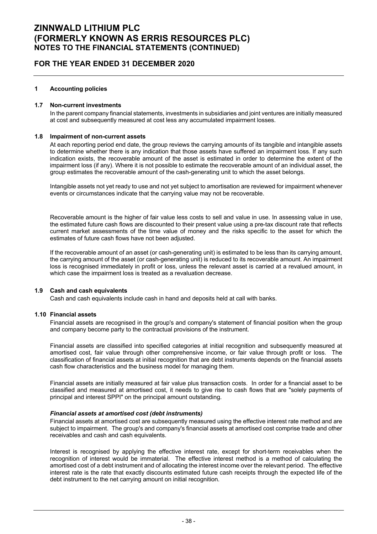### **FOR THE YEAR ENDED 31 DECEMBER 2020**

#### **1 Accounting policies**

#### **1.7 Non-current investments**

In the parent company financial statements, investments in subsidiaries and joint ventures are initially measured at cost and subsequently measured at cost less any accumulated impairment losses.

#### **1.8 Impairment of non-current assets**

At each reporting period end date, the group reviews the carrying amounts of its tangible and intangible assets to determine whether there is any indication that those assets have suffered an impairment loss. If any such indication exists, the recoverable amount of the asset is estimated in order to determine the extent of the impairment loss (if any). Where it is not possible to estimate the recoverable amount of an individual asset, the group estimates the recoverable amount of the cash-generating unit to which the asset belongs.

Intangible assets not yet ready to use and not yet subject to amortisation are reviewed for impairment whenever events or circumstances indicate that the carrying value may not be recoverable.

Recoverable amount is the higher of fair value less costs to sell and value in use. In assessing value in use, the estimated future cash flows are discounted to their present value using a pre-tax discount rate that reflects current market assessments of the time value of money and the risks specific to the asset for which the estimates of future cash flows have not been adjusted.

If the recoverable amount of an asset (or cash-generating unit) is estimated to be less than its carrying amount, the carrying amount of the asset (or cash-generating unit) is reduced to its recoverable amount. An impairment loss is recognised immediately in profit or loss, unless the relevant asset is carried at a revalued amount, in which case the impairment loss is treated as a revaluation decrease.

#### **1.9 Cash and cash equivalents**

Cash and cash equivalents include cash in hand and deposits held at call with banks.

#### **1.10 Financial assets**

Financial assets are recognised in the group's and company's statement of financial position when the group and company become party to the contractual provisions of the instrument.

Financial assets are classified into specified categories at initial recognition and subsequently measured at amortised cost, fair value through other comprehensive income, or fair value through profit or loss. The classification of financial assets at initial recognition that are debt instruments depends on the financial assets cash flow characteristics and the business model for managing them.

Financial assets are initially measured at fair value plus transaction costs. In order for a financial asset to be classified and measured at amortised cost, it needs to give rise to cash flows that are "solely payments of principal and interest SPPI" on the principal amount outstanding.

#### *Financial assets at amortised cost (debt instruments)*

Financial assets at amortised cost are subsequently measured using the effective interest rate method and are subject to impairment. The group's and company's financial assets at amortised cost comprise trade and other receivables and cash and cash equivalents.

Interest is recognised by applying the effective interest rate, except for short-term receivables when the recognition of interest would be immaterial. The effective interest method is a method of calculating the amortised cost of a debt instrument and of allocating the interest income over the relevant period. The effective interest rate is the rate that exactly discounts estimated future cash receipts through the expected life of the debt instrument to the net carrying amount on initial recognition.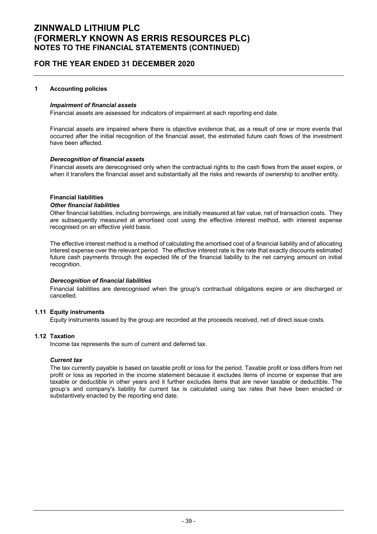### **FOR THE YEAR ENDED 31 DECEMBER 2020**

#### **1 Accounting policies**

#### *Impairment of financial assets*

Financial assets are assessed for indicators of impairment at each reporting end date.

Financial assets are impaired where there is objective evidence that, as a result of one or more events that occurred after the initial recognition of the financial asset, the estimated future cash flows of the investment have been affected.

#### *Derecognition of financial assets*

Financial assets are derecognised only when the contractual rights to the cash flows from the asset expire, or when it transfers the financial asset and substantially all the risks and rewards of ownership to another entity.

#### **Financial liabilities**

#### *Other financial liabilities*

Other financial liabilities, including borrowings, are initially measured at fair value, net of transaction costs. They are subsequently measured at amortised cost using the effective interest method, with interest expense recognised on an effective yield basis.

The effective interest method is a method of calculating the amortised cost of a financial liability and of allocating interest expense over the relevant period. The effective interest rate is the rate that exactly discounts estimated future cash payments through the expected life of the financial liability to the net carrying amount on initial recognition.

#### *Derecognition of financial liabilities*

Financial liabilities are derecognised when the group's contractual obligations expire or are discharged or cancelled.

#### **1.11 Equity instruments**

Equity instruments issued by the group are recorded at the proceeds received, net of direct issue costs.

#### **1.12 Taxation**

Income tax represents the sum of current and deferred tax.

#### *Current tax*

The tax currently payable is based on taxable profit or loss for the period. Taxable profit or loss differs from net profit or loss as reported in the income statement because it excludes items of income or expense that are taxable or deductible in other years and it further excludes items that are never taxable or deductible. The group's and company's liability for current tax is calculated using tax rates that have been enacted or substantively enacted by the reporting end date.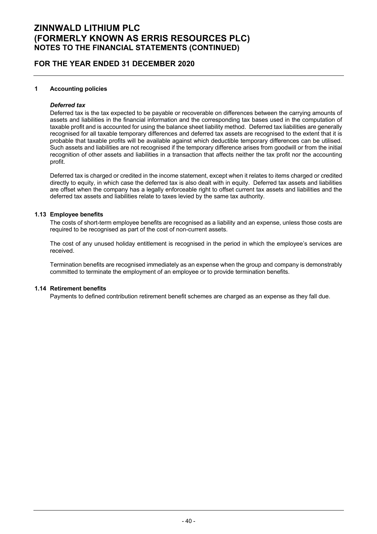### **FOR THE YEAR ENDED 31 DECEMBER 2020**

#### **1 Accounting policies**

#### *Deferred tax*

Deferred tax is the tax expected to be payable or recoverable on differences between the carrying amounts of assets and liabilities in the financial information and the corresponding tax bases used in the computation of taxable profit and is accounted for using the balance sheet liability method. Deferred tax liabilities are generally recognised for all taxable temporary differences and deferred tax assets are recognised to the extent that it is probable that taxable profits will be available against which deductible temporary differences can be utilised. Such assets and liabilities are not recognised if the temporary difference arises from goodwill or from the initial recognition of other assets and liabilities in a transaction that affects neither the tax profit nor the accounting profit.

Deferred tax is charged or credited in the income statement, except when it relates to items charged or credited directly to equity, in which case the deferred tax is also dealt with in equity. Deferred tax assets and liabilities are offset when the company has a legally enforceable right to offset current tax assets and liabilities and the deferred tax assets and liabilities relate to taxes levied by the same tax authority.

#### **1.13 Employee benefits**

The costs of short-term employee benefits are recognised as a liability and an expense, unless those costs are required to be recognised as part of the cost of non-current assets.

The cost of any unused holiday entitlement is recognised in the period in which the employee's services are received.

Termination benefits are recognised immediately as an expense when the group and company is demonstrably committed to terminate the employment of an employee or to provide termination benefits.

#### **1.14 Retirement benefits**

Payments to defined contribution retirement benefit schemes are charged as an expense as they fall due.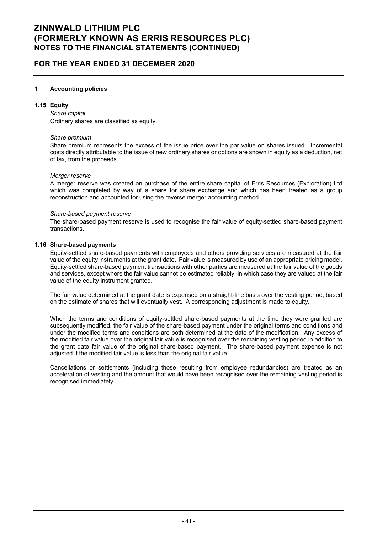### **FOR THE YEAR ENDED 31 DECEMBER 2020**

#### **1 Accounting policies**

#### **1.15 Equity**

#### *Share capital*

Ordinary shares are classified as equity.

#### *Share premium*

Share premium represents the excess of the issue price over the par value on shares issued. Incremental costs directly attributable to the issue of new ordinary shares or options are shown in equity as a deduction, net of tax, from the proceeds.

#### *Merger reserve*

A merger reserve was created on purchase of the entire share capital of Erris Resources (Exploration) Ltd which was completed by way of a share for share exchange and which has been treated as a group reconstruction and accounted for using the reverse merger accounting method.

#### *Share-based payment reserve*

The share-based payment reserve is used to recognise the fair value of equity-settled share-based payment transactions.

#### **1.16 Share-based payments**

Equity-settled share-based payments with employees and others providing services are measured at the fair value of the equity instruments at the grant date. Fair value is measured by use of an appropriate pricing model. Equity-settled share-based payment transactions with other parties are measured at the fair value of the goods and services, except where the fair value cannot be estimated reliably, in which case they are valued at the fair value of the equity instrument granted.

The fair value determined at the grant date is expensed on a straight-line basis over the vesting period, based on the estimate of shares that will eventually vest. A corresponding adjustment is made to equity.

When the terms and conditions of equity-settled share-based payments at the time they were granted are subsequently modified, the fair value of the share-based payment under the original terms and conditions and under the modified terms and conditions are both determined at the date of the modification. Any excess of the modified fair value over the original fair value is recognised over the remaining vesting period in addition to the grant date fair value of the original share-based payment. The share-based payment expense is not adjusted if the modified fair value is less than the original fair value.

Cancellations or settlements (including those resulting from employee redundancies) are treated as an acceleration of vesting and the amount that would have been recognised over the remaining vesting period is recognised immediately.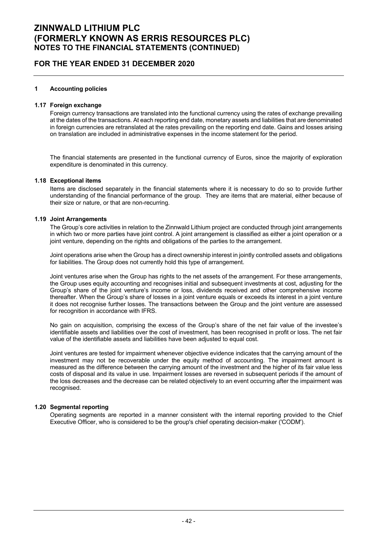### **FOR THE YEAR ENDED 31 DECEMBER 2020**

#### **1 Accounting policies**

#### **1.17 Foreign exchange**

Foreign currency transactions are translated into the functional currency using the rates of exchange prevailing at the dates of the transactions. At each reporting end date, monetary assets and liabilities that are denominated in foreign currencies are retranslated at the rates prevailing on the reporting end date. Gains and losses arising on translation are included in administrative expenses in the income statement for the period.

The financial statements are presented in the functional currency of Euros, since the majority of exploration expenditure is denominated in this currency.

#### **1.18 Exceptional items**

Items are disclosed separately in the financial statements where it is necessary to do so to provide further understanding of the financial performance of the group. They are items that are material, either because of their size or nature, or that are non-recurring.

#### **1.19 Joint Arrangements**

The Group's core activities in relation to the Zinnwald Lithium project are conducted through joint arrangements in which two or more parties have joint control. A joint arrangement is classified as either a joint operation or a joint venture, depending on the rights and obligations of the parties to the arrangement.

Joint operations arise when the Group has a direct ownership interest in jointly controlled assets and obligations for liabilities. The Group does not currently hold this type of arrangement.

Joint ventures arise when the Group has rights to the net assets of the arrangement. For these arrangements, the Group uses equity accounting and recognises initial and subsequent investments at cost, adjusting for the Group's share of the joint venture's income or loss, dividends received and other comprehensive income thereafter. When the Group's share of losses in a joint venture equals or exceeds its interest in a joint venture it does not recognise further losses. The transactions between the Group and the joint venture are assessed for recognition in accordance with IFRS.

No gain on acquisition, comprising the excess of the Group's share of the net fair value of the investee's identifiable assets and liabilities over the cost of investment, has been recognised in profit or loss. The net fair value of the identifiable assets and liabilities have been adjusted to equal cost.

Joint ventures are tested for impairment whenever objective evidence indicates that the carrying amount of the investment may not be recoverable under the equity method of accounting. The impairment amount is measured as the difference between the carrying amount of the investment and the higher of its fair value less costs of disposal and its value in use. Impairment losses are reversed in subsequent periods if the amount of the loss decreases and the decrease can be related objectively to an event occurring after the impairment was recognised.

#### **1.20 Segmental reporting**

Operating segments are reported in a manner consistent with the internal reporting provided to the Chief Executive Officer, who is considered to be the group's chief operating decision-maker ('CODM').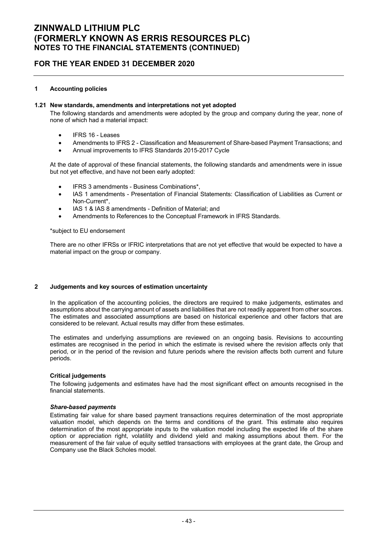### **FOR THE YEAR ENDED 31 DECEMBER 2020**

#### **1 Accounting policies**

#### **1.21 New standards, amendments and interpretations not yet adopted**

The following standards and amendments were adopted by the group and company during the year, none of none of which had a material impact:

- IFRS 16 Leases
- Amendments to IFRS 2 Classification and Measurement of Share-based Payment Transactions; and
- Annual improvements to IFRS Standards 2015-2017 Cycle

At the date of approval of these financial statements, the following standards and amendments were in issue but not yet effective, and have not been early adopted:

- IFRS 3 amendments Business Combinations\*,
- IAS 1 amendments Presentation of Financial Statements: Classification of Liabilities as Current or Non-Current\*,
- IAS 1 & IAS 8 amendments Definition of Material; and
- Amendments to References to the Conceptual Framework in IFRS Standards.

\*subject to EU endorsement

There are no other IFRSs or IFRIC interpretations that are not yet effective that would be expected to have a material impact on the group or company.

#### **2 Judgements and key sources of estimation uncertainty**

In the application of the accounting policies, the directors are required to make judgements, estimates and assumptions about the carrying amount of assets and liabilities that are not readily apparent from other sources. The estimates and associated assumptions are based on historical experience and other factors that are considered to be relevant. Actual results may differ from these estimates.

The estimates and underlying assumptions are reviewed on an ongoing basis. Revisions to accounting estimates are recognised in the period in which the estimate is revised where the revision affects only that period, or in the period of the revision and future periods where the revision affects both current and future periods.

#### **Critical judgements**

The following judgements and estimates have had the most significant effect on amounts recognised in the financial statements.

#### *Share-based payments*

Estimating fair value for share based payment transactions requires determination of the most appropriate valuation model, which depends on the terms and conditions of the grant. This estimate also requires determination of the most appropriate inputs to the valuation model including the expected life of the share option or appreciation right, volatility and dividend yield and making assumptions about them. For the measurement of the fair value of equity settled transactions with employees at the grant date, the Group and Company use the Black Scholes model.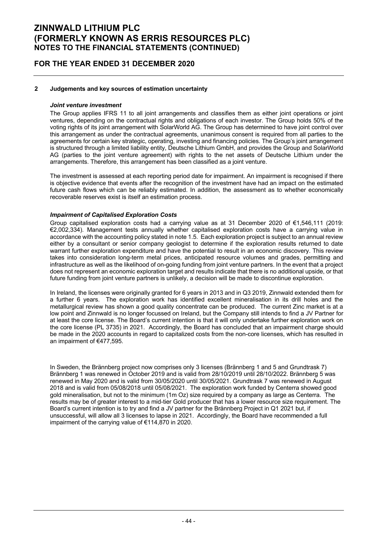### **FOR THE YEAR ENDED 31 DECEMBER 2020**

#### **2 Judgements and key sources of estimation uncertainty**

#### *Joint venture investment*

The Group applies IFRS 11 to all joint arrangements and classifies them as either joint operations or joint ventures, depending on the contractual rights and obligations of each investor. The Group holds 50% of the voting rights of its joint arrangement with SolarWorld AG. The Group has determined to have joint control over this arrangement as under the contractual agreements, unanimous consent is required from all parties to the agreements for certain key strategic, operating, investing and financing policies. The Group's joint arrangement is structured through a limited liability entity, Deutsche Lithium GmbH, and provides the Group and SolarWorld AG (parties to the joint venture agreement) with rights to the net assets of Deutsche Lithium under the arrangements. Therefore, this arrangement has been classified as a joint venture.

The investment is assessed at each reporting period date for impairment. An impairment is recognised if there is objective evidence that events after the recognition of the investment have had an impact on the estimated future cash flows which can be reliably estimated. In addition, the assessment as to whether economically recoverable reserves exist is itself an estimation process.

#### *Impairment of Capitalised Exploration Costs*

Group capitalised exploration costs had a carrying value as at 31 December 2020 of €1,546,111 (2019: €2,002,334). Management tests annually whether capitalised exploration costs have a carrying value in accordance with the accounting policy stated in note 1.5. Each exploration project is subject to an annual review either by a consultant or senior company geologist to determine if the exploration results returned to date warrant further exploration expenditure and have the potential to result in an economic discovery. This review takes into consideration long-term metal prices, anticipated resource volumes and grades, permitting and infrastructure as well as the likelihood of on-going funding from joint venture partners. In the event that a project does not represent an economic exploration target and results indicate that there is no additional upside, or that future funding from joint venture partners is unlikely, a decision will be made to discontinue exploration.

In Ireland, the licenses were originally granted for 6 years in 2013 and in Q3 2019, Zinnwald extended them for a further 6 years. The exploration work has identified excellent mineralisation in its drill holes and the metallurgical review has shown a good quality concentrate can be produced. The current Zinc market is at a low point and Zinnwald is no longer focussed on Ireland, but the Company still intends to find a JV Partner for at least the core license. The Board's current intention is that it will only undertake further exploration work on the core license (PL 3735) in 2021. Accordingly, the Board has concluded that an impairment charge should be made in the 2020 accounts in regard to capitalized costs from the non-core licenses, which has resulted in an impairment of €477,595.

In Sweden, the Brännberg project now comprises only 3 licenses (Brännberg 1 and 5 and Grundtrask 7) Brännberg 1 was renewed in October 2019 and is valid from 28/10/2019 until 28/10/2022. Brännberg 5 was renewed in May 2020 and is valid from 30/05/2020 until 30/05/2021. Grundtrask 7 was renewed in August 2018 and is valid from 05/08/2018 until 05/08/2021. The exploration work funded by Centerra showed good gold mineralisation, but not to the minimum (1m Oz) size required by a company as large as Centerra. The results may be of greater interest to a mid-tier Gold producer that has a lower resource size requirement. The Board's current intention is to try and find a JV partner for the Brännberg Project in Q1 2021 but, if unsuccessful, will allow all 3 licenses to lapse in 2021. Accordingly, the Board have recommended a full impairment of the carrying value of €114,870 in 2020.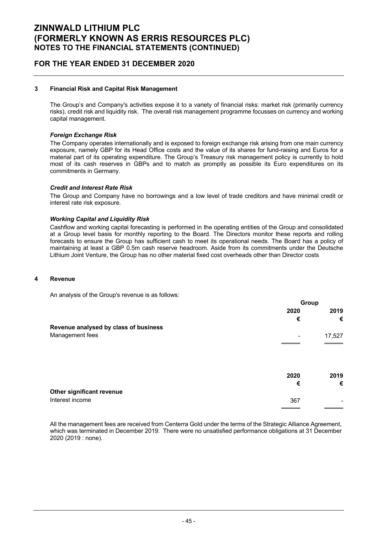### **FOR THE YEAR ENDED 31 DECEMBER 2020**

#### **3 Financial Risk and Capital Risk Management**

The Group's and Company's activities expose it to a variety of financial risks: market risk (primarily currency risks), credit risk and liquidity risk. The overall risk management programme focusses on currency and working capital management.

#### *Foreign Exchange Risk*

The Company operates internationally and is exposed to foreign exchange risk arising from one main currency exposure, namely GBP for its Head Office costs and the value of its shares for fund-raising and Euros for a material part of its operating expenditure. The Group's Treasury risk management policy is currently to hold most of its cash reserves in GBPs and to match as promptly as possible its Euro expenditures on its commitments in Germany.

#### *Credit and Interest Rate Risk*

The Group and Company have no borrowings and a low level of trade creditors and have minimal credit or interest rate risk exposure.

#### *Working Capital and Liquidity Risk*

Cashflow and working capital forecasting is performed in the operating entities of the Group and consolidated at a Group level basis for monthly reporting to the Board. The Directors monitor these reports and rolling forecasts to ensure the Group has sufficient cash to meet its operational needs. The Board has a policy of maintaining at least a GBP 0.5m cash reserve headroom. Aside from its commitments under the Deutsche Lithium Joint Venture, the Group has no other material fixed cost overheads other than Director costs

#### **4 Revenue**

An analysis of the Group's revenue is as follows:

|                                       | Group |        |
|---------------------------------------|-------|--------|
|                                       | 2020  | 2019   |
|                                       | €     | €      |
| Revenue analysed by class of business |       |        |
| Management fees                       |       | 17,527 |
|                                       |       |        |
|                                       |       |        |
|                                       | 2020  | 2019   |
|                                       | €     | €      |
| Other significant revenue             |       |        |
| Interest income                       | 367   |        |
|                                       |       |        |

All the management fees are received from Centerra Gold under the terms of the Strategic Alliance Agreement, which was terminated in December 2019. There were no unsatisfied performance obligations at 31 December 2020 (2019 : none).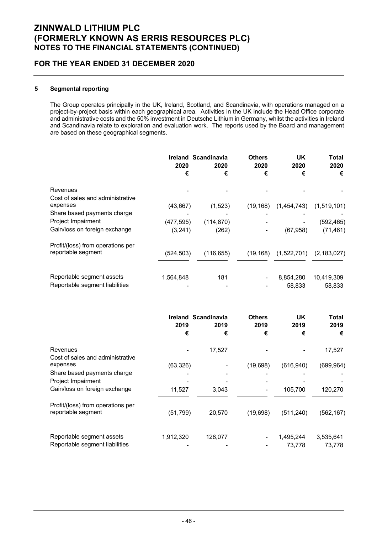### **FOR THE YEAR ENDED 31 DECEMBER 2020**

#### **5 Segmental reporting**

The Group operates principally in the UK, Ireland, Scotland, and Scandinavia, with operations managed on a project-by-project basis within each geographical area. Activities in the UK include the Head Office corporate and administrative costs and the 50% investment in Deutsche Lithium in Germany, whilst the activities in Ireland and Scandinavia relate to exploration and evaluation work. The reports used by the Board and management are based on these geographical segments.

|                                              | 2020       | <b>Ireland Scandinavia</b><br>2020 | <b>Others</b><br>2020 | <b>UK</b><br>2020 | <b>Total</b><br>2020 |
|----------------------------------------------|------------|------------------------------------|-----------------------|-------------------|----------------------|
|                                              | €          | €                                  | €                     | €                 | €                    |
| Revenues                                     |            |                                    |                       |                   |                      |
| Cost of sales and administrative             |            |                                    |                       |                   |                      |
| expenses                                     | (43, 667)  | (1,523)                            | (19, 168)             | (1,454,743)       | (1,519,101)          |
| Share based payments charge                  |            |                                    |                       |                   |                      |
| Project Impairment                           | (477, 595) | (114, 870)                         |                       |                   | (592, 465)           |
| Gain/loss on foreign exchange                | (3, 241)   | (262)                              |                       | (67, 958)         | (71, 461)            |
| Profit/(loss) from operations per            |            |                                    |                       |                   |                      |
| reportable segment                           | (524, 503) | (116, 655)                         | (19, 168)             | (1,522,701)       | (2, 183, 027)        |
| Reportable segment assets                    | 1,564,848  | 181                                |                       | 8,854,280         | 10,419,309           |
| Reportable segment liabilities               |            |                                    |                       | 58,833            | 58,833               |
|                                              |            | <b>Ireland Scandinavia</b>         | <b>Others</b>         | <b>UK</b>         | <b>Total</b>         |
|                                              | 2019       | 2019                               | 2019                  | 2019              | 2019                 |
|                                              | €          | €                                  | €                     | €                 | €                    |
| Revenues<br>Cost of sales and administrative |            | 17,527                             |                       |                   | 17,527               |
| expenses                                     | (63, 326)  |                                    | (19,698)              | (616, 940)        | (699, 964)           |
| Share based payments charge                  |            |                                    |                       |                   |                      |
| Project Impairment                           |            |                                    |                       |                   |                      |
| Gain/loss on foreign exchange                | 11,527     | 3,043                              |                       | 105,700           | 120,270              |
| Profit/(loss) from operations per            |            |                                    |                       |                   |                      |
| reportable segment                           | (51, 799)  | 20,570                             | (19, 698)             | (511, 240)        | (562, 167)           |
| Reportable segment assets                    | 1,912,320  | 128,077                            |                       | 1,495,244         | 3,535,641            |
| Reportable segment liabilities               |            |                                    |                       | 73,778            | 73,778               |
|                                              |            |                                    |                       |                   |                      |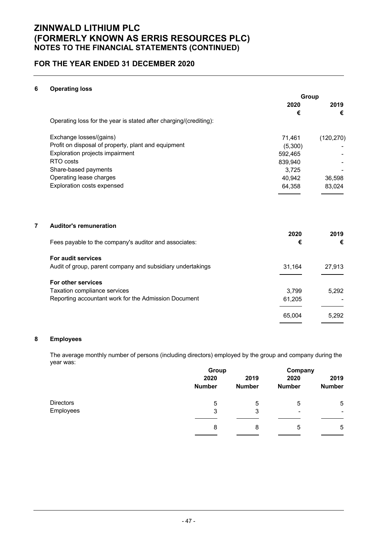### **FOR THE YEAR ENDED 31 DECEMBER 2020**

#### **6 Operating loss**

|                                                                   | Group   |            |
|-------------------------------------------------------------------|---------|------------|
|                                                                   | 2020    | 2019       |
|                                                                   | €       | €          |
| Operating loss for the year is stated after charging/(crediting): |         |            |
| Exchange losses/(gains)                                           | 71,461  | (120, 270) |
| Profit on disposal of property, plant and equipment               | (5,300) |            |
| Exploration projects impairment                                   | 592,465 |            |
| RTO costs                                                         | 839,940 |            |
| Share-based payments                                              | 3,725   |            |
| Operating lease charges                                           | 40,942  | 36,598     |
| Exploration costs expensed                                        | 64,358  | 83,024     |
| <b>Auditor's remuneration</b><br>7                                |         |            |
|                                                                   | 2020    | 2019       |
| Fees payable to the company's auditor and associates:             | €       | €          |
|                                                                   |         |            |
| <b>For audit services</b>                                         |         |            |
| Audit of group, parent company and subsidiary undertakings        | 31,164  | 27,913     |
| For other services                                                |         |            |
| Taxation compliance services                                      | 3,799   | 5,292      |
| Reporting accountant work for the Admission Document              | 61,205  |            |

#### **8 Employees**

The average monthly number of persons (including directors) employed by the group and company during the year was:

|                  |               | Group         |               | Company       |  |
|------------------|---------------|---------------|---------------|---------------|--|
|                  | 2020          | 2019          | 2020          | 2019          |  |
|                  | <b>Number</b> | <b>Number</b> | <b>Number</b> | <b>Number</b> |  |
| <b>Directors</b> | 5             | 5             | 5             | 5             |  |
| Employees        | 3             | 3             | -             | ۰             |  |
|                  | 8             | 8             | 5             | 5             |  |
|                  |               |               |               |               |  |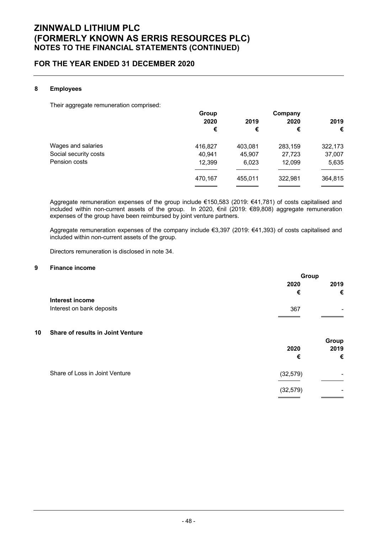### **FOR THE YEAR ENDED 31 DECEMBER 2020**

#### **8 Employees**

Their aggregate remuneration comprised:

|                       | Group   |         | Company |         |
|-----------------------|---------|---------|---------|---------|
|                       | 2020    | 2019    | 2020    | 2019    |
|                       | €       | €       | €       | €       |
| Wages and salaries    | 416,827 | 403,081 | 283,159 | 322,173 |
| Social security costs | 40,941  | 45,907  | 27,723  | 37,007  |
| Pension costs         | 12,399  | 6,023   | 12,099  | 5,635   |
|                       | 470,167 | 455,011 | 322,981 | 364,815 |
|                       |         |         |         |         |

Aggregate remuneration expenses of the group include €150,583 (2019: €41,781) of costs capitalised and included within non-current assets of the group. In 2020, €nil (2019: €89,808) aggregate remuneration expenses of the group have been reimbursed by joint venture partners.

Aggregate remuneration expenses of the company include €3,397 (2019: €41,393) of costs capitalised and included within non-current assets of the group.

Directors remuneration is disclosed in note 34.

#### **9 Finance income**

|                           | Group |                          |
|---------------------------|-------|--------------------------|
|                           | 2020  | 2019                     |
|                           |       | €                        |
| Interest income           |       |                          |
| Interest on bank deposits | 367   | $\overline{\phantom{0}}$ |
|                           |       |                          |

#### **10 Share of results in Joint Venture**

|                                | 2020<br>€ | Group<br>2019<br>€ |
|--------------------------------|-----------|--------------------|
| Share of Loss in Joint Venture | (32, 579) | -                  |
|                                | (32, 579) | -                  |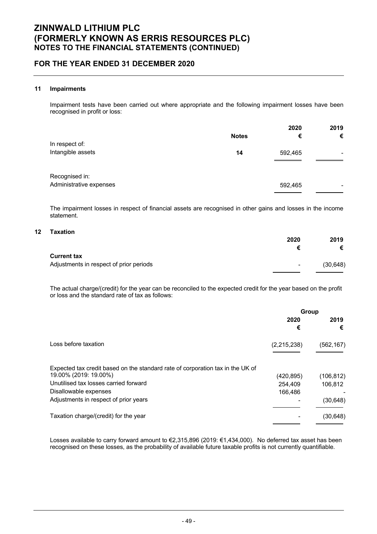### **FOR THE YEAR ENDED 31 DECEMBER 2020**

#### **11 Impairments**

Impairment tests have been carried out where appropriate and the following impairment losses have been recognised in profit or loss:

| In respect of:          | <b>Notes</b> | 2020<br>€ | 2019<br>€                |
|-------------------------|--------------|-----------|--------------------------|
| Intangible assets       | 14           | 592,465   | $\overline{\phantom{0}}$ |
|                         |              |           |                          |
| Recognised in:          |              |           |                          |
| Administrative expenses |              | 592,465   | -                        |

The impairment losses in respect of financial assets are recognised in other gains and losses in the income statement.

#### **12 Taxation**

|                                         | 2020                     | 2019      |
|-----------------------------------------|--------------------------|-----------|
|                                         | €                        | €         |
| <b>Current tax</b>                      |                          |           |
| Adjustments in respect of prior periods | $\overline{\phantom{a}}$ | (30, 648) |

The actual charge/(credit) for the year can be reconciled to the expected credit for the year based on the profit or loss and the standard rate of tax as follows:

|                                                                                                         | Group       |            |
|---------------------------------------------------------------------------------------------------------|-------------|------------|
|                                                                                                         | 2020        | 2019       |
|                                                                                                         | €           | €          |
| Loss before taxation                                                                                    | (2,215,238) | (562, 167) |
| Expected tax credit based on the standard rate of corporation tax in the UK of<br>19.00% (2019: 19.00%) | (420, 895)  | (106, 812) |
| Unutilised tax losses carried forward                                                                   | 254.409     | 106.812    |
| Disallowable expenses                                                                                   | 166,486     |            |
| Adjustments in respect of prior years                                                                   |             | (30, 648)  |
| Taxation charge/(credit) for the year                                                                   |             | (30, 648)  |

Losses available to carry forward amount to €2,315,896 (2019: €1,434,000). No deferred tax asset has been recognised on these losses, as the probability of available future taxable profits is not currently quantifiable.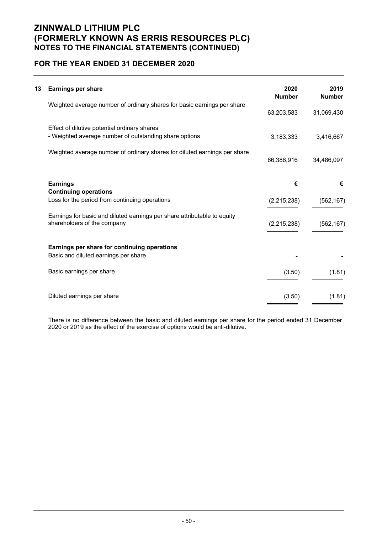### **FOR THE YEAR ENDED 31 DECEMBER 2020**

| 13 | <b>Earnings per share</b>                                                                               | 2020<br><b>Number</b> | 2019<br><b>Number</b> |
|----|---------------------------------------------------------------------------------------------------------|-----------------------|-----------------------|
|    | Weighted average number of ordinary shares for basic earnings per share                                 | 63,203,583            | 31,069,430            |
|    | Effect of dilutive potential ordinary shares:<br>- Weighted average number of outstanding share options | 3,183,333             | 3,416,667             |
|    | Weighted average number of ordinary shares for diluted earnings per share                               | 66,386,916            | 34,486,097            |
|    | <b>Earnings</b><br><b>Continuing operations</b>                                                         | €                     | €                     |
|    | Loss for the period from continuing operations                                                          | (2,215,238)           | (562, 167)            |
|    | Earnings for basic and diluted earnings per share attributable to equity<br>shareholders of the company | (2,215,238)           | (562, 167)            |
|    | Earnings per share for continuing operations<br>Basic and diluted earnings per share                    |                       |                       |
|    | Basic earnings per share                                                                                | (3.50)                | (1.81)                |
|    | Diluted earnings per share                                                                              | (3.50)                | (1.81)                |

There is no difference between the basic and diluted earnings per share for the period ended 31 December 2020 or 2019 as the effect of the exercise of options would be anti-dilutive.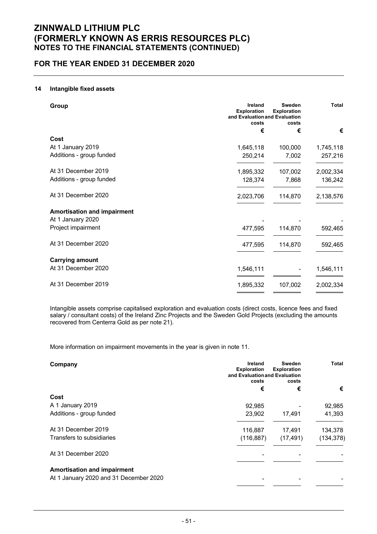### **FOR THE YEAR ENDED 31 DECEMBER 2020**

#### **14 Intangible fixed assets**

| Group                              | Ireland<br>Sweden<br><b>Exploration</b><br><b>Exploration</b><br>and Evaluation and Evaluation<br>costs<br>costs |         | <b>Total</b> |  |
|------------------------------------|------------------------------------------------------------------------------------------------------------------|---------|--------------|--|
|                                    | €                                                                                                                | €       | €            |  |
| Cost                               |                                                                                                                  |         |              |  |
| At 1 January 2019                  | 1,645,118                                                                                                        | 100,000 | 1,745,118    |  |
| Additions - group funded           | 250,214                                                                                                          | 7,002   | 257,216      |  |
| At 31 December 2019                | 1,895,332                                                                                                        | 107,002 | 2,002,334    |  |
| Additions - group funded           | 128,374                                                                                                          | 7,868   | 136,242      |  |
| At 31 December 2020                | 2,023,706                                                                                                        | 114,870 | 2,138,576    |  |
| <b>Amortisation and impairment</b> |                                                                                                                  |         |              |  |
| At 1 January 2020                  |                                                                                                                  |         |              |  |
| Project impairment                 | 477,595                                                                                                          | 114,870 | 592,465      |  |
| At 31 December 2020                | 477,595                                                                                                          | 114,870 | 592,465      |  |
| <b>Carrying amount</b>             |                                                                                                                  |         |              |  |
| At 31 December 2020                | 1,546,111                                                                                                        |         | 1,546,111    |  |
| At 31 December 2019                | 1,895,332                                                                                                        | 107,002 | 2,002,334    |  |
|                                    |                                                                                                                  |         |              |  |

Intangible assets comprise capitalised exploration and evaluation costs (direct costs, licence fees and fixed salary / consultant costs) of the Ireland Zinc Projects and the Sweden Gold Projects (excluding the amounts recovered from Centerra Gold as per note 21).

More information on impairment movements in the year is given in note 11.

| Company                                                                      | Ireland<br><b>Exploration</b><br>and Evaluation and Evaluation | Sweden<br><b>Exploration</b> | Total      |
|------------------------------------------------------------------------------|----------------------------------------------------------------|------------------------------|------------|
|                                                                              | costs                                                          | costs                        |            |
|                                                                              | €                                                              | €                            | €          |
| Cost                                                                         |                                                                |                              |            |
| A 1 January 2019                                                             | 92,985                                                         |                              | 92,985     |
| Additions - group funded                                                     | 23,902                                                         | 17,491                       | 41,393     |
| At 31 December 2019                                                          | 116,887                                                        | 17,491                       | 134,378    |
| Transfers to subsidiaries                                                    | (116, 887)                                                     | (17, 491)                    | (134, 378) |
| At 31 December 2020                                                          |                                                                |                              |            |
| <b>Amortisation and impairment</b><br>At 1 January 2020 and 31 December 2020 |                                                                |                              |            |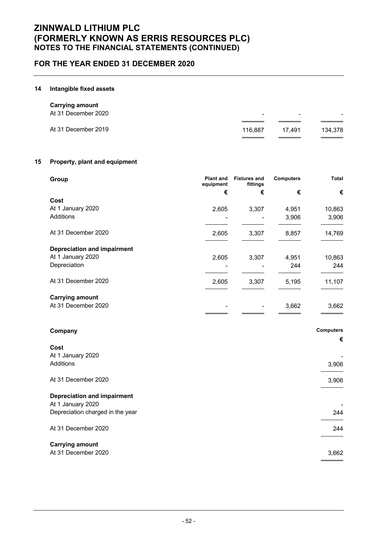### **FOR THE YEAR ENDED 31 DECEMBER 2020**

#### **14 Intangible fixed assets**

#### **Carrying amount**

| At 31 December 2020 | $\overline{\phantom{0}}$ | -      | ۰       |
|---------------------|--------------------------|--------|---------|
|                     |                          |        |         |
| At 31 December 2019 | 116.887                  | 17.491 | 134.378 |

#### **15 Property, plant and equipment**

| Group                                         | <b>Plant and</b><br>equipment | <b>Fixtures and</b><br>fittings | <b>Computers</b> | <b>Total</b>     |
|-----------------------------------------------|-------------------------------|---------------------------------|------------------|------------------|
|                                               | €                             | €                               | €                | €                |
| Cost                                          |                               |                                 |                  |                  |
| At 1 January 2020                             | 2,605                         | 3,307                           | 4,951            | 10,863           |
| Additions                                     |                               |                                 | 3,906            | 3,906            |
| At 31 December 2020                           | 2,605                         | 3,307                           | 8,857            | 14,769           |
| <b>Depreciation and impairment</b>            |                               |                                 |                  |                  |
| At 1 January 2020                             | 2,605                         | 3,307                           | 4,951            | 10,863           |
| Depreciation                                  |                               |                                 | 244              | 244              |
| At 31 December 2020                           | 2,605                         | 3,307                           | 5,195            | 11,107           |
| <b>Carrying amount</b><br>At 31 December 2020 |                               |                                 | 3,662            | 3,662            |
| Company                                       |                               |                                 |                  | <b>Computers</b> |
| Cost                                          |                               |                                 |                  | €                |
| At 1 January 2020                             |                               |                                 |                  |                  |
| Additions                                     |                               |                                 |                  | 3,906            |
|                                               |                               |                                 |                  |                  |
| At 31 December 2020                           |                               |                                 |                  | 3,906            |
| <b>Depreciation and impairment</b>            |                               |                                 |                  |                  |
| At 1 January 2020                             |                               |                                 |                  |                  |
| Depreciation charged in the year              |                               |                                 |                  | 244              |
| At 31 December 2020                           |                               |                                 |                  | 244              |
| <b>Carrying amount</b>                        |                               |                                 |                  |                  |
| At 31 December 2020                           |                               |                                 |                  | 3,662            |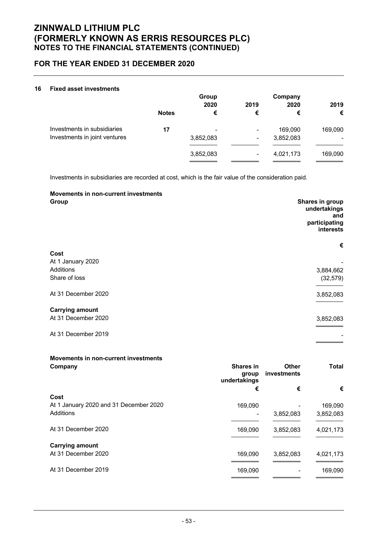### **FOR THE YEAR ENDED 31 DECEMBER 2020**

#### **16 Fixed asset investments**

|                               | <b>Notes</b> | Group<br>2020 | 2019<br>€ | Company<br>2020<br>€ | 2019<br>€ |
|-------------------------------|--------------|---------------|-----------|----------------------|-----------|
|                               |              | €             |           |                      |           |
| Investments in subsidiaries   | 17           | ۰             | ۰         | 169,090              | 169,090   |
| Investments in joint ventures |              | 3,852,083     | ۰         | 3,852,083            |           |
|                               |              |               |           |                      |           |
|                               |              | 3,852,083     | ۰         | 4,021,173            | 169,090   |
|                               |              |               |           |                      |           |

Investments in subsidiaries are recorded at cost, which is the fair value of the consideration paid.

# **Movements in non-current investments**

| Shares in group<br>undertakings<br>and<br>participating<br>interests |
|----------------------------------------------------------------------|
| €                                                                    |
|                                                                      |
|                                                                      |
| 3,884,662                                                            |
| (32, 579)                                                            |
| 3,852,083                                                            |
|                                                                      |
| 3,852,083                                                            |
|                                                                      |
|                                                                      |

#### **Movements in non-current investments Company Shares in**

|                                        | -----------<br>group<br>undertakings | investments | .         |
|----------------------------------------|--------------------------------------|-------------|-----------|
|                                        | €                                    | €           | €         |
| Cost                                   |                                      |             |           |
| At 1 January 2020 and 31 December 2020 | 169,090                              |             | 169,090   |
| Additions                              |                                      | 3,852,083   | 3,852,083 |
| At 31 December 2020                    | 169,090                              | 3,852,083   | 4,021,173 |
| <b>Carrying amount</b>                 |                                      |             |           |
| At 31 December 2020                    | 169,090                              | 3,852,083   | 4,021,173 |
| At 31 December 2019                    | 169,090                              |             | 169,090   |
|                                        |                                      |             |           |

**Other** 

**Total**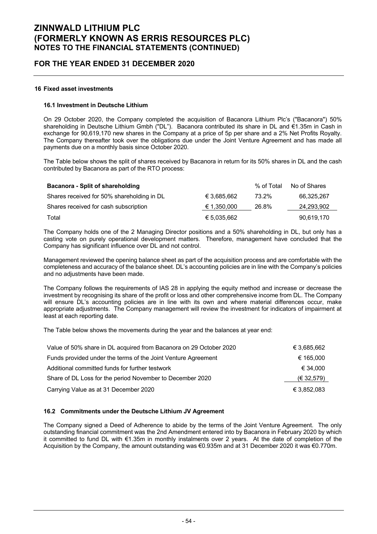### **FOR THE YEAR ENDED 31 DECEMBER 2020**

#### **16 Fixed asset investments**

#### **16.1 Investment in Deutsche Lithium**

On 29 October 2020, the Company completed the acquisition of Bacanora Lithium Plc's ("Bacanora") 50% shareholding in Deutsche Lithium Gmbh ("DL"). Bacanora contributed its share in DL and €1.35m in Cash in exchange for 90,619,170 new shares in the Company at a price of 5p per share and a 2% Net Profits Royalty. The Company thereafter took over the obligations due under the Joint Venture Agreement and has made all payments due on a monthly basis since October 2020.

The Table below shows the split of shares received by Bacanora in return for its 50% shares in DL and the cash contributed by Bacanora as part of the RTO process:

| <b>Bacanora - Split of shareholding</b>    |             | % of Total | No of Shares |
|--------------------------------------------|-------------|------------|--------------|
| Shares received for 50% shareholding in DL | € 3.685.662 | 73.2%      | 66,325,267   |
| Shares received for cash subscription      | € 1,350,000 | 26.8%      | 24,293,902   |
| Total                                      | € 5,035,662 |            | 90,619,170   |

The Company holds one of the 2 Managing Director positions and a 50% shareholding in DL, but only has a casting vote on purely operational development matters. Therefore, management have concluded that the Company has significant influence over DL and not control.

Management reviewed the opening balance sheet as part of the acquisition process and are comfortable with the completeness and accuracy of the balance sheet. DL's accounting policies are in line with the Company's policies and no adjustments have been made.

The Company follows the requirements of IAS 28 in applying the equity method and increase or decrease the investment by recognising its share of the profit or loss and other comprehensive income from DL. The Company will ensure DL's accounting policies are in line with its own and where material differences occur, make appropriate adjustments. The Company management will review the investment for indicators of impairment at least at each reporting date.

The Table below shows the movements during the year and the balances at year end:

| Value of 50% share in DL acquired from Bacanora on 29 October 2020 | € 3,685,662 |
|--------------------------------------------------------------------|-------------|
| Funds provided under the terms of the Joint Venture Agreement      | € 165,000   |
| Additional committed funds for further testwork                    | € 34.000    |
| Share of DL Loss for the period November to December 2020          | (€ 32,579)  |
| Carrying Value as at 31 December 2020                              | € 3,852,083 |

#### **16.2 Commitments under the Deutsche Lithium JV Agreement**

The Company signed a Deed of Adherence to abide by the terms of the Joint Venture Agreement. The only outstanding financial commitment was the 2nd Amendment entered into by Bacanora in February 2020 by which it committed to fund DL with €1.35m in monthly instalments over 2 years. At the date of completion of the Acquisition by the Company, the amount outstanding was €0.935m and at 31 December 2020 it was €0.770m.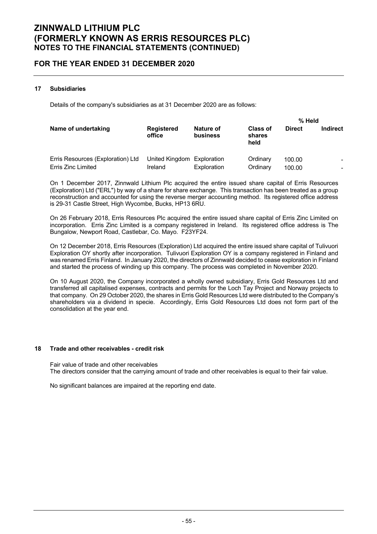### **FOR THE YEAR ENDED 31 DECEMBER 2020**

#### **17 Subsidiaries**

Details of the company's subsidiaries as at 31 December 2020 are as follows:

|                                   |                             |                       |                            | % Held        |          |  |
|-----------------------------------|-----------------------------|-----------------------|----------------------------|---------------|----------|--|
| Name of undertaking               | <b>Registered</b><br>office | Nature of<br>business | Class of<br>shares<br>held | <b>Direct</b> | Indirect |  |
| Erris Resources (Exploration) Ltd | United Kingdom              | Exploration           | Ordinary                   | 100.00        | ۰        |  |
| Erris Zinc Limited                | Ireland                     | Exploration           | Ordinarv                   | 100.00        | -        |  |

On 1 December 2017, Zinnwald Lithium Plc acquired the entire issued share capital of Erris Resources (Exploration) Ltd ("ERL") by way of a share for share exchange. This transaction has been treated as a group reconstruction and accounted for using the reverse merger accounting method. Its registered office address is 29-31 Castle Street, High Wycombe, Bucks, HP13 6RU.

On 26 February 2018, Erris Resources Plc acquired the entire issued share capital of Erris Zinc Limited on incorporation. Erris Zinc Limited is a company registered in Ireland. Its registered office address is The Bungalow, Newport Road, Castlebar, Co. Mayo. F23YF24.

On 12 December 2018, Erris Resources (Exploration) Ltd acquired the entire issued share capital of Tulivuori Exploration OY shortly after incorporation. Tulivuori Exploration OY is a company registered in Finland and was renamed Erris Finland. In January 2020, the directors of Zinnwald decided to cease exploration in Finland and started the process of winding up this company. The process was completed in November 2020.

On 10 August 2020, the Company incorporated a wholly owned subsidiary, Erris Gold Resources Ltd and transferred all capitalised expenses, contracts and permits for the Loch Tay Project and Norway projects to that company. On 29 October 2020, the shares in Erris Gold Resources Ltd were distributed to the Company's shareholders via a dividend in specie. Accordingly, Erris Gold Resources Ltd does not form part of the consolidation at the year end.

#### **18 Trade and other receivables - credit risk**

Fair value of trade and other receivables The directors consider that the carrying amount of trade and other receivables is equal to their fair value.

No significant balances are impaired at the reporting end date.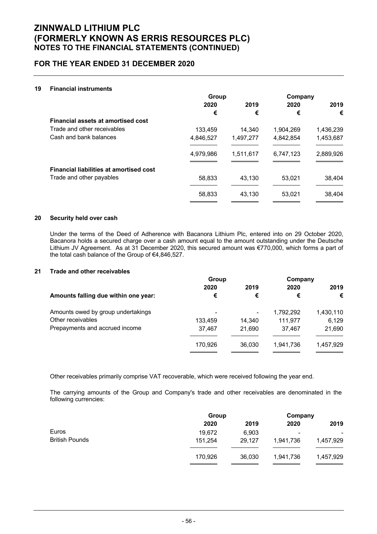### **FOR THE YEAR ENDED 31 DECEMBER 2020**

#### **19 Financial instruments**

|                                                | Group     |           | Company   |           |
|------------------------------------------------|-----------|-----------|-----------|-----------|
|                                                | 2020      | 2019      | 2020      | 2019      |
|                                                | €         | €         | €         | €         |
| Financial assets at amortised cost             |           |           |           |           |
| Trade and other receivables                    | 133,459   | 14.340    | 1,904,269 | 1,436,239 |
| Cash and bank balances                         | 4.846.527 | 1,497,277 | 4.842.854 | 1.453.687 |
|                                                | 4,979,986 | 1,511,617 | 6,747,123 | 2,889,926 |
| <b>Financial liabilities at amortised cost</b> |           |           |           |           |
| Trade and other payables                       | 58,833    | 43.130    | 53,021    | 38,404    |
|                                                | 58,833    | 43.130    | 53,021    | 38,404    |
|                                                |           |           |           |           |

#### **20 Security held over cash**

Under the terms of the Deed of Adherence with Bacanora Lithium Plc, entered into on 29 October 2020, Bacanora holds a secured charge over a cash amount equal to the amount outstanding under the Deutsche Lithium JV Agreement. As at 31 December 2020, this secured amount was €770,000, which forms a part of the total cash balance of the Group of €4,846,527.

#### **21 Trade and other receivables**

|                                      | Group   |        | Company   |           |
|--------------------------------------|---------|--------|-----------|-----------|
|                                      | 2020    | 2019   | 2020      | 2019      |
| Amounts falling due within one year: | €       | €      | €         | €         |
| Amounts owed by group undertakings   | -       |        | 1,792,292 | 1,430,110 |
| Other receivables                    | 133,459 | 14.340 | 111,977   | 6,129     |
| Prepayments and accrued income       | 37,467  | 21.690 | 37.467    | 21,690    |
|                                      | 170,926 | 36.030 | 1,941,736 | 1,457,929 |
|                                      |         |        |           |           |

Other receivables primarily comprise VAT recoverable, which were received following the year end.

The carrying amounts of the Group and Company's trade and other receivables are denominated in the following currencies:

|                       | Group   |        | Company                  |           |
|-----------------------|---------|--------|--------------------------|-----------|
|                       | 2020    | 2019   | 2020                     | 2019      |
| Euros                 | 19.672  | 6.903  | $\overline{\phantom{0}}$ | -         |
| <b>British Pounds</b> | 151.254 | 29.127 | 1.941.736                | 1,457,929 |
|                       | 170,926 | 36,030 | 1.941.736                | 1,457,929 |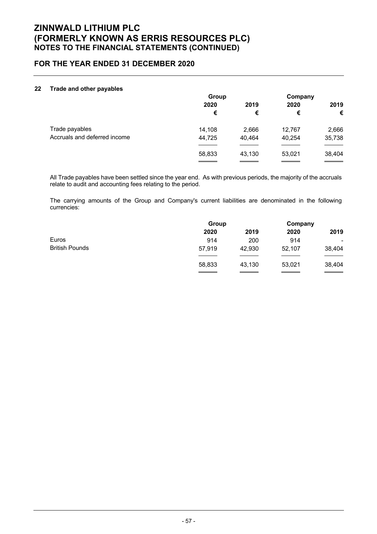### **FOR THE YEAR ENDED 31 DECEMBER 2020**

### **22 Trade and other payables**

|                              | Group  |        | Company |        |
|------------------------------|--------|--------|---------|--------|
|                              | 2020   | 2019   | 2020    | 2019   |
|                              | €      | €      | €       | €      |
| Trade payables               | 14,108 | 2,666  | 12,767  | 2,666  |
| Accruals and deferred income | 44,725 | 40,464 | 40,254  | 35,738 |
|                              | 58,833 | 43,130 | 53,021  | 38,404 |
|                              |        |        |         |        |

All Trade payables have been settled since the year end. As with previous periods, the majority of the accruals relate to audit and accounting fees relating to the period.

The carrying amounts of the Group and Company's current liabilities are denominated in the following currencies:

|                       | Group  |        | Company |        |
|-----------------------|--------|--------|---------|--------|
|                       | 2020   | 2019   | 2020    | 2019   |
| Euros                 | 914    | 200    | 914     | ۰      |
| <b>British Pounds</b> | 57.919 | 42.930 | 52.107  | 38,404 |
|                       |        |        |         |        |
|                       | 58,833 | 43.130 | 53,021  | 38,404 |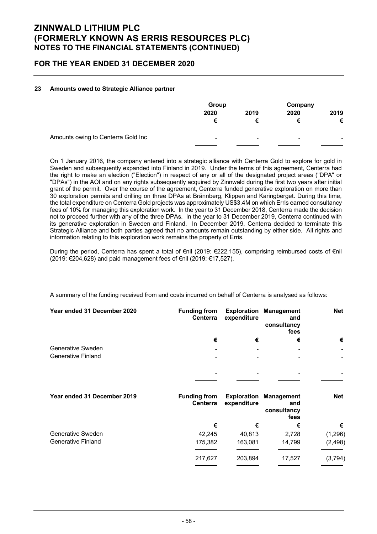### **FOR THE YEAR ENDED 31 DECEMBER 2020**

#### **23 Amounts owed to Strategic Alliance partner**

|                                    | Group |                          |      | Company |  |
|------------------------------------|-------|--------------------------|------|---------|--|
|                                    | 2020  | 2019                     | 2020 | 2019    |  |
|                                    | €     |                          |      | €       |  |
| Amounts owing to Centerra Gold Inc | -     | $\overline{\phantom{0}}$ | -    | -       |  |
|                                    |       |                          |      |         |  |

On 1 January 2016, the company entered into a strategic alliance with Centerra Gold to explore for gold in Sweden and subsequently expanded into Finland in 2019. Under the terms of this agreement, Centerra had the right to make an election ("Election") in respect of any or all of the designated project areas ("DPA" or "DPAs") in the AOI and on any rights subsequently acquired by Zinnwald during the first two years after initial grant of the permit. Over the course of the agreement, Centerra funded generative exploration on more than 30 exploration permits and drilling on three DPAs at Brännberg, Klippen and Karingberget. During this time, the total expenditure on Centerra Gold projects was approximately US\$3.4M on which Erris earned consultancy fees of 10% for managing this exploration work. In the year to 31 December 2018, Centerra made the decision not to proceed further with any of the three DPAs. In the year to 31 December 2019, Centerra continued with its generative exploration in Sweden and Finland. In December 2019, Centerra decided to terminate this Strategic Alliance and both parties agreed that no amounts remain outstanding by either side. All rights and information relating to this exploration work remains the property of Erris.

During the period, Centerra has spent a total of €nil (2019: €222,155), comprising reimbursed costs of €nil (2019: €204,628) and paid management fees of €nil (2019: €17,527).

| Year ended 31 December 2020 | <b>Funding from</b><br><b>Centerra</b> | expenditure | <b>Exploration Management</b><br>and<br>consultancy<br>fees | <b>Net</b> |
|-----------------------------|----------------------------------------|-------------|-------------------------------------------------------------|------------|
|                             | €                                      | €           | €                                                           | €          |
| Generative Sweden           |                                        |             |                                                             |            |
| Generative Finland          |                                        |             |                                                             |            |
|                             |                                        |             |                                                             |            |
|                             |                                        |             |                                                             |            |
|                             |                                        |             |                                                             |            |
| Year ended 31 December 2019 | <b>Funding from</b><br><b>Centerra</b> | expenditure | <b>Exploration Management</b><br>and<br>consultancy<br>fees | <b>Net</b> |
|                             | €                                      | €           | €                                                           | €          |
| Generative Sweden           | 42,245                                 | 40,813      | 2,728                                                       | (1, 296)   |
| Generative Finland          | 175,382                                | 163,081     | 14,799                                                      | (2, 498)   |

217,627 203,894 17,527 (3,794)

A summary of the funding received from and costs incurred on behalf of Centerra is analysed as follows: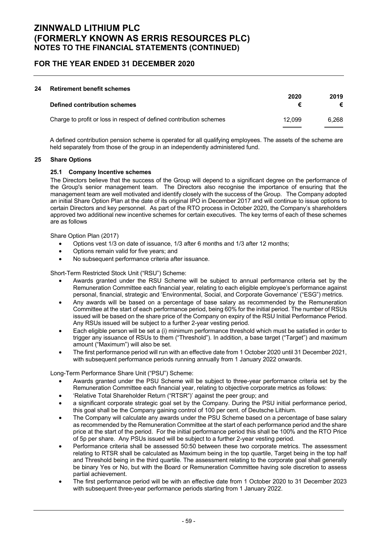### **FOR THE YEAR ENDED 31 DECEMBER 2020**

| 24 | <b>Retirement benefit schemes</b>                                   |        |       |
|----|---------------------------------------------------------------------|--------|-------|
|    |                                                                     | 2020   | 2019  |
|    | Defined contribution schemes                                        | €      | €     |
|    | Charge to profit or loss in respect of defined contribution schemes | 12.099 | 6.268 |

A defined contribution pension scheme is operated for all qualifying employees. The assets of the scheme are held separately from those of the group in an independently administered fund.

#### **25 Share Options**

#### **25.1 Company Incentive schemes**

The Directors believe that the success of the Group will depend to a significant degree on the performance of the Group's senior management team. The Directors also recognise the importance of ensuring that the management team are well motivated and identify closely with the success of the Group. The Company adopted an initial Share Option Plan at the date of its original IPO in December 2017 and will continue to issue options to certain Directors and key personnel. As part of the RTO process in October 2020, the Company's shareholders approved two additional new incentive schemes for certain executives. The key terms of each of these schemes are as follows

Share Option Plan (2017)

- Options vest 1/3 on date of issuance, 1/3 after 6 months and 1/3 after 12 months;
- Options remain valid for five years; and
- No subsequent performance criteria after issuance.

Short-Term Restricted Stock Unit ("RSU") Scheme:

- Awards granted under the RSU Scheme will be subject to annual performance criteria set by the Remuneration Committee each financial year, relating to each eligible employee's performance against personal, financial, strategic and 'Environmental, Social, and Corporate Governance' ("ESG") metrics.
- Any awards will be based on a percentage of base salary as recommended by the Remuneration Committee at the start of each performance period, being 60% for the initial period. The number of RSUs issued will be based on the share price of the Company on expiry of the RSU Initial Performance Period. Any RSUs issued will be subject to a further 2-year vesting period.
- Each eligible person will be set a (i) minimum performance threshold which must be satisfied in order to trigger any issuance of RSUs to them ("Threshold"). In addition, a base target ("Target") and maximum amount ("Maximum") will also be set.
- The first performance period will run with an effective date from 1 October 2020 until 31 December 2021, with subsequent performance periods running annually from 1 January 2022 onwards.

Long-Term Performance Share Unit ("PSU") Scheme:

- Awards granted under the PSU Scheme will be subject to three-year performance criteria set by the Remuneration Committee each financial year, relating to objective corporate metrics as follows:
- 'Relative Total Shareholder Return ("RTSR")' against the peer group; and
- a significant corporate strategic goal set by the Company. During the PSU initial performance period, this goal shall be the Company gaining control of 100 per cent. of Deutsche Lithium.
- The Company will calculate any awards under the PSU Scheme based on a percentage of base salary as recommended by the Remuneration Committee at the start of each performance period and the share price at the start of the period. For the initial performance period this shall be 100% and the RTO Price of 5p per share. Any PSUs issued will be subject to a further 2-year vesting period.
- Performance criteria shall be assessed 50:50 between these two corporate metrics. The assessment relating to RTSR shall be calculated as Maximum being in the top quartile, Target being in the top half and Threshold being in the third quartile. The assessment relating to the corporate goal shall generally be binary Yes or No, but with the Board or Remuneration Committee having sole discretion to assess partial achievement.
- The first performance period will be with an effective date from 1 October 2020 to 31 December 2023 with subsequent three-year performance periods starting from 1 January 2022.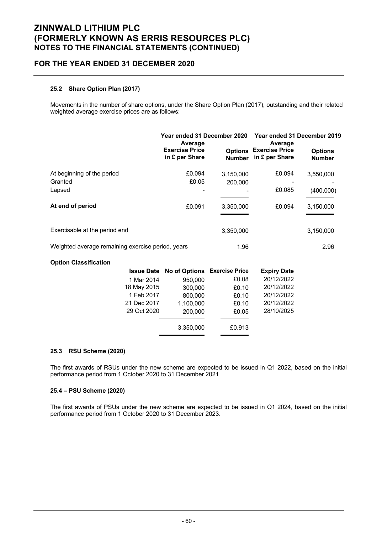### **FOR THE YEAR ENDED 31 DECEMBER 2020**

#### **25.2 Share Option Plan (2017)**

Movements in the number of share options, under the Share Option Plan (2017), outstanding and their related weighted average exercise prices are as follows:

|                                                   | Year ended 31 December 2020                        |                                 |                                                    | Year ended 31 December 2019     |  |
|---------------------------------------------------|----------------------------------------------------|---------------------------------|----------------------------------------------------|---------------------------------|--|
|                                                   | Average<br><b>Exercise Price</b><br>in £ per Share | <b>Options</b><br><b>Number</b> | Average<br><b>Exercise Price</b><br>in £ per Share | <b>Options</b><br><b>Number</b> |  |
| At beginning of the period<br>Granted             | £0.094<br>£0.05                                    | 3,150,000<br>200.000            | £0.094                                             | 3,550,000                       |  |
| Lapsed                                            |                                                    |                                 | £0.085                                             | (400,000)                       |  |
| At end of period                                  | £0.091                                             | 3,350,000                       | £0.094                                             | 3,150,000                       |  |
| Exercisable at the period end                     |                                                    | 3.350.000                       |                                                    | 3,150,000                       |  |
| Weighted average remaining exercise period, years |                                                    | 1.96                            |                                                    | 2.96                            |  |

#### **Option Classification**

|             | <b>Issue Date No of Options Exercise Price</b> |        | <b>Expiry Date</b> |
|-------------|------------------------------------------------|--------|--------------------|
| 1 Mar 2014  | 950,000                                        | £0.08  | 20/12/2022         |
| 18 May 2015 | 300,000                                        | £0.10  | 20/12/2022         |
| 1 Feb 2017  | 800,000                                        | £0.10  | 20/12/2022         |
| 21 Dec 2017 | 1,100,000                                      | £0.10  | 20/12/2022         |
| 29 Oct 2020 | 200,000                                        | £0.05  | 28/10/2025         |
|             |                                                |        |                    |
|             | 3,350,000                                      | £0.913 |                    |
|             |                                                |        |                    |

#### **25.3 RSU Scheme (2020)**

The first awards of RSUs under the new scheme are expected to be issued in Q1 2022, based on the initial performance period from 1 October 2020 to 31 December 2021

#### **25.4 – PSU Scheme (2020)**

The first awards of PSUs under the new scheme are expected to be issued in Q1 2024, based on the initial performance period from 1 October 2020 to 31 December 2023.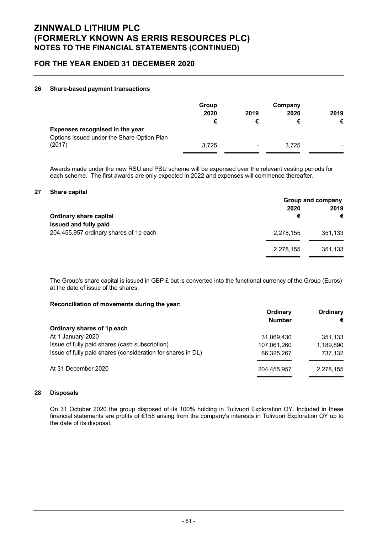### **FOR THE YEAR ENDED 31 DECEMBER 2020**

#### **26 Share-based payment transactions**

|                                                      | Group |                          | Company |      |
|------------------------------------------------------|-------|--------------------------|---------|------|
|                                                      | 2020  | 2019                     | 2020    | 2019 |
|                                                      | €     | €                        | €       | €    |
| Expenses recognised in the year                      |       |                          |         |      |
| Options issued under the Share Option Plan<br>(2017) | 3.725 | $\overline{\phantom{0}}$ | 3.725   |      |

Awards made under the new RSU and PSU scheme will be expensed over the relevant vesting periods for each scheme. The first awards are only expected in 2022 and expenses will commence thereafter.

#### **27 Share capital**

|                                        | Group and company |         |
|----------------------------------------|-------------------|---------|
|                                        | 2020              | 2019    |
| <b>Ordinary share capital</b>          | €                 | €       |
| <b>Issued and fully paid</b>           |                   |         |
| 204,455,957 ordinary shares of 1p each | 2,278,155         | 351,133 |
|                                        | 2,278,155         | 351,133 |
|                                        |                   |         |

The Group's share capital is issued in GBP £ but is converted into the functional currency of the Group (Euros) at the date of issue of the shares.

#### **Reconciliation of movements during the year:**

|                                                             | Ordinary<br><b>Number</b> | Ordinary<br>€ |
|-------------------------------------------------------------|---------------------------|---------------|
| Ordinary shares of 1p each                                  |                           |               |
| At 1 January 2020                                           | 31.069.430                | 351,133       |
| Issue of fully paid shares (cash subscription)              | 107,061,260               | 1,189,890     |
| Issue of fully paid shares (consideration for shares in DL) | 66.325.267                | 737,132       |
| At 31 December 2020                                         | 204.455.957               | 2,278,155     |

#### **28 Disposals**

On 31 October 2020 the group disposed of its 100% holding in Tulivuori Exploration OY. Included in these financial statements are profits of €158 arising from the company's interests in Tulivuori Exploration OY up to the date of its disposal.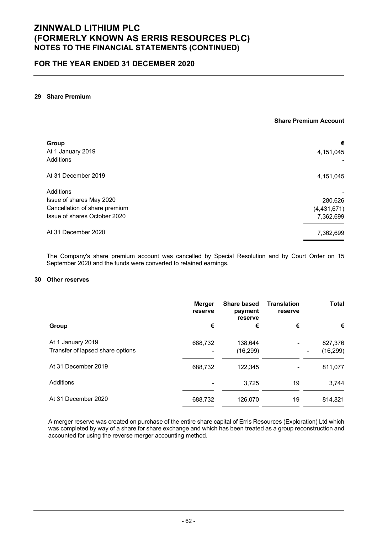### **FOR THE YEAR ENDED 31 DECEMBER 2020**

#### **29 Share Premium**

|                                       | <b>Share Premium Account</b> |
|---------------------------------------|------------------------------|
| Group                                 | €                            |
| At 1 January 2019<br><b>Additions</b> | 4,151,045                    |
| At 31 December 2019                   | 4,151,045                    |
| Additions                             |                              |
| Issue of shares May 2020              | 280,626                      |
| Cancellation of share premium         | (4,431,671)                  |
| Issue of shares October 2020          | 7,362,699                    |
| At 31 December 2020                   | 7,362,699                    |
|                                       |                              |

The Company's share premium account was cancelled by Special Resolution and by Court Order on 15 September 2020 and the funds were converted to retained earnings.

#### **30 Other reserves**

|                                                       | <b>Merger</b><br>reserve | Share based<br>payment<br>reserve | <b>Translation</b><br>reserve | <b>Total</b>         |
|-------------------------------------------------------|--------------------------|-----------------------------------|-------------------------------|----------------------|
| Group                                                 | €                        | €                                 | €                             | €                    |
| At 1 January 2019<br>Transfer of lapsed share options | 688,732                  | 138.644<br>(16, 299)              |                               | 827,376<br>(16, 299) |
| At 31 December 2019                                   | 688,732                  | 122.345                           |                               | 811,077              |
| Additions                                             |                          | 3.725                             | 19                            | 3,744                |
| At 31 December 2020                                   | 688,732                  | 126,070                           | 19                            | 814,821              |

A merger reserve was created on purchase of the entire share capital of Erris Resources (Exploration) Ltd which was completed by way of a share for share exchange and which has been treated as a group reconstruction and accounted for using the reverse merger accounting method.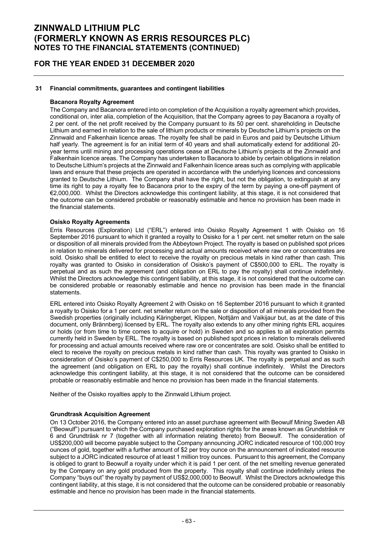### **FOR THE YEAR ENDED 31 DECEMBER 2020**

#### **31 Financial commitments, guarantees and contingent liabilities**

#### **Bacanora Royalty Agreement**

The Company and Bacanora entered into on completion of the Acquisition a royalty agreement which provides, conditional on, inter alia, completion of the Acquisition, that the Company agrees to pay Bacanora a royalty of 2 per cent. of the net profit received by the Company pursuant to its 50 per cent. shareholding in Deutsche Lithium and earned in relation to the sale of lithium products or minerals by Deutsche Lithium's projects on the Zinnwald and Falkenhain licence areas. The royalty fee shall be paid in Euros and paid by Deutsche Lithium half yearly. The agreement is for an initial term of 40 years and shall automatically extend for additional 20 year terms until mining and processing operations cease at Deutsche Lithium's projects at the Zinnwald and Falkenhain licence areas. The Company has undertaken to Bacanora to abide by certain obligations in relation to Deutsche Lithium's projects at the Zinnwald and Falkenhain licence areas such as complying with applicable laws and ensure that these projects are operated in accordance with the underlying licences and concessions granted to Deutsche Lithium. The Company shall have the right, but not the obligation, to extinguish at any time its right to pay a royalty fee to Bacanora prior to the expiry of the term by paying a one-off payment of €2,000,000. Whilst the Directors acknowledge this contingent liability, at this stage, it is not considered that the outcome can be considered probable or reasonably estimable and hence no provision has been made in the financial statements.

#### **Osisko Royalty Agreements**

Erris Resources (Exploration) Ltd ("ERL") entered into Osisko Royalty Agreement 1 with Osisko on 16 September 2016 pursuant to which it granted a royalty to Osisko for a 1 per cent. net smelter return on the sale or disposition of all minerals provided from the Abbeytown Project. The royalty is based on published spot prices in relation to minerals delivered for processing and actual amounts received where raw ore or concentrates are sold. Osisko shall be entitled to elect to receive the royalty on precious metals in kind rather than cash. This royalty was granted to Osisko in consideration of Osisko's payment of C\$500,000 to ERL. The royalty is perpetual and as such the agreement (and obligation on ERL to pay the royalty) shall continue indefinitely. Whilst the Directors acknowledge this contingent liability, at this stage, it is not considered that the outcome can be considered probable or reasonably estimable and hence no provision has been made in the financial statements.

ERL entered into Osisko Royalty Agreement 2 with Osisko on 16 September 2016 pursuant to which it granted a royalty to Osisko for a 1 per cent. net smelter return on the sale or disposition of all minerals provided from the Swedish properties (originally including Käringberget, Klippen, Nottjärn and Vaikijaur but, as at the date of this document, only Brännberg) licensed by ERL. The royalty also extends to any other mining rights ERL acquires or holds (or from time to time comes to acquire or hold) in Sweden and so applies to all exploration permits currently held in Sweden by ERL. The royalty is based on published spot prices in relation to minerals delivered for processing and actual amounts received where raw ore or concentrates are sold. Osisko shall be entitled to elect to receive the royalty on precious metals in kind rather than cash. This royalty was granted to Osisko in consideration of Osisko's payment of C\$250,000 to Erris Resources UK. The royalty is perpetual and as such the agreement (and obligation on ERL to pay the royalty) shall continue indefinitely. Whilst the Directors acknowledge this contingent liability, at this stage, it is not considered that the outcome can be considered probable or reasonably estimable and hence no provision has been made in the financial statements.

Neither of the Osisko royalties apply to the Zinnwald Lithium project.

#### **Grundtrask Acquisition Agreement**

On 13 October 2016, the Company entered into an asset purchase agreement with Beowulf Mining Sweden AB ("Beowulf") pursuant to which the Company purchased exploration rights for the areas known as Grundsträsk nr 6 and Grundträsk nr 7 (together with all information relating thereto) from Beowulf. The consideration of US\$200,000 will become payable subject to the Company announcing JORC indicated resource of 100,000 troy ounces of gold, together with a further amount of \$2 per troy ounce on the announcement of indicated resource subject to a JORC indicated resource of at least 1 million troy ounces. Pursuant to this agreement, the Company is obliged to grant to Beowulf a royalty under which it is paid 1 per cent. of the net smelting revenue generated by the Company on any gold produced from the property. This royalty shall continue indefinitely unless the Company "buys out" the royalty by payment of US\$2,000,000 to Beowulf. Whilst the Directors acknowledge this contingent liability, at this stage, it is not considered that the outcome can be considered probable or reasonably estimable and hence no provision has been made in the financial statements.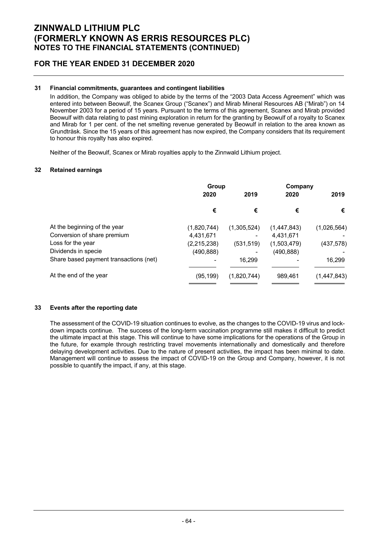### **FOR THE YEAR ENDED 31 DECEMBER 2020**

#### **31 Financial commitments, guarantees and contingent liabilities**

In addition, the Company was obliged to abide by the terms of the "2003 Data Access Agreement" which was entered into between Beowulf, the Scanex Group ("Scanex") and Mirab Mineral Resources AB ("Mirab") on 14 November 2003 for a period of 15 years. Pursuant to the terms of this agreement, Scanex and Mirab provided Beowulf with data relating to past mining exploration in return for the granting by Beowulf of a royalty to Scanex and Mirab for 1 per cent. of the net smelting revenue generated by Beowulf in relation to the area known as Grundträsk. Since the 15 years of this agreement has now expired, the Company considers that its requirement to honour this royalty has also expired.

Neither of the Beowulf, Scanex or Mirab royalties apply to the Zinnwald Lithium project.

#### **32 Retained earnings**

| 2019          |
|---------------|
| €             |
| (1,026,564)   |
|               |
| (437, 578)    |
|               |
| 16,299        |
| (1, 447, 843) |
|               |

#### **33 Events after the reporting date**

The assessment of the COVID-19 situation continues to evolve, as the changes to the COVID-19 virus and lockdown impacts continue. The success of the long-term vaccination programme still makes it difficult to predict the ultimate impact at this stage. This will continue to have some implications for the operations of the Group in the future, for example through restricting travel movements internationally and domestically and therefore delaying development activities. Due to the nature of present activities, the impact has been minimal to date. Management will continue to assess the impact of COVID-19 on the Group and Company, however, it is not possible to quantify the impact, if any, at this stage.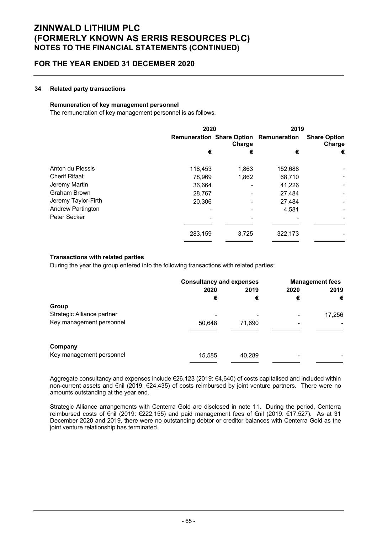### **FOR THE YEAR ENDED 31 DECEMBER 2020**

#### **34 Related party transactions**

#### **Remuneration of key management personnel**

The remuneration of key management personnel is as follows.

|                      | 2020    |        | 2019                                          |                               |
|----------------------|---------|--------|-----------------------------------------------|-------------------------------|
|                      |         | Charge | <b>Remuneration Share Option Remuneration</b> | <b>Share Option</b><br>Charge |
|                      | €       | €      | €                                             | €                             |
| Anton du Plessis     | 118,453 | 1,863  | 152,688                                       |                               |
| <b>Cherif Rifaat</b> | 78,969  | 1,862  | 68,710                                        |                               |
| Jeremy Martin        | 36,664  |        | 41,226                                        |                               |
| Graham Brown         | 28,767  |        | 27,484                                        |                               |
| Jeremy Taylor-Firth  | 20,306  |        | 27,484                                        |                               |
| Andrew Partington    |         |        | 4,581                                         |                               |
| Peter Secker         |         |        |                                               |                               |
|                      | 283,159 | 3,725  | 322,173                                       |                               |
|                      |         |        |                                               |                               |

#### **Transactions with related parties**

During the year the group entered into the following transactions with related parties:

|                            | <b>Consultancy and expenses</b> |        | <b>Management fees</b> |        |
|----------------------------|---------------------------------|--------|------------------------|--------|
|                            | 2020                            | 2019   | 2020                   | 2019   |
|                            | €                               | €      | €                      | €      |
| Group                      |                                 |        |                        |        |
| Strategic Alliance partner |                                 |        |                        | 17,256 |
| Key management personnel   | 50,648                          | 71,690 |                        |        |
|                            |                                 |        |                        |        |
| Company                    |                                 |        |                        |        |
| Key management personnel   | 15,585                          | 40,289 | ۰                      |        |
|                            |                                 |        |                        |        |

Aggregate consultancy and expenses include €26,123 (2019: €4,640) of costs capitalised and included within non-current assets and €nil (2019: €24,435) of costs reimbursed by joint venture partners. There were no amounts outstanding at the year end.

Strategic Alliance arrangements with Centerra Gold are disclosed in note 11. During the period, Centerra reimbursed costs of €nil (2019: €222,155) and paid management fees of €nil (2019: €17,527). As at 31 December 2020 and 2019, there were no outstanding debtor or creditor balances with Centerra Gold as the joint venture relationship has terminated.